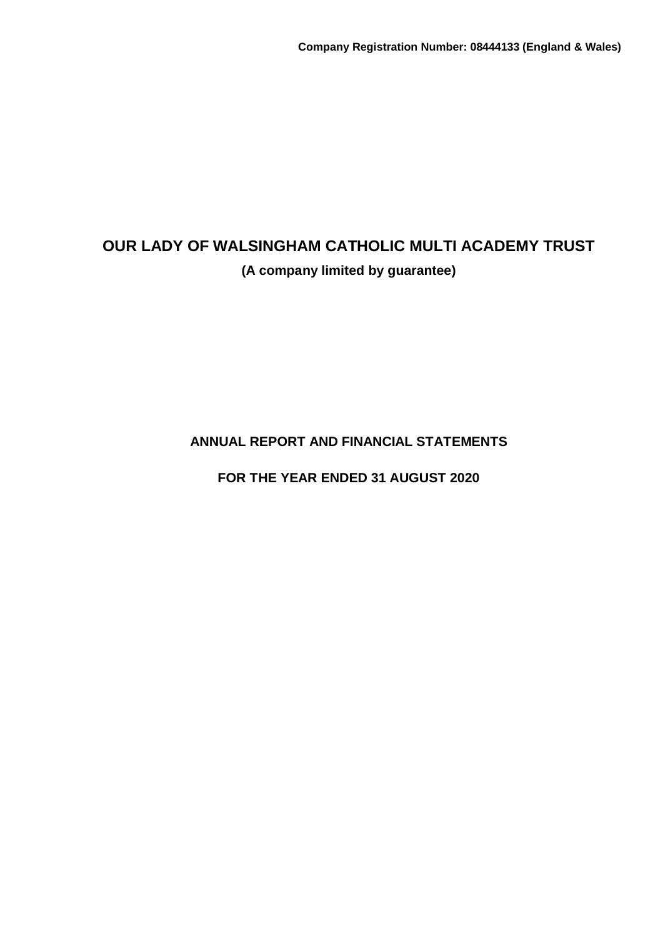**ANNUAL REPORT AND FINANCIAL STATEMENTS**

**FOR THE YEAR ENDED 31 AUGUST 2020**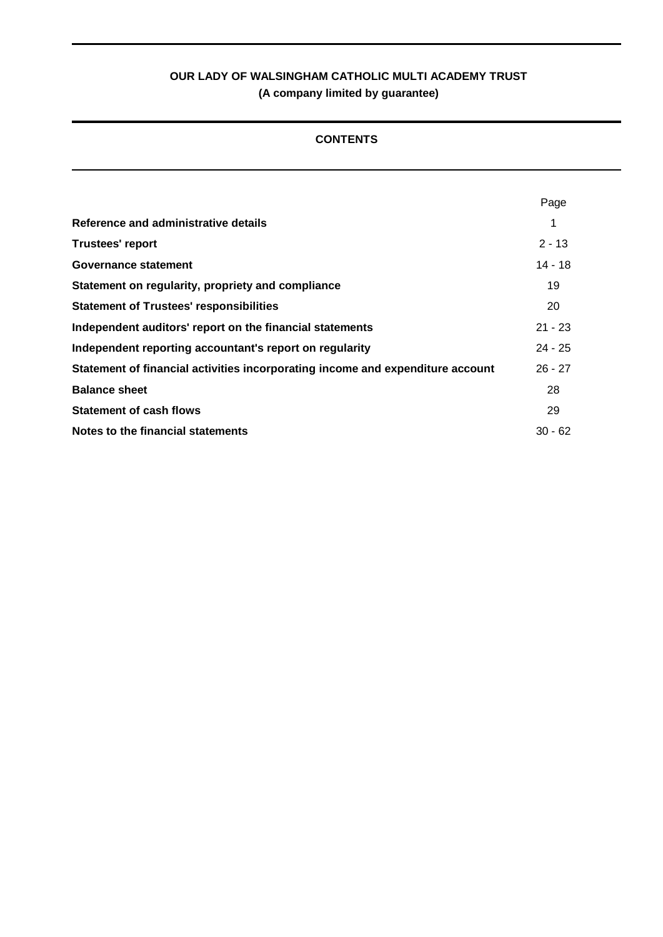# **CONTENTS**

|                                                                                | Page      |
|--------------------------------------------------------------------------------|-----------|
| Reference and administrative details                                           |           |
| <b>Trustees' report</b>                                                        | $2 - 13$  |
| Governance statement                                                           | 14 - 18   |
| Statement on regularity, propriety and compliance                              | 19        |
| <b>Statement of Trustees' responsibilities</b>                                 | 20        |
| Independent auditors' report on the financial statements                       | $21 - 23$ |
| Independent reporting accountant's report on regularity                        | $24 - 25$ |
| Statement of financial activities incorporating income and expenditure account | $26 - 27$ |
| <b>Balance sheet</b>                                                           | 28        |
| <b>Statement of cash flows</b>                                                 | 29        |
| Notes to the financial statements                                              | $30 - 62$ |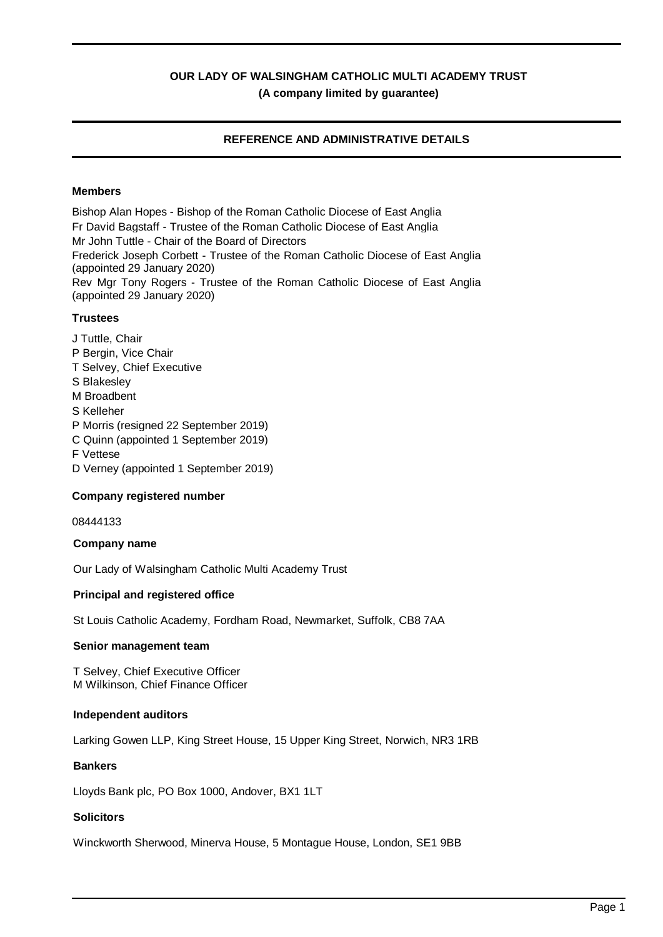# **REFERENCE AND ADMINISTRATIVE DETAILS**

# **Members**

Bishop Alan Hopes - Bishop of the Roman Catholic Diocese of East Anglia Fr David Bagstaff - Trustee of the Roman Catholic Diocese of East Anglia Mr John Tuttle - Chair of the Board of Directors Frederick Joseph Corbett - Trustee of the Roman Catholic Diocese of East Anglia (appointed 29 January 2020) Rev Mgr Tony Rogers - Trustee of the Roman Catholic Diocese of East Anglia (appointed 29 January 2020)

# **Trustees**

J Tuttle, Chair P Bergin, Vice Chair T Selvey, Chief Executive S Blakesley M Broadbent S Kelleher P Morris (resigned 22 September 2019) C Quinn (appointed 1 September 2019) F Vettese D Verney (appointed 1 September 2019)

# **Company registered number**

08444133

### **Company name**

Our Lady of Walsingham Catholic Multi Academy Trust

#### **Principal and registered office**

St Louis Catholic Academy, Fordham Road, Newmarket, Suffolk, CB8 7AA

#### **Senior management team**

T Selvey, Chief Executive Officer M Wilkinson, Chief Finance Officer

#### **Independent auditors**

Larking Gowen LLP, King Street House, 15 Upper King Street, Norwich, NR3 1RB

#### **Bankers**

Lloyds Bank plc, PO Box 1000, Andover, BX1 1LT

#### **Solicitors**

Winckworth Sherwood, Minerva House, 5 Montague House, London, SE1 9BB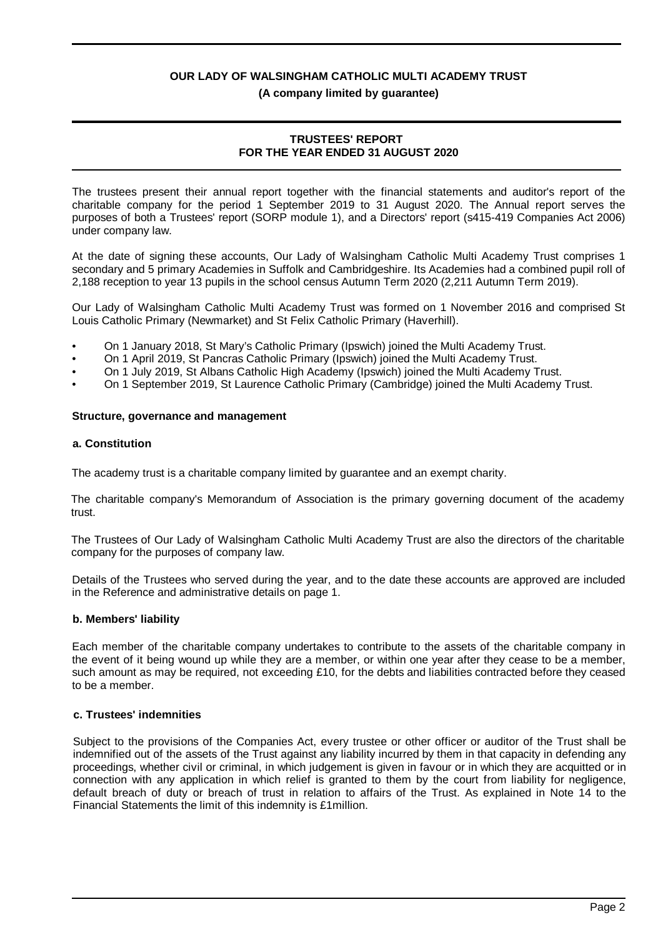#### **(A company limited by guarantee)**

#### **TRUSTEES' REPORT FOR THE YEAR ENDED 31 AUGUST 2020**

The trustees present their annual report together with the financial statements and auditor's report of the charitable company for the period 1 September 2019 to 31 August 2020. The Annual report serves the purposes of both a Trustees' report (SORP module 1), and a Directors' report (s415-419 Companies Act 2006) under company law.

At the date of signing these accounts, Our Lady of Walsingham Catholic Multi Academy Trust comprises 1 secondary and 5 primary Academies in Suffolk and Cambridgeshire. Its Academies had a combined pupil roll of 2,188 reception to year 13 pupils in the school census Autumn Term 2020 (2,211 Autumn Term 2019).

Our Lady of Walsingham Catholic Multi Academy Trust was formed on 1 November 2016 and comprised St Louis Catholic Primary (Newmarket) and St Felix Catholic Primary (Haverhill).

- On 1 January 2018, St Mary's Catholic Primary (Ipswich) joined the Multi Academy Trust.
- On 1 April 2019, St Pancras Catholic Primary (Ipswich) joined the Multi Academy Trust.
- On 1 July 2019, St Albans Catholic High Academy (Ipswich) joined the Multi Academy Trust.
- On 1 September 2019, St Laurence Catholic Primary (Cambridge) joined the Multi Academy Trust.

#### **Structure, governance and management**

#### **a. Constitution**

The academy trust is a charitable company limited by guarantee and an exempt charity.

The charitable company's Memorandum of Association is the primary governing document of the academy trust.

The Trustees of Our Lady of Walsingham Catholic Multi Academy Trust are also the directors of the charitable company for the purposes of company law.

Details of the Trustees who served during the year, and to the date these accounts are approved are included in the Reference and administrative details on page 1.

# **b. Members' liability**

Each member of the charitable company undertakes to contribute to the assets of the charitable company in the event of it being wound up while they are a member, or within one year after they cease to be a member, such amount as may be required, not exceeding £10, for the debts and liabilities contracted before they ceased to be a member.

### **c. Trustees' indemnities**

Subject to the provisions of the Companies Act, every trustee or other officer or auditor of the Trust shall be indemnified out of the assets of the Trust against any liability incurred by them in that capacity in defending any proceedings, whether civil or criminal, in which judgement is given in favour or in which they are acquitted or in connection with any application in which relief is granted to them by the court from liability for negligence, default breach of duty or breach of trust in relation to affairs of the Trust. As explained in Note 14 to the Financial Statements the limit of this indemnity is £1million.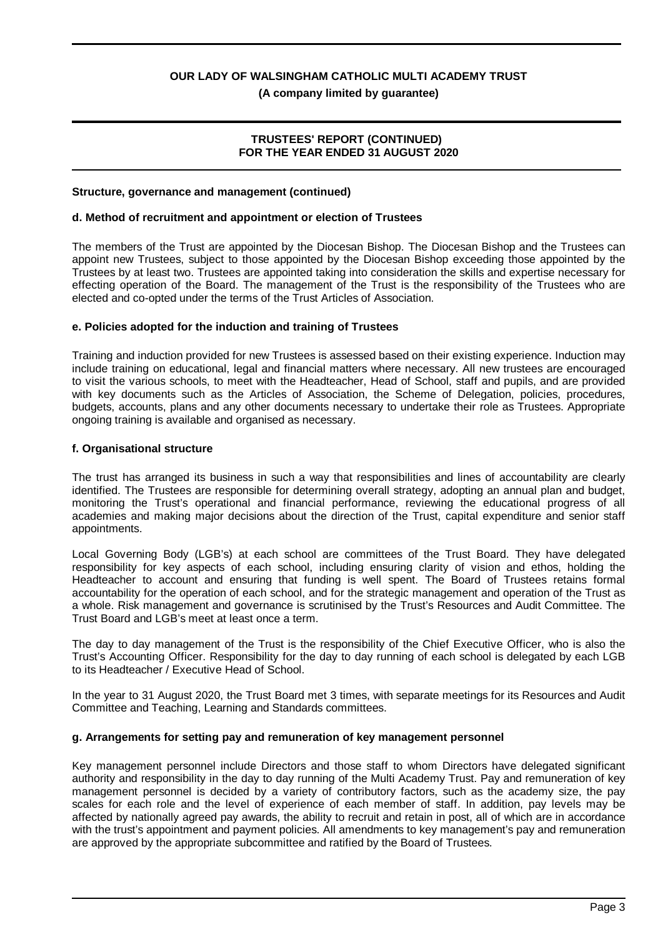**(A company limited by guarantee)**

#### **TRUSTEES' REPORT (CONTINUED) FOR THE YEAR ENDED 31 AUGUST 2020**

#### **Structure, governance and management (continued)**

#### **d. Method of recruitment and appointment or election of Trustees**

The members of the Trust are appointed by the Diocesan Bishop. The Diocesan Bishop and the Trustees can appoint new Trustees, subject to those appointed by the Diocesan Bishop exceeding those appointed by the Trustees by at least two. Trustees are appointed taking into consideration the skills and expertise necessary for effecting operation of the Board. The management of the Trust is the responsibility of the Trustees who are elected and co-opted under the terms of the Trust Articles of Association.

#### **e. Policies adopted for the induction and training of Trustees**

Training and induction provided for new Trustees is assessed based on their existing experience. Induction may include training on educational, legal and financial matters where necessary. All new trustees are encouraged to visit the various schools, to meet with the Headteacher, Head of School, staff and pupils, and are provided with key documents such as the Articles of Association, the Scheme of Delegation, policies, procedures, budgets, accounts, plans and any other documents necessary to undertake their role as Trustees. Appropriate ongoing training is available and organised as necessary.

#### **f. Organisational structure**

The trust has arranged its business in such a way that responsibilities and lines of accountability are clearly identified. The Trustees are responsible for determining overall strategy, adopting an annual plan and budget, monitoring the Trust's operational and financial performance, reviewing the educational progress of all academies and making major decisions about the direction of the Trust, capital expenditure and senior staff appointments.

Local Governing Body (LGB's) at each school are committees of the Trust Board. They have delegated responsibility for key aspects of each school, including ensuring clarity of vision and ethos, holding the Headteacher to account and ensuring that funding is well spent. The Board of Trustees retains formal accountability for the operation of each school, and for the strategic management and operation of the Trust as a whole. Risk management and governance is scrutinised by the Trust's Resources and Audit Committee. The Trust Board and LGB's meet at least once a term.

The day to day management of the Trust is the responsibility of the Chief Executive Officer, who is also the Trust's Accounting Officer. Responsibility for the day to day running of each school is delegated by each LGB to its Headteacher / Executive Head of School.

In the year to 31 August 2020, the Trust Board met 3 times, with separate meetings for its Resources and Audit Committee and Teaching, Learning and Standards committees.

#### **g. Arrangements for setting pay and remuneration of key management personnel**

Key management personnel include Directors and those staff to whom Directors have delegated significant authority and responsibility in the day to day running of the Multi Academy Trust. Pay and remuneration of key management personnel is decided by a variety of contributory factors, such as the academy size, the pay scales for each role and the level of experience of each member of staff. In addition, pay levels may be affected by nationally agreed pay awards, the ability to recruit and retain in post, all of which are in accordance with the trust's appointment and payment policies. All amendments to key management's pay and remuneration are approved by the appropriate subcommittee and ratified by the Board of Trustees.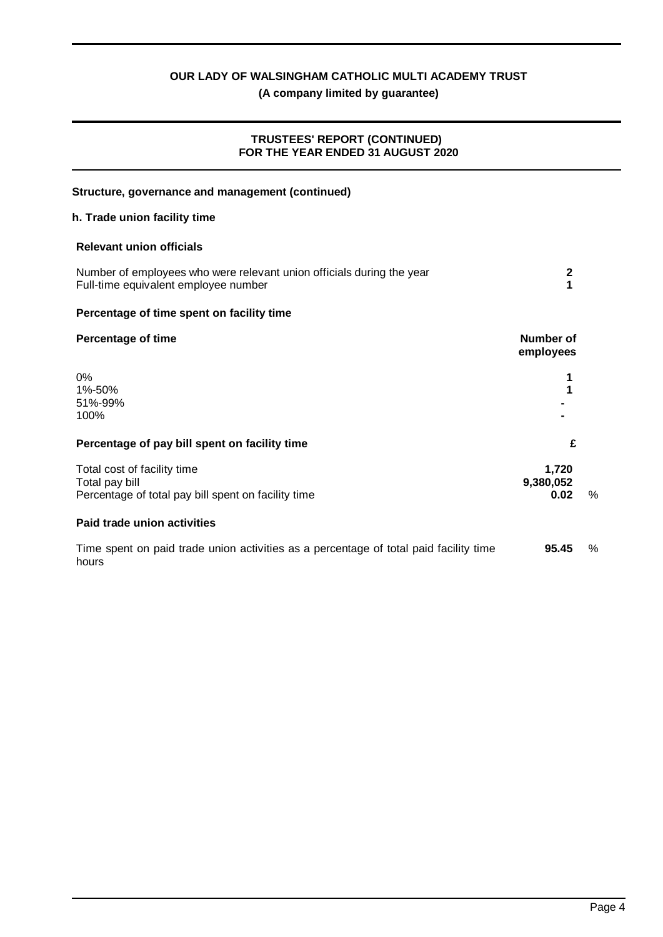# **(A company limited by guarantee)**

# **TRUSTEES' REPORT (CONTINUED) FOR THE YEAR ENDED 31 AUGUST 2020**

| Structure, governance and management (continued)                                                              |                            |      |
|---------------------------------------------------------------------------------------------------------------|----------------------------|------|
| h. Trade union facility time                                                                                  |                            |      |
| <b>Relevant union officials</b>                                                                               |                            |      |
| Number of employees who were relevant union officials during the year<br>Full-time equivalent employee number | $\boldsymbol{2}$<br>1      |      |
| Percentage of time spent on facility time                                                                     |                            |      |
| <b>Percentage of time</b>                                                                                     | Number of<br>employees     |      |
| 0%<br>1%-50%<br>51%-99%<br>100%                                                                               | 1                          |      |
| Percentage of pay bill spent on facility time                                                                 | £                          |      |
| Total cost of facility time<br>Total pay bill<br>Percentage of total pay bill spent on facility time          | 1,720<br>9,380,052<br>0.02 | %    |
| Paid trade union activities                                                                                   |                            |      |
| Time spent on paid trade union activities as a percentage of total paid facility time<br>hours                | 95.45                      | $\%$ |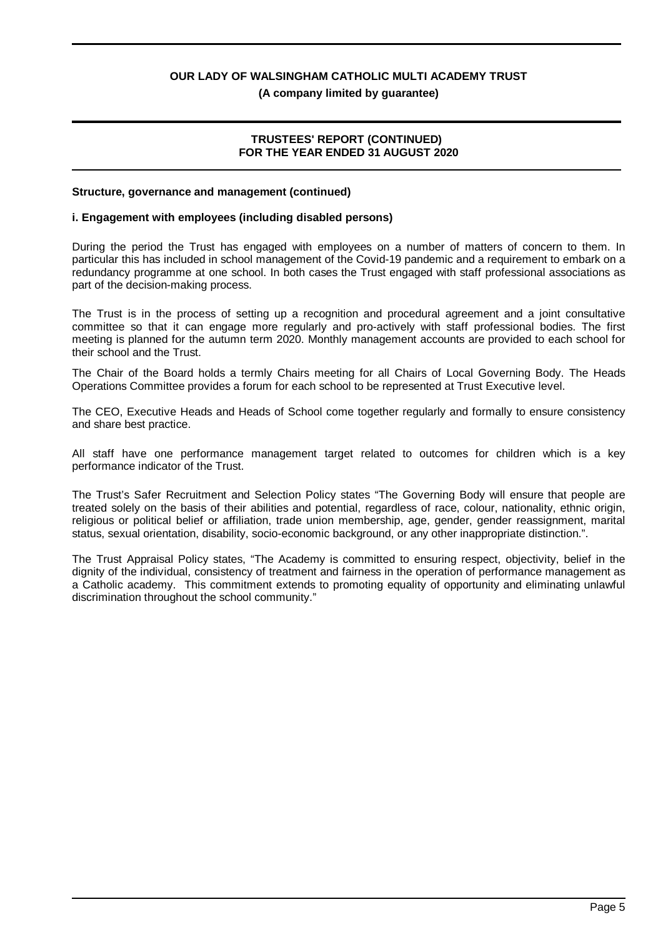**(A company limited by guarantee)**

#### **TRUSTEES' REPORT (CONTINUED) FOR THE YEAR ENDED 31 AUGUST 2020**

#### **Structure, governance and management (continued)**

#### **i. Engagement with employees (including disabled persons)**

During the period the Trust has engaged with employees on a number of matters of concern to them. In particular this has included in school management of the Covid-19 pandemic and a requirement to embark on a redundancy programme at one school. In both cases the Trust engaged with staff professional associations as part of the decision-making process.

The Trust is in the process of setting up a recognition and procedural agreement and a joint consultative committee so that it can engage more regularly and pro-actively with staff professional bodies. The first meeting is planned for the autumn term 2020. Monthly management accounts are provided to each school for their school and the Trust.

The Chair of the Board holds a termly Chairs meeting for all Chairs of Local Governing Body. The Heads Operations Committee provides a forum for each school to be represented at Trust Executive level.

The CEO, Executive Heads and Heads of School come together regularly and formally to ensure consistency and share best practice.

All staff have one performance management target related to outcomes for children which is a key performance indicator of the Trust.

The Trust's Safer Recruitment and Selection Policy states "The Governing Body will ensure that people are treated solely on the basis of their abilities and potential, regardless of race, colour, nationality, ethnic origin, religious or political belief or affiliation, trade union membership, age, gender, gender reassignment, marital status, sexual orientation, disability, socio-economic background, or any other inappropriate distinction.".

The Trust Appraisal Policy states, "The Academy is committed to ensuring respect, objectivity, belief in the dignity of the individual, consistency of treatment and fairness in the operation of performance management as a Catholic academy. This commitment extends to promoting equality of opportunity and eliminating unlawful discrimination throughout the school community."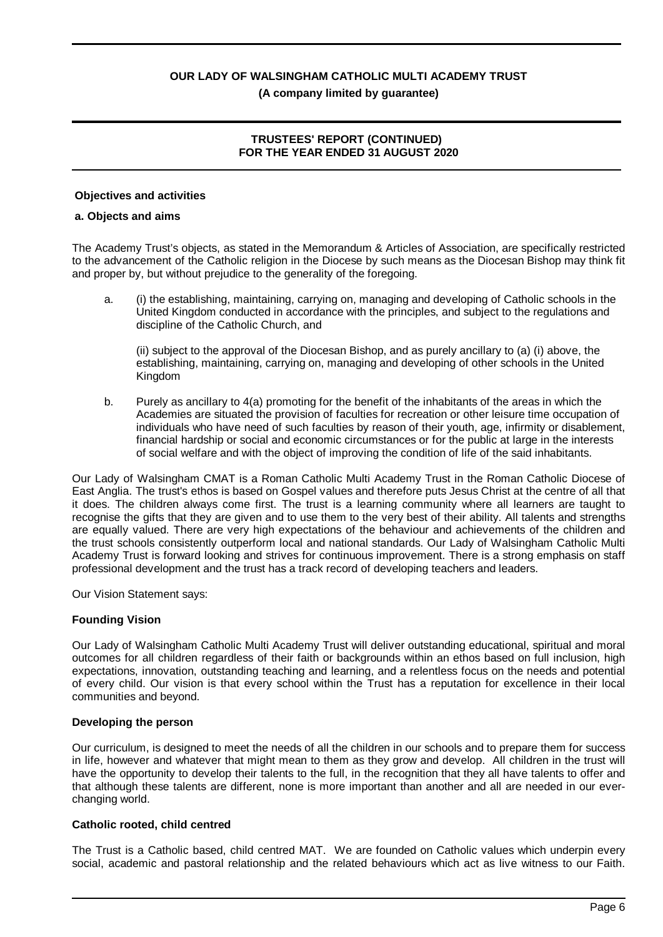# **TRUSTEES' REPORT (CONTINUED) FOR THE YEAR ENDED 31 AUGUST 2020**

#### **Objectives and activities**

#### **a. Objects and aims**

The Academy Trust's objects, as stated in the Memorandum & Articles of Association, are specifically restricted to the advancement of the Catholic religion in the Diocese by such means as the Diocesan Bishop may think fit and proper by, but without prejudice to the generality of the foregoing.

a. (i) the establishing, maintaining, carrying on, managing and developing of Catholic schools in the United Kingdom conducted in accordance with the principles, and subject to the regulations and discipline of the Catholic Church, and

(ii) subject to the approval of the Diocesan Bishop, and as purely ancillary to (a) (i) above, the establishing, maintaining, carrying on, managing and developing of other schools in the United Kingdom

b. Purely as ancillary to 4(a) promoting for the benefit of the inhabitants of the areas in which the Academies are situated the provision of faculties for recreation or other leisure time occupation of individuals who have need of such faculties by reason of their youth, age, infirmity or disablement, financial hardship or social and economic circumstances or for the public at large in the interests of social welfare and with the object of improving the condition of life of the said inhabitants.

Our Lady of Walsingham CMAT is a Roman Catholic Multi Academy Trust in the Roman Catholic Diocese of East Anglia. The trust's ethos is based on Gospel values and therefore puts Jesus Christ at the centre of all that it does. The children always come first. The trust is a learning community where all learners are taught to recognise the gifts that they are given and to use them to the very best of their ability. All talents and strengths are equally valued. There are very high expectations of the behaviour and achievements of the children and the trust schools consistently outperform local and national standards. Our Lady of Walsingham Catholic Multi Academy Trust is forward looking and strives for continuous improvement. There is a strong emphasis on staff professional development and the trust has a track record of developing teachers and leaders.

Our Vision Statement says:

#### **Founding Vision**

Our Lady of Walsingham Catholic Multi Academy Trust will deliver outstanding educational, spiritual and moral outcomes for all children regardless of their faith or backgrounds within an ethos based on full inclusion, high expectations, innovation, outstanding teaching and learning, and a relentless focus on the needs and potential of every child. Our vision is that every school within the Trust has a reputation for excellence in their local communities and beyond.

#### **Developing the person**

Our curriculum, is designed to meet the needs of all the children in our schools and to prepare them for success in life, however and whatever that might mean to them as they grow and develop. All children in the trust will have the opportunity to develop their talents to the full, in the recognition that they all have talents to offer and that although these talents are different, none is more important than another and all are needed in our everchanging world.

#### **Catholic rooted, child centred**

The Trust is a Catholic based, child centred MAT. We are founded on Catholic values which underpin every social, academic and pastoral relationship and the related behaviours which act as live witness to our Faith.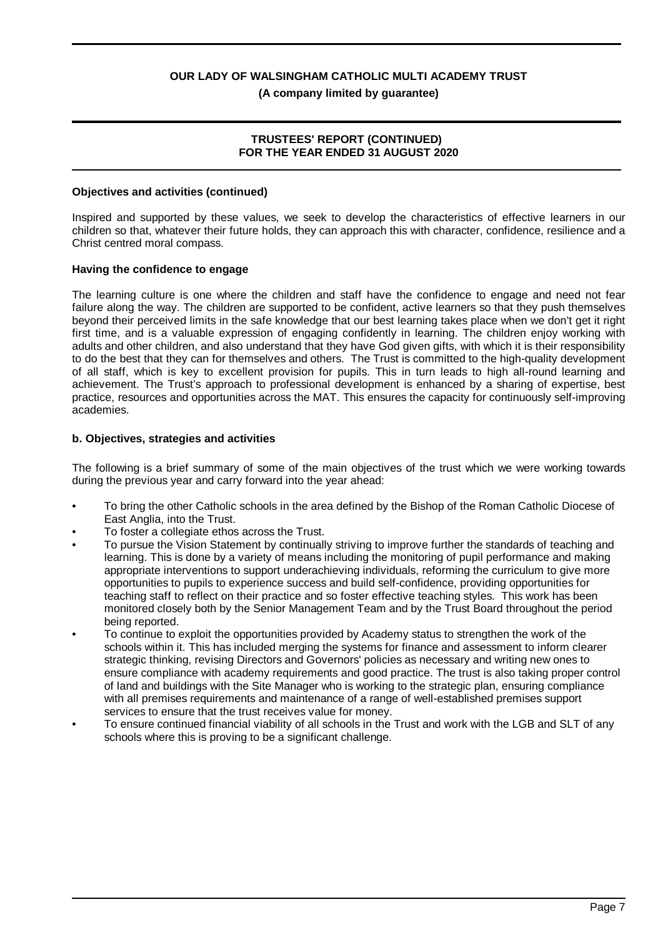**(A company limited by guarantee)**

### **TRUSTEES' REPORT (CONTINUED) FOR THE YEAR ENDED 31 AUGUST 2020**

### **Objectives and activities (continued)**

Inspired and supported by these values, we seek to develop the characteristics of effective learners in our children so that, whatever their future holds, they can approach this with character, confidence, resilience and a Christ centred moral compass.

# **Having the confidence to engage**

The learning culture is one where the children and staff have the confidence to engage and need not fear failure along the way. The children are supported to be confident, active learners so that they push themselves beyond their perceived limits in the safe knowledge that our best learning takes place when we don't get it right first time, and is a valuable expression of engaging confidently in learning. The children enjoy working with adults and other children, and also understand that they have God given gifts, with which it is their responsibility to do the best that they can for themselves and others. The Trust is committed to the high-quality development of all staff, which is key to excellent provision for pupils. This in turn leads to high all-round learning and achievement. The Trust's approach to professional development is enhanced by a sharing of expertise, best practice, resources and opportunities across the MAT. This ensures the capacity for continuously self-improving academies.

# **b. Objectives, strategies and activities**

The following is a brief summary of some of the main objectives of the trust which we were working towards during the previous year and carry forward into the year ahead:

- To bring the other Catholic schools in the area defined by the Bishop of the Roman Catholic Diocese of East Anglia, into the Trust.
- To foster a collegiate ethos across the Trust.
- To pursue the Vision Statement by continually striving to improve further the standards of teaching and learning. This is done by a variety of means including the monitoring of pupil performance and making appropriate interventions to support underachieving individuals, reforming the curriculum to give more opportunities to pupils to experience success and build self-confidence, providing opportunities for teaching staff to reflect on their practice and so foster effective teaching styles. This work has been monitored closely both by the Senior Management Team and by the Trust Board throughout the period being reported.
- To continue to exploit the opportunities provided by Academy status to strengthen the work of the schools within it. This has included merging the systems for finance and assessment to inform clearer strategic thinking, revising Directors and Governors' policies as necessary and writing new ones to ensure compliance with academy requirements and good practice. The trust is also taking proper control of land and buildings with the Site Manager who is working to the strategic plan, ensuring compliance with all premises requirements and maintenance of a range of well-established premises support services to ensure that the trust receives value for money.
- To ensure continued financial viability of all schools in the Trust and work with the LGB and SLT of any schools where this is proving to be a significant challenge.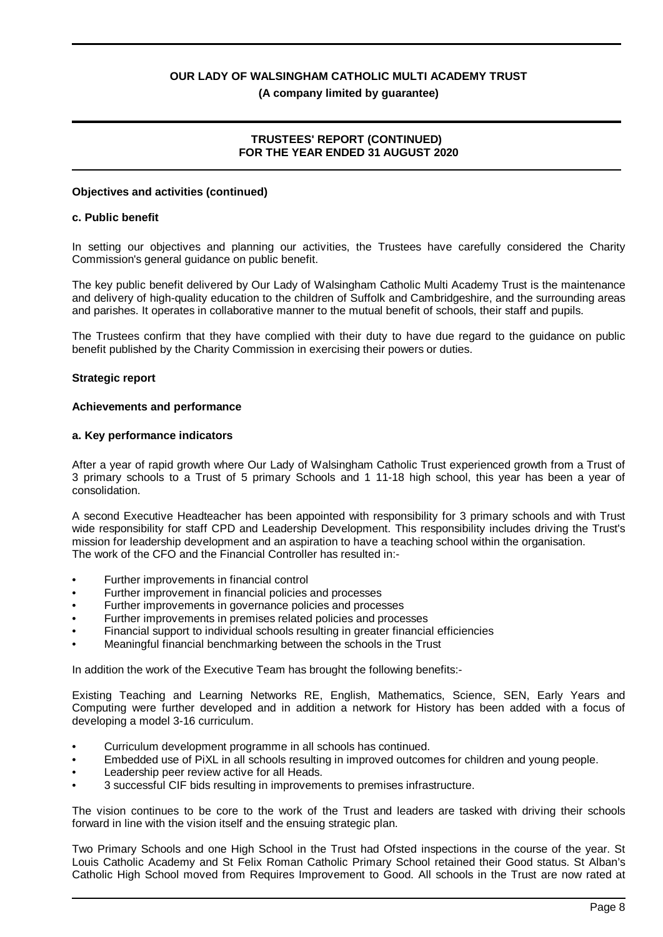# **TRUSTEES' REPORT (CONTINUED) FOR THE YEAR ENDED 31 AUGUST 2020**

#### **Objectives and activities (continued)**

#### **c. Public benefit**

In setting our objectives and planning our activities, the Trustees have carefully considered the Charity Commission's general guidance on public benefit.

The key public benefit delivered by Our Lady of Walsingham Catholic Multi Academy Trust is the maintenance and delivery of high-quality education to the children of Suffolk and Cambridgeshire, and the surrounding areas and parishes. It operates in collaborative manner to the mutual benefit of schools, their staff and pupils.

The Trustees confirm that they have complied with their duty to have due regard to the guidance on public benefit published by the Charity Commission in exercising their powers or duties.

#### **Strategic report**

#### **Achievements and performance**

#### **a. Key performance indicators**

After a year of rapid growth where Our Lady of Walsingham Catholic Trust experienced growth from a Trust of 3 primary schools to a Trust of 5 primary Schools and 1 11-18 high school, this year has been a year of consolidation.

A second Executive Headteacher has been appointed with responsibility for 3 primary schools and with Trust wide responsibility for staff CPD and Leadership Development. This responsibility includes driving the Trust's mission for leadership development and an aspiration to have a teaching school within the organisation. The work of the CFO and the Financial Controller has resulted in:-

- Further improvements in financial control
- Further improvement in financial policies and processes
- Further improvements in governance policies and processes
- Further improvements in premises related policies and processes
- Financial support to individual schools resulting in greater financial efficiencies
- Meaningful financial benchmarking between the schools in the Trust

In addition the work of the Executive Team has brought the following benefits:-

Existing Teaching and Learning Networks RE, English, Mathematics, Science, SEN, Early Years and Computing were further developed and in addition a network for History has been added with a focus of developing a model 3-16 curriculum.

- Curriculum development programme in all schools has continued.
- Embedded use of PiXL in all schools resulting in improved outcomes for children and young people.
- Leadership peer review active for all Heads.
- 3 successful CIF bids resulting in improvements to premises infrastructure.

The vision continues to be core to the work of the Trust and leaders are tasked with driving their schools forward in line with the vision itself and the ensuing strategic plan.

Two Primary Schools and one High School in the Trust had Ofsted inspections in the course of the year. St Louis Catholic Academy and St Felix Roman Catholic Primary School retained their Good status. St Alban's Catholic High School moved from Requires Improvement to Good. All schools in the Trust are now rated at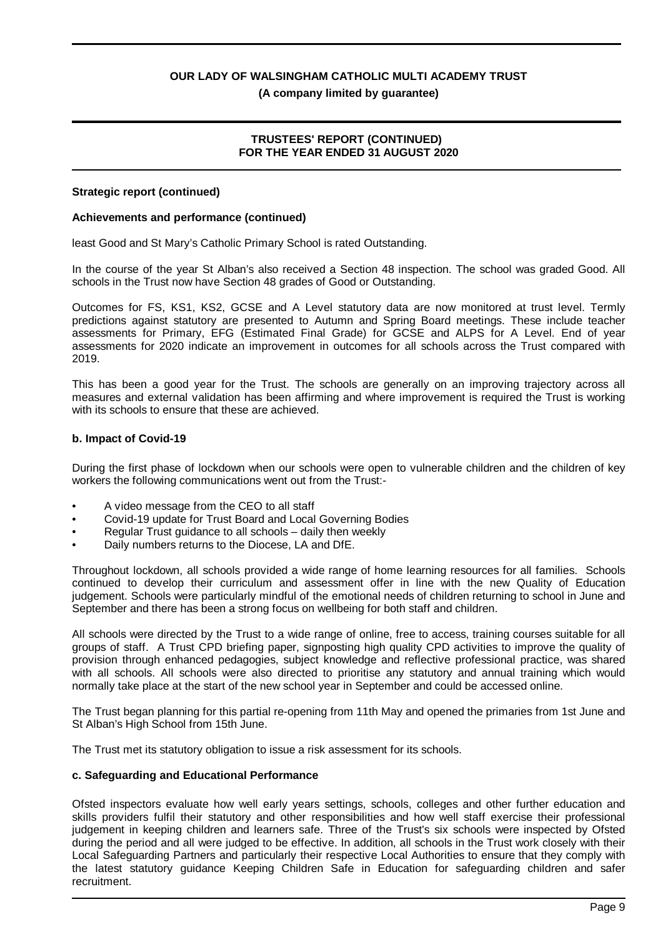**(A company limited by guarantee)**

# **TRUSTEES' REPORT (CONTINUED) FOR THE YEAR ENDED 31 AUGUST 2020**

#### **Strategic report (continued)**

# **Achievements and performance (continued)**

least Good and St Mary's Catholic Primary School is rated Outstanding.

In the course of the year St Alban's also received a Section 48 inspection. The school was graded Good. All schools in the Trust now have Section 48 grades of Good or Outstanding.

Outcomes for FS, KS1, KS2, GCSE and A Level statutory data are now monitored at trust level. Termly predictions against statutory are presented to Autumn and Spring Board meetings. These include teacher assessments for Primary, EFG (Estimated Final Grade) for GCSE and ALPS for A Level. End of year assessments for 2020 indicate an improvement in outcomes for all schools across the Trust compared with 2019.

This has been a good year for the Trust. The schools are generally on an improving trajectory across all measures and external validation has been affirming and where improvement is required the Trust is working with its schools to ensure that these are achieved.

# **b. Impact of Covid-19**

During the first phase of lockdown when our schools were open to vulnerable children and the children of key workers the following communications went out from the Trust:-

- A video message from the CEO to all staff
- Covid-19 update for Trust Board and Local Governing Bodies
- Regular Trust guidance to all schools daily then weekly
- Daily numbers returns to the Diocese, LA and DfE.

Throughout lockdown, all schools provided a wide range of home learning resources for all families. Schools continued to develop their curriculum and assessment offer in line with the new Quality of Education judgement. Schools were particularly mindful of the emotional needs of children returning to school in June and September and there has been a strong focus on wellbeing for both staff and children.

All schools were directed by the Trust to a wide range of online, free to access, training courses suitable for all groups of staff. A Trust CPD briefing paper, signposting high quality CPD activities to improve the quality of provision through enhanced pedagogies, subject knowledge and reflective professional practice, was shared with all schools. All schools were also directed to prioritise any statutory and annual training which would normally take place at the start of the new school year in September and could be accessed online.

The Trust began planning for this partial re-opening from 11th May and opened the primaries from 1st June and St Alban's High School from 15th June.

The Trust met its statutory obligation to issue a risk assessment for its schools.

#### **c. Safeguarding and Educational Performance**

Ofsted inspectors evaluate how well early years settings, schools, colleges and other further education and skills providers fulfil their statutory and other responsibilities and how well staff exercise their professional judgement in keeping children and learners safe. Three of the Trust's six schools were inspected by Ofsted during the period and all were judged to be effective. In addition, all schools in the Trust work closely with their Local Safeguarding Partners and particularly their respective Local Authorities to ensure that they comply with the latest statutory guidance Keeping Children Safe in Education for safeguarding children and safer recruitment.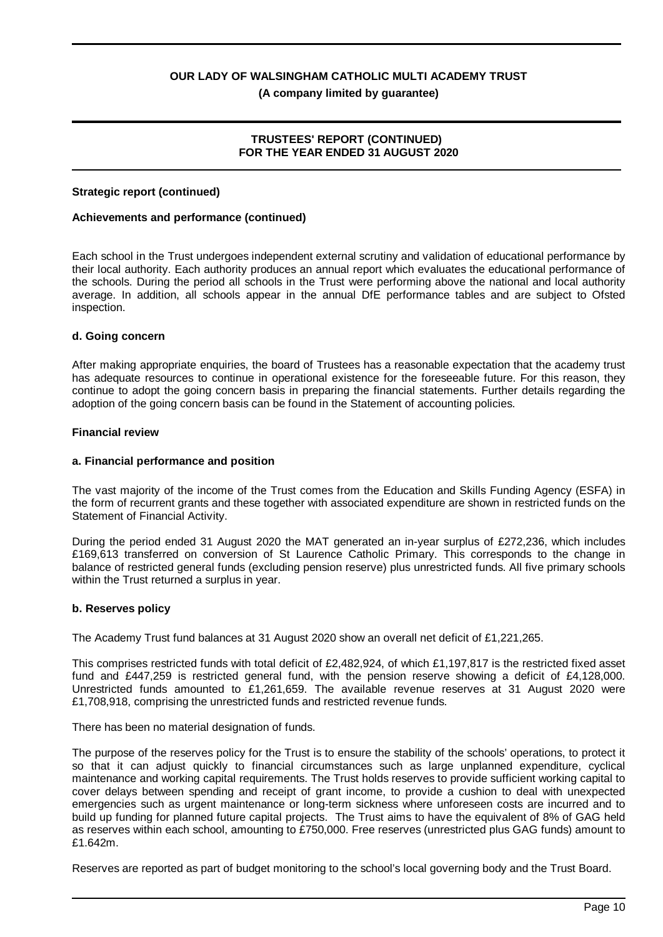**(A company limited by guarantee)**

# **TRUSTEES' REPORT (CONTINUED) FOR THE YEAR ENDED 31 AUGUST 2020**

#### **Strategic report (continued)**

#### **Achievements and performance (continued)**

Each school in the Trust undergoes independent external scrutiny and validation of educational performance by their local authority. Each authority produces an annual report which evaluates the educational performance of the schools. During the period all schools in the Trust were performing above the national and local authority average. In addition, all schools appear in the annual DfE performance tables and are subject to Ofsted inspection.

#### **d. Going concern**

After making appropriate enquiries, the board of Trustees has a reasonable expectation that the academy trust has adequate resources to continue in operational existence for the foreseeable future. For this reason, they continue to adopt the going concern basis in preparing the financial statements. Further details regarding the adoption of the going concern basis can be found in the Statement of accounting policies.

#### **Financial review**

#### **a. Financial performance and position**

The vast majority of the income of the Trust comes from the Education and Skills Funding Agency (ESFA) in the form of recurrent grants and these together with associated expenditure are shown in restricted funds on the Statement of Financial Activity.

During the period ended 31 August 2020 the MAT generated an in-year surplus of £272,236, which includes £169,613 transferred on conversion of St Laurence Catholic Primary. This corresponds to the change in balance of restricted general funds (excluding pension reserve) plus unrestricted funds. All five primary schools within the Trust returned a surplus in year.

#### **b. Reserves policy**

The Academy Trust fund balances at 31 August 2020 show an overall net deficit of £1,221,265.

This comprises restricted funds with total deficit of £2,482,924, of which £1,197,817 is the restricted fixed asset fund and £447,259 is restricted general fund, with the pension reserve showing a deficit of £4,128,000. Unrestricted funds amounted to £1,261,659. The available revenue reserves at 31 August 2020 were £1,708,918, comprising the unrestricted funds and restricted revenue funds.

There has been no material designation of funds.

The purpose of the reserves policy for the Trust is to ensure the stability of the schools' operations, to protect it so that it can adjust quickly to financial circumstances such as large unplanned expenditure, cyclical maintenance and working capital requirements. The Trust holds reserves to provide sufficient working capital to cover delays between spending and receipt of grant income, to provide a cushion to deal with unexpected emergencies such as urgent maintenance or long-term sickness where unforeseen costs are incurred and to build up funding for planned future capital projects. The Trust aims to have the equivalent of 8% of GAG held as reserves within each school, amounting to £750,000. Free reserves (unrestricted plus GAG funds) amount to £1.642m.

Reserves are reported as part of budget monitoring to the school's local governing body and the Trust Board.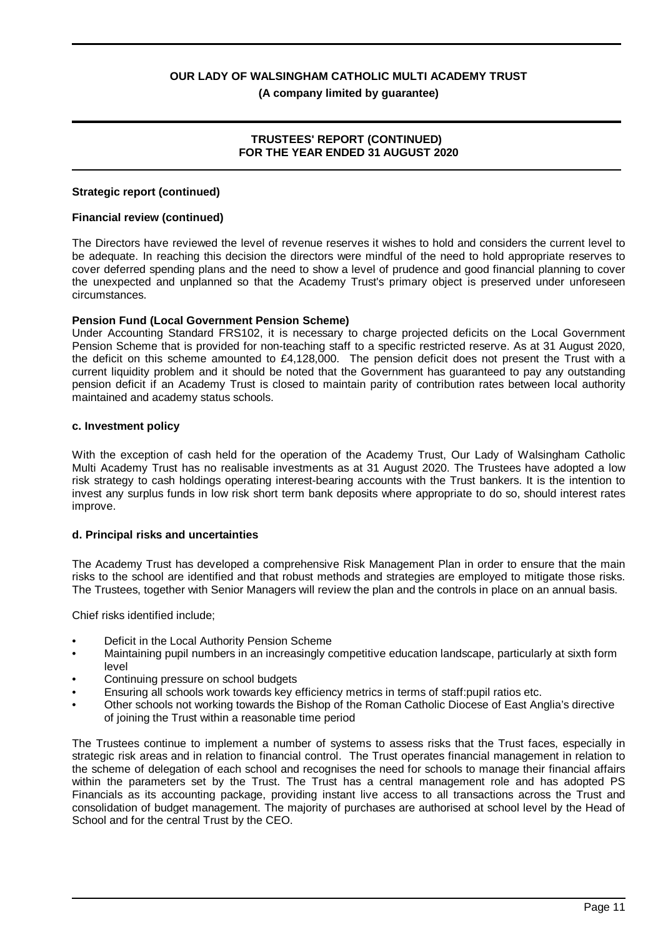# **TRUSTEES' REPORT (CONTINUED) FOR THE YEAR ENDED 31 AUGUST 2020**

#### **Strategic report (continued)**

#### **Financial review (continued)**

The Directors have reviewed the level of revenue reserves it wishes to hold and considers the current level to be adequate. In reaching this decision the directors were mindful of the need to hold appropriate reserves to cover deferred spending plans and the need to show a level of prudence and good financial planning to cover the unexpected and unplanned so that the Academy Trust's primary object is preserved under unforeseen circumstances.

#### **Pension Fund (Local Government Pension Scheme)**

Under Accounting Standard FRS102, it is necessary to charge projected deficits on the Local Government Pension Scheme that is provided for non-teaching staff to a specific restricted reserve. As at 31 August 2020, the deficit on this scheme amounted to £4,128,000. The pension deficit does not present the Trust with a current liquidity problem and it should be noted that the Government has guaranteed to pay any outstanding pension deficit if an Academy Trust is closed to maintain parity of contribution rates between local authority maintained and academy status schools.

#### **c. Investment policy**

With the exception of cash held for the operation of the Academy Trust, Our Lady of Walsingham Catholic Multi Academy Trust has no realisable investments as at 31 August 2020. The Trustees have adopted a low risk strategy to cash holdings operating interest-bearing accounts with the Trust bankers. It is the intention to invest any surplus funds in low risk short term bank deposits where appropriate to do so, should interest rates improve.

#### **d. Principal risks and uncertainties**

The Academy Trust has developed a comprehensive Risk Management Plan in order to ensure that the main risks to the school are identified and that robust methods and strategies are employed to mitigate those risks. The Trustees, together with Senior Managers will review the plan and the controls in place on an annual basis.

Chief risks identified include;

- Deficit in the Local Authority Pension Scheme
- Maintaining pupil numbers in an increasingly competitive education landscape, particularly at sixth form level
- Continuing pressure on school budgets
- Ensuring all schools work towards key efficiency metrics in terms of staff:pupil ratios etc.
- Other schools not working towards the Bishop of the Roman Catholic Diocese of East Anglia's directive of joining the Trust within a reasonable time period

The Trustees continue to implement a number of systems to assess risks that the Trust faces, especially in strategic risk areas and in relation to financial control. The Trust operates financial management in relation to the scheme of delegation of each school and recognises the need for schools to manage their financial affairs within the parameters set by the Trust. The Trust has a central management role and has adopted PS Financials as its accounting package, providing instant live access to all transactions across the Trust and consolidation of budget management. The majority of purchases are authorised at school level by the Head of School and for the central Trust by the CEO.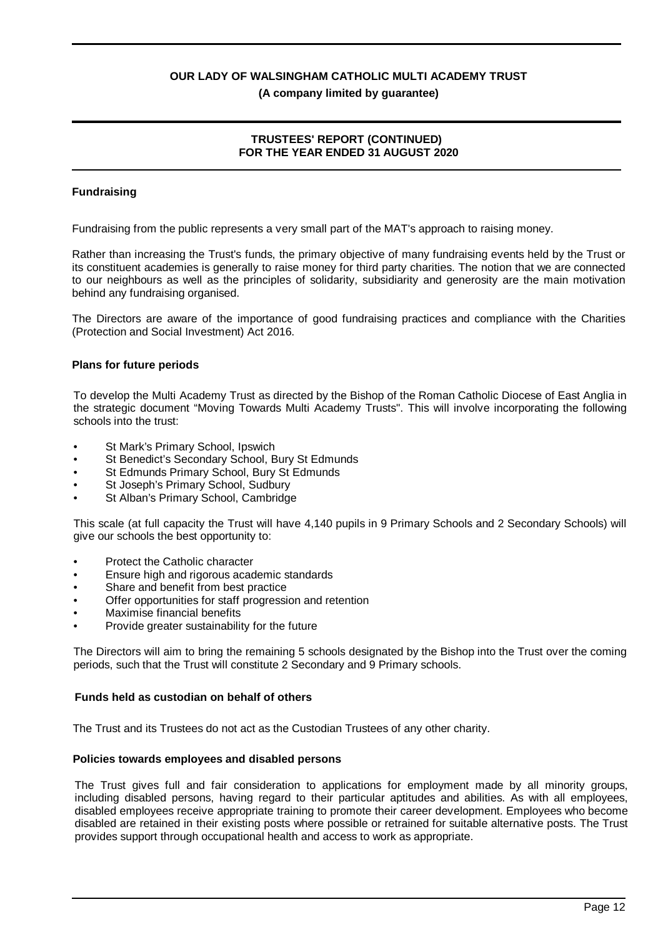#### **(A company limited by guarantee)**

# **TRUSTEES' REPORT (CONTINUED) FOR THE YEAR ENDED 31 AUGUST 2020**

# **Fundraising**

Fundraising from the public represents a very small part of the MAT's approach to raising money.

Rather than increasing the Trust's funds, the primary objective of many fundraising events held by the Trust or its constituent academies is generally to raise money for third party charities. The notion that we are connected to our neighbours as well as the principles of solidarity, subsidiarity and generosity are the main motivation behind any fundraising organised.

The Directors are aware of the importance of good fundraising practices and compliance with the Charities (Protection and Social Investment) Act 2016.

# **Plans for future periods**

To develop the Multi Academy Trust as directed by the Bishop of the Roman Catholic Diocese of East Anglia in the strategic document "Moving Towards Multi Academy Trusts". This will involve incorporating the following schools into the trust:

- St Mark's Primary School, Ipswich
- St Benedict's Secondary School, Bury St Edmunds
- St Edmunds Primary School, Bury St Edmunds
- St Joseph's Primary School, Sudbury
- St Alban's Primary School, Cambridge

This scale (at full capacity the Trust will have 4,140 pupils in 9 Primary Schools and 2 Secondary Schools) will give our schools the best opportunity to:

- Protect the Catholic character
- Ensure high and rigorous academic standards
- Share and benefit from best practice
- Offer opportunities for staff progression and retention
- Maximise financial benefits
- Provide greater sustainability for the future

The Directors will aim to bring the remaining 5 schools designated by the Bishop into the Trust over the coming periods, such that the Trust will constitute 2 Secondary and 9 Primary schools.

# **Funds held as custodian on behalf of others**

The Trust and its Trustees do not act as the Custodian Trustees of any other charity.

#### **Policies towards employees and disabled persons**

The Trust gives full and fair consideration to applications for employment made by all minority groups, including disabled persons, having regard to their particular aptitudes and abilities. As with all employees, disabled employees receive appropriate training to promote their career development. Employees who become disabled are retained in their existing posts where possible or retrained for suitable alternative posts. The Trust provides support through occupational health and access to work as appropriate.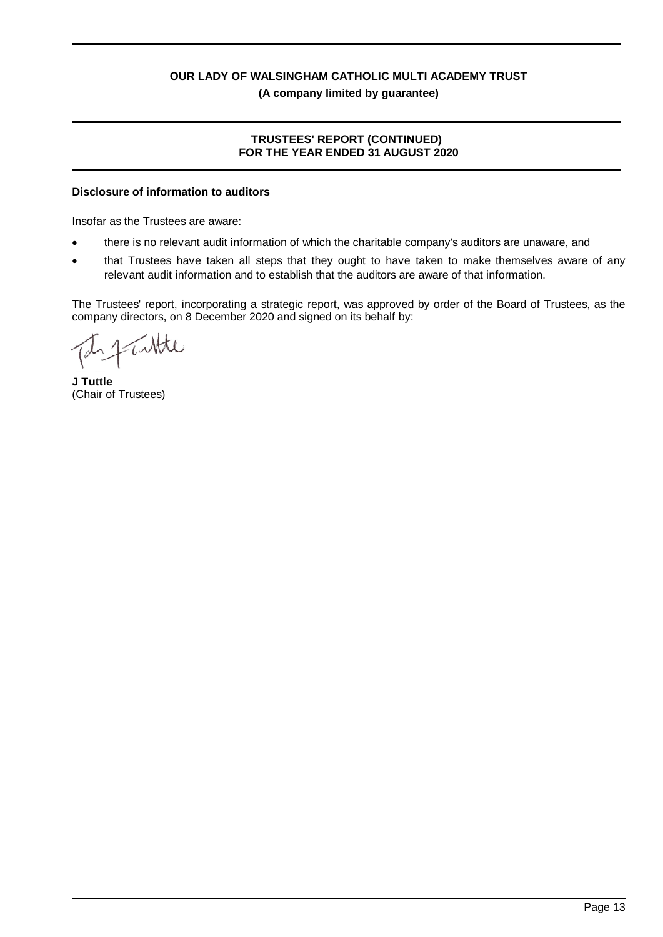# **TRUSTEES' REPORT (CONTINUED) FOR THE YEAR ENDED 31 AUGUST 2020**

# **Disclosure of information to auditors**

Insofar as the Trustees are aware:

- there is no relevant audit information of which the charitable company's auditors are unaware, and
- that Trustees have taken all steps that they ought to have taken to make themselves aware of any relevant audit information and to establish that the auditors are aware of that information.

The Trustees' report, incorporating a strategic report, was approved by order of the Board of Trustees, as the company directors, on 8 December 2020 and signed on its behalf by:

**J Tuttle** (Chair of Trustees)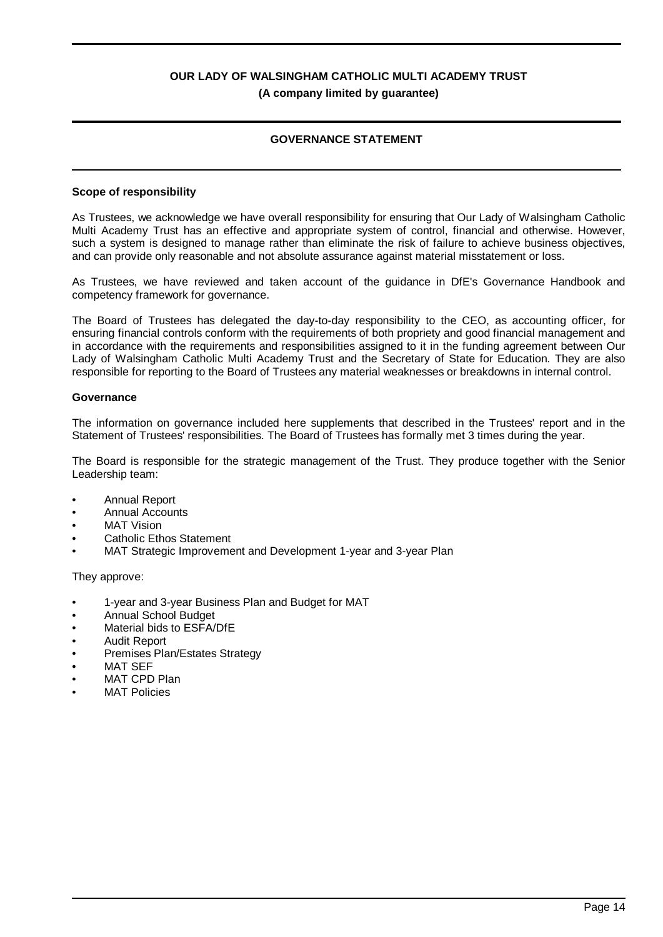# **GOVERNANCE STATEMENT**

#### **Scope of responsibility**

As Trustees, we acknowledge we have overall responsibility for ensuring that Our Lady of Walsingham Catholic Multi Academy Trust has an effective and appropriate system of control, financial and otherwise. However, such a system is designed to manage rather than eliminate the risk of failure to achieve business objectives, and can provide only reasonable and not absolute assurance against material misstatement or loss.

As Trustees, we have reviewed and taken account of the guidance in DfE's Governance Handbook and competency framework for governance.

The Board of Trustees has delegated the day-to-day responsibility to the CEO, as accounting officer, for ensuring financial controls conform with the requirements of both propriety and good financial management and in accordance with the requirements and responsibilities assigned to it in the funding agreement between Our Lady of Walsingham Catholic Multi Academy Trust and the Secretary of State for Education. They are also responsible for reporting to the Board of Trustees any material weaknesses or breakdowns in internal control.

#### **Governance**

The information on governance included here supplements that described in the Trustees' report and in the Statement of Trustees' responsibilities. The Board of Trustees has formally met 3 times during the year.

The Board is responsible for the strategic management of the Trust. They produce together with the Senior Leadership team:

- Annual Report
- Annual Accounts
- **MAT Vision**
- Catholic Ethos Statement
- MAT Strategic Improvement and Development 1-year and 3-year Plan

They approve:

- 1-year and 3-year Business Plan and Budget for MAT
- Annual School Budget
- Material bids to ESFA/DfE
- Audit Report
- Premises Plan/Estates Strategy
- **MAT SEF**
- MAT CPD Plan
- **MAT Policies**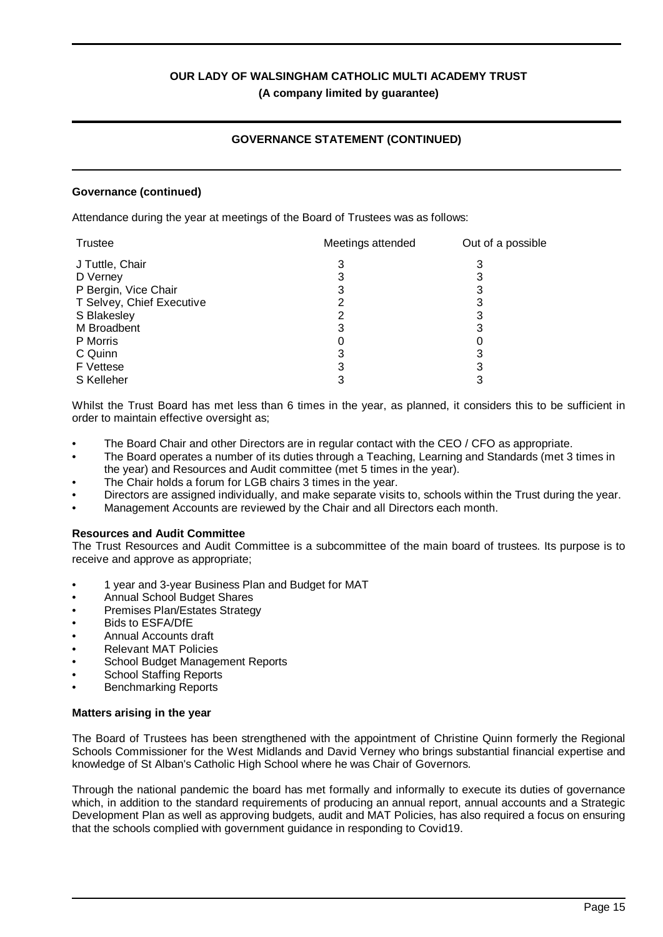# **GOVERNANCE STATEMENT (CONTINUED)**

### **Governance (continued)**

Attendance during the year at meetings of the Board of Trustees was as follows:

| Trustee                   | Meetings attended | Out of a possible |
|---------------------------|-------------------|-------------------|
| J Tuttle, Chair           |                   |                   |
| D Verney                  | د                 |                   |
| P Bergin, Vice Chair      | 3                 |                   |
| T Selvey, Chief Executive |                   |                   |
| S Blakesley               |                   |                   |
| M Broadbent               |                   |                   |
| P Morris                  |                   |                   |
| C Quinn                   | 3                 |                   |
| F Vettese                 |                   |                   |
| S Kelleher                |                   |                   |

Whilst the Trust Board has met less than 6 times in the year, as planned, it considers this to be sufficient in order to maintain effective oversight as;

- The Board Chair and other Directors are in regular contact with the CEO / CFO as appropriate.
- The Board operates a number of its duties through a Teaching, Learning and Standards (met 3 times in the year) and Resources and Audit committee (met 5 times in the year).
- The Chair holds a forum for LGB chairs 3 times in the year.
- Directors are assigned individually, and make separate visits to, schools within the Trust during the year.
- Management Accounts are reviewed by the Chair and all Directors each month.

#### **Resources and Audit Committee**

The Trust Resources and Audit Committee is a subcommittee of the main board of trustees. Its purpose is to receive and approve as appropriate;

- 1 year and 3-year Business Plan and Budget for MAT
- Annual School Budget Shares
- Premises Plan/Estates Strategy
- Bids to ESFA/DfE
- Annual Accounts draft
- Relevant MAT Policies
- School Budget Management Reports
- School Staffing Reports
- Benchmarking Reports

#### **Matters arising in the year**

The Board of Trustees has been strengthened with the appointment of Christine Quinn formerly the Regional Schools Commissioner for the West Midlands and David Verney who brings substantial financial expertise and knowledge of St Alban's Catholic High School where he was Chair of Governors.

Through the national pandemic the board has met formally and informally to execute its duties of governance which, in addition to the standard requirements of producing an annual report, annual accounts and a Strategic Development Plan as well as approving budgets, audit and MAT Policies, has also required a focus on ensuring that the schools complied with government guidance in responding to Covid19.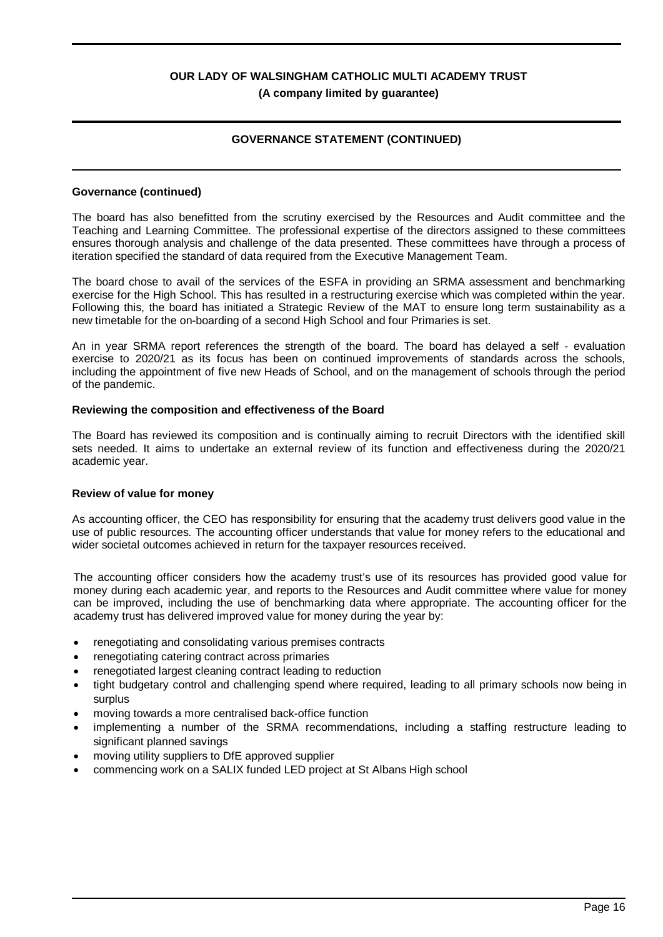# **GOVERNANCE STATEMENT (CONTINUED)**

#### **Governance (continued)**

The board has also benefitted from the scrutiny exercised by the Resources and Audit committee and the Teaching and Learning Committee. The professional expertise of the directors assigned to these committees ensures thorough analysis and challenge of the data presented. These committees have through a process of iteration specified the standard of data required from the Executive Management Team.

The board chose to avail of the services of the ESFA in providing an SRMA assessment and benchmarking exercise for the High School. This has resulted in a restructuring exercise which was completed within the year. Following this, the board has initiated a Strategic Review of the MAT to ensure long term sustainability as a new timetable for the on-boarding of a second High School and four Primaries is set.

An in year SRMA report references the strength of the board. The board has delayed a self - evaluation exercise to 2020/21 as its focus has been on continued improvements of standards across the schools, including the appointment of five new Heads of School, and on the management of schools through the period of the pandemic.

#### **Reviewing the composition and effectiveness of the Board**

The Board has reviewed its composition and is continually aiming to recruit Directors with the identified skill sets needed. It aims to undertake an external review of its function and effectiveness during the 2020/21 academic year.

#### **Review of value for money**

As accounting officer, the CEO has responsibility for ensuring that the academy trust delivers good value in the use of public resources. The accounting officer understands that value for money refers to the educational and wider societal outcomes achieved in return for the taxpayer resources received.

The accounting officer considers how the academy trust's use of its resources has provided good value for money during each academic year, and reports to the Resources and Audit committee where value for money can be improved, including the use of benchmarking data where appropriate. The accounting officer for the academy trust has delivered improved value for money during the year by:

- renegotiating and consolidating various premises contracts
- renegotiating catering contract across primaries
- renegotiated largest cleaning contract leading to reduction
- tight budgetary control and challenging spend where required, leading to all primary schools now being in surplus
- moving towards a more centralised back-office function
- · implementing a number of the SRMA recommendations, including a staffing restructure leading to significant planned savings
- moving utility suppliers to DfE approved supplier
- commencing work on a SALIX funded LED project at St Albans High school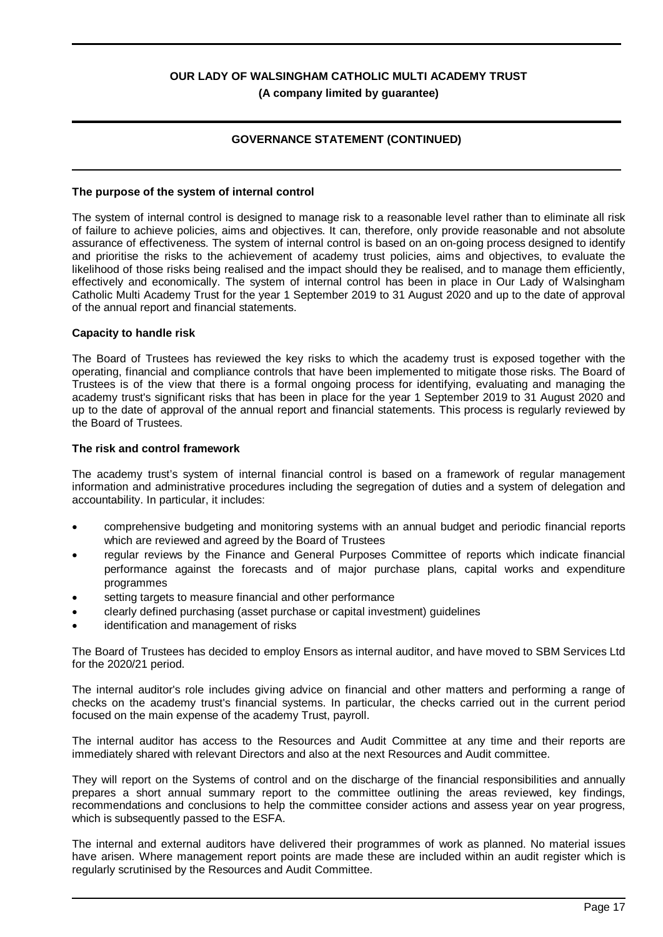# **GOVERNANCE STATEMENT (CONTINUED)**

#### **The purpose of the system of internal control**

The system of internal control is designed to manage risk to a reasonable level rather than to eliminate all risk of failure to achieve policies, aims and objectives. It can, therefore, only provide reasonable and not absolute assurance of effectiveness. The system of internal control is based on an on-going process designed to identify and prioritise the risks to the achievement of academy trust policies, aims and objectives, to evaluate the likelihood of those risks being realised and the impact should they be realised, and to manage them efficiently, effectively and economically. The system of internal control has been in place in Our Lady of Walsingham Catholic Multi Academy Trust for the year 1 September 2019 to 31 August 2020 and up to the date of approval of the annual report and financial statements.

#### **Capacity to handle risk**

The Board of Trustees has reviewed the key risks to which the academy trust is exposed together with the operating, financial and compliance controls that have been implemented to mitigate those risks. The Board of Trustees is of the view that there is a formal ongoing process for identifying, evaluating and managing the academy trust's significant risks that has been in place for the year 1 September 2019 to 31 August 2020 and up to the date of approval of the annual report and financial statements. This process is regularly reviewed by the Board of Trustees.

#### **The risk and control framework**

The academy trust's system of internal financial control is based on a framework of regular management information and administrative procedures including the segregation of duties and a system of delegation and accountability. In particular, it includes:

- · comprehensive budgeting and monitoring systems with an annual budget and periodic financial reports which are reviewed and agreed by the Board of Trustees
- · regular reviews by the Finance and General Purposes Committee of reports which indicate financial performance against the forecasts and of major purchase plans, capital works and expenditure programmes
- setting targets to measure financial and other performance
- · clearly defined purchasing (asset purchase or capital investment) guidelines
- identification and management of risks

The Board of Trustees has decided to employ Ensors as internal auditor, and have moved to SBM Services Ltd for the 2020/21 period.

The internal auditor's role includes giving advice on financial and other matters and performing a range of checks on the academy trust's financial systems. In particular, the checks carried out in the current period focused on the main expense of the academy Trust, payroll.

The internal auditor has access to the Resources and Audit Committee at any time and their reports are immediately shared with relevant Directors and also at the next Resources and Audit committee.

They will report on the Systems of control and on the discharge of the financial responsibilities and annually prepares a short annual summary report to the committee outlining the areas reviewed, key findings, recommendations and conclusions to help the committee consider actions and assess year on year progress, which is subsequently passed to the ESFA.

The internal and external auditors have delivered their programmes of work as planned. No material issues have arisen. Where management report points are made these are included within an audit register which is regularly scrutinised by the Resources and Audit Committee.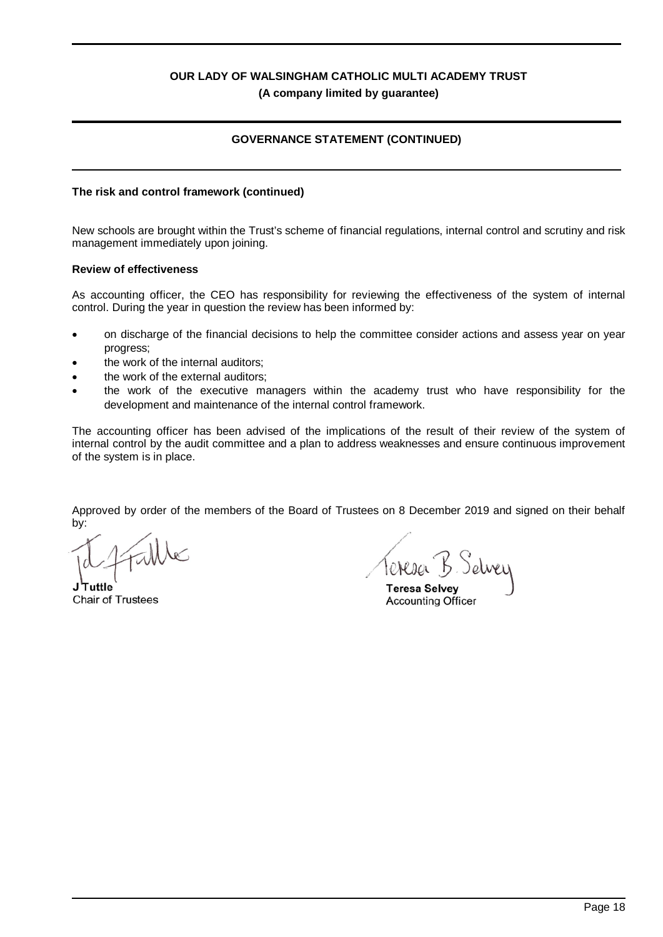# **GOVERNANCE STATEMENT (CONTINUED)**

#### **The risk and control framework (continued)**

New schools are brought within the Trust's scheme of financial regulations, internal control and scrutiny and risk management immediately upon joining.

#### **Review of effectiveness**

As accounting officer, the CEO has responsibility for reviewing the effectiveness of the system of internal control. During the year in question the review has been informed by:

- on discharge of the financial decisions to help the committee consider actions and assess year on year progress;
- the work of the internal auditors:
- the work of the external auditors;
- the work of the executive managers within the academy trust who have responsibility for the development and maintenance of the internal control framework.

The accounting officer has been advised of the implications of the result of their review of the system of internal control by the audit committee and a plan to address weaknesses and ensure continuous improvement of the system is in place.

Approved by order of the members of the Board of Trustees on 8 December 2019 and signed on their behalf by:

**J Tuttle** Chair of Trustees

Teresa B. Selvey

**Teresa Selvey** Accounting Officer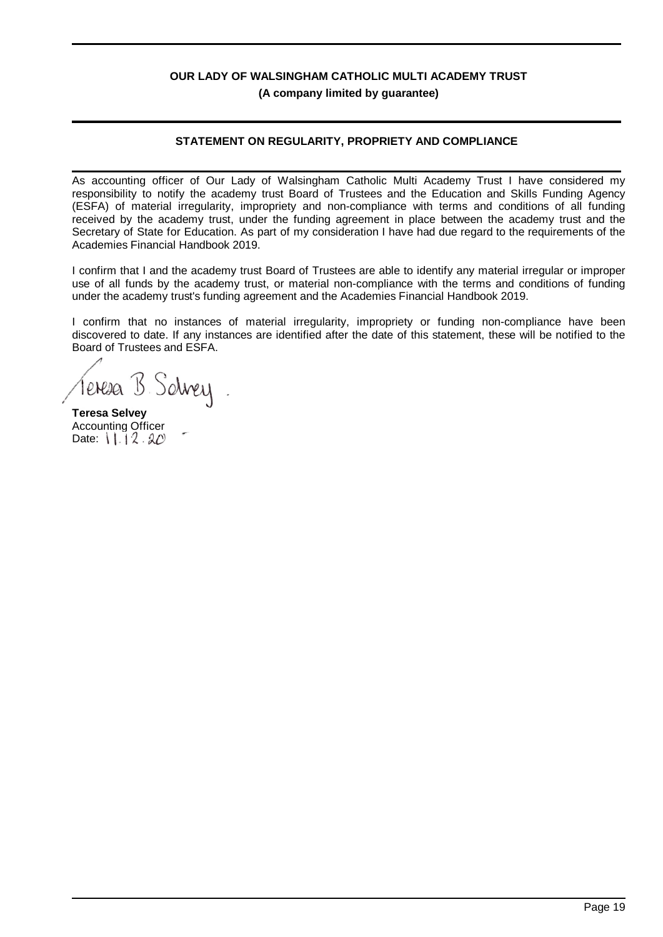# **STATEMENT ON REGULARITY, PROPRIETY AND COMPLIANCE**

As accounting officer of Our Lady of Walsingham Catholic Multi Academy Trust I have considered my responsibility to notify the academy trust Board of Trustees and the Education and Skills Funding Agency (ESFA) of material irregularity, impropriety and non-compliance with terms and conditions of all funding received by the academy trust, under the funding agreement in place between the academy trust and the Secretary of State for Education. As part of my consideration I have had due regard to the requirements of the Academies Financial Handbook 2019.

I confirm that I and the academy trust Board of Trustees are able to identify any material irregular or improper use of all funds by the academy trust, or material non-compliance with the terms and conditions of funding under the academy trust's funding agreement and the Academies Financial Handbook 2019.

I confirm that no instances of material irregularity, impropriety or funding non-compliance have been discovered to date. If any instances are identified after the date of this statement, these will be notified to the Board of Trustees and ESFA.

Teresa B. Solvey

**Teresa Selvey** Accounting Officer Date:  $11.12.20$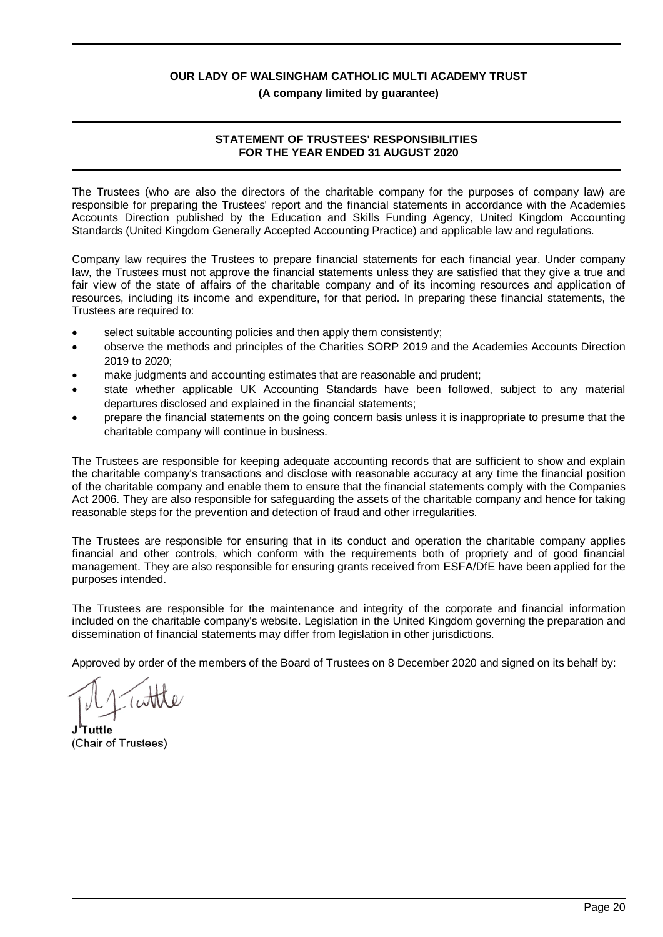### **(A company limited by guarantee)**

# **STATEMENT OF TRUSTEES' RESPONSIBILITIES FOR THE YEAR ENDED 31 AUGUST 2020**

The Trustees (who are also the directors of the charitable company for the purposes of company law) are responsible for preparing the Trustees' report and the financial statements in accordance with the Academies Accounts Direction published by the Education and Skills Funding Agency, United Kingdom Accounting Standards (United Kingdom Generally Accepted Accounting Practice) and applicable law and regulations.

Company law requires the Trustees to prepare financial statements for each financial year. Under company law, the Trustees must not approve the financial statements unless they are satisfied that they give a true and fair view of the state of affairs of the charitable company and of its incoming resources and application of resources, including its income and expenditure, for that period. In preparing these financial statements, the Trustees are required to:

- select suitable accounting policies and then apply them consistently;
- · observe the methods and principles of the Charities SORP 2019 and the Academies Accounts Direction 2019 to 2020;
- make judgments and accounting estimates that are reasonable and prudent;
- state whether applicable UK Accounting Standards have been followed, subject to any material departures disclosed and explained in the financial statements;
- · prepare the financial statements on the going concern basis unless it is inappropriate to presume that the charitable company will continue in business.

The Trustees are responsible for keeping adequate accounting records that are sufficient to show and explain the charitable company's transactions and disclose with reasonable accuracy at any time the financial position of the charitable company and enable them to ensure that the financial statements comply with the Companies Act 2006. They are also responsible for safeguarding the assets of the charitable company and hence for taking reasonable steps for the prevention and detection of fraud and other irregularities.

The Trustees are responsible for ensuring that in its conduct and operation the charitable company applies financial and other controls, which conform with the requirements both of propriety and of good financial management. They are also responsible for ensuring grants received from ESFA/DfE have been applied for the purposes intended.

The Trustees are responsible for the maintenance and integrity of the corporate and financial information included on the charitable company's website. Legislation in the United Kingdom governing the preparation and dissemination of financial statements may differ from legislation in other jurisdictions.

Approved by order of the members of the Board of Trustees on 8 December 2020 and signed on its behalf by:

**J Tuttle** (Chair of Trustees)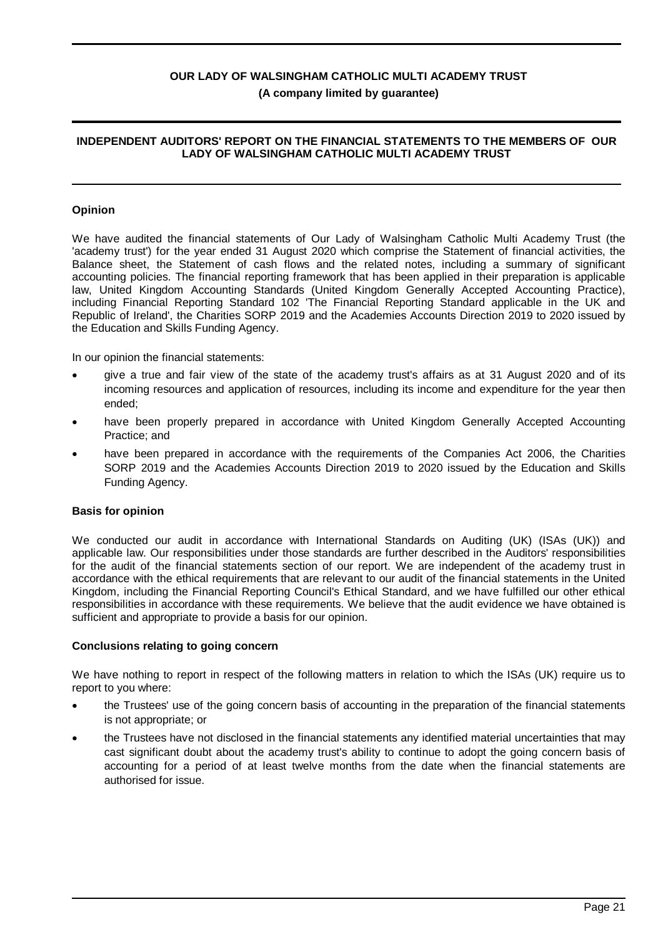### **INDEPENDENT AUDITORS' REPORT ON THE FINANCIAL STATEMENTS TO THE MEMBERS OF OUR LADY OF WALSINGHAM CATHOLIC MULTI ACADEMY TRUST**

#### **Opinion**

We have audited the financial statements of Our Lady of Walsingham Catholic Multi Academy Trust (the 'academy trust') for the year ended 31 August 2020 which comprise the Statement of financial activities, the Balance sheet, the Statement of cash flows and the related notes, including a summary of significant accounting policies. The financial reporting framework that has been applied in their preparation is applicable law, United Kingdom Accounting Standards (United Kingdom Generally Accepted Accounting Practice), including Financial Reporting Standard 102 'The Financial Reporting Standard applicable in the UK and Republic of Ireland', the Charities SORP 2019 and the Academies Accounts Direction 2019 to 2020 issued by the Education and Skills Funding Agency.

In our opinion the financial statements:

- · give a true and fair view of the state of the academy trust's affairs as at 31 August 2020 and of its incoming resources and application of resources, including its income and expenditure for the year then ended;
- have been properly prepared in accordance with United Kingdom Generally Accepted Accounting Practice; and
- have been prepared in accordance with the requirements of the Companies Act 2006, the Charities SORP 2019 and the Academies Accounts Direction 2019 to 2020 issued by the Education and Skills Funding Agency.

#### **Basis for opinion**

We conducted our audit in accordance with International Standards on Auditing (UK) (ISAs (UK)) and applicable law. Our responsibilities under those standards are further described in the Auditors' responsibilities for the audit of the financial statements section of our report. We are independent of the academy trust in accordance with the ethical requirements that are relevant to our audit of the financial statements in the United Kingdom, including the Financial Reporting Council's Ethical Standard, and we have fulfilled our other ethical responsibilities in accordance with these requirements. We believe that the audit evidence we have obtained is sufficient and appropriate to provide a basis for our opinion.

#### **Conclusions relating to going concern**

We have nothing to report in respect of the following matters in relation to which the ISAs (UK) require us to report to you where:

- · the Trustees' use of the going concern basis of accounting in the preparation of the financial statements is not appropriate; or
- · the Trustees have not disclosed in the financial statements any identified material uncertainties that may cast significant doubt about the academy trust's ability to continue to adopt the going concern basis of accounting for a period of at least twelve months from the date when the financial statements are authorised for issue.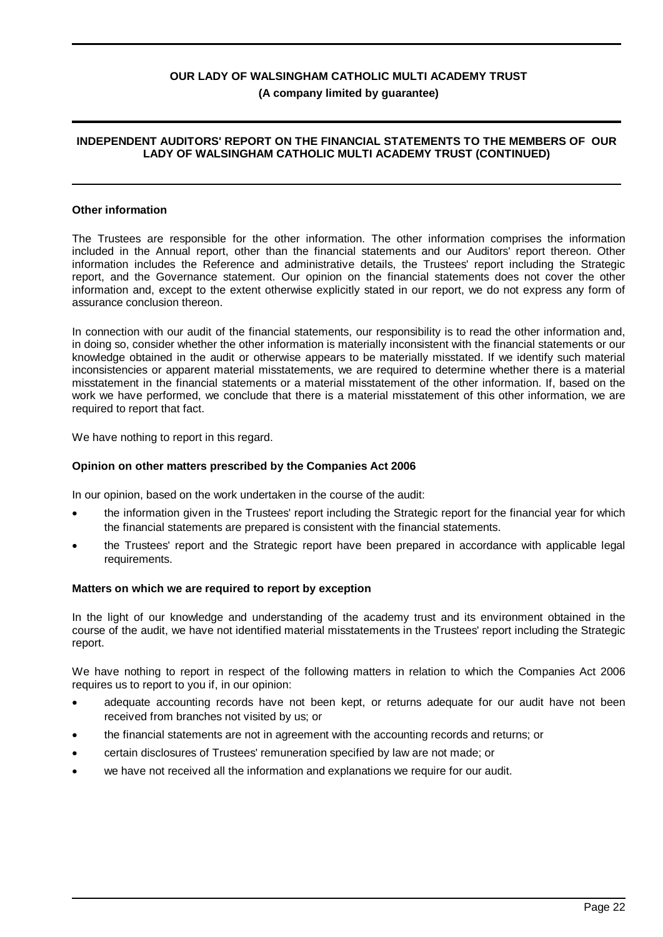### **INDEPENDENT AUDITORS' REPORT ON THE FINANCIAL STATEMENTS TO THE MEMBERS OF OUR LADY OF WALSINGHAM CATHOLIC MULTI ACADEMY TRUST (CONTINUED)**

#### **Other information**

The Trustees are responsible for the other information. The other information comprises the information included in the Annual report, other than the financial statements and our Auditors' report thereon. Other information includes the Reference and administrative details, the Trustees' report including the Strategic report, and the Governance statement. Our opinion on the financial statements does not cover the other information and, except to the extent otherwise explicitly stated in our report, we do not express any form of assurance conclusion thereon.

In connection with our audit of the financial statements, our responsibility is to read the other information and, in doing so, consider whether the other information is materially inconsistent with the financial statements or our knowledge obtained in the audit or otherwise appears to be materially misstated. If we identify such material inconsistencies or apparent material misstatements, we are required to determine whether there is a material misstatement in the financial statements or a material misstatement of the other information. If, based on the work we have performed, we conclude that there is a material misstatement of this other information, we are required to report that fact.

We have nothing to report in this regard.

#### **Opinion on other matters prescribed by the Companies Act 2006**

In our opinion, based on the work undertaken in the course of the audit:

- the information given in the Trustees' report including the Strategic report for the financial year for which the financial statements are prepared is consistent with the financial statements.
- · the Trustees' report and the Strategic report have been prepared in accordance with applicable legal requirements.

#### **Matters on which we are required to report by exception**

In the light of our knowledge and understanding of the academy trust and its environment obtained in the course of the audit, we have not identified material misstatements in the Trustees' report including the Strategic report.

We have nothing to report in respect of the following matters in relation to which the Companies Act 2006 requires us to report to you if, in our opinion:

- adequate accounting records have not been kept, or returns adequate for our audit have not been received from branches not visited by us; or
- · the financial statements are not in agreement with the accounting records and returns; or
- · certain disclosures of Trustees' remuneration specified by law are not made; or
- we have not received all the information and explanations we require for our audit.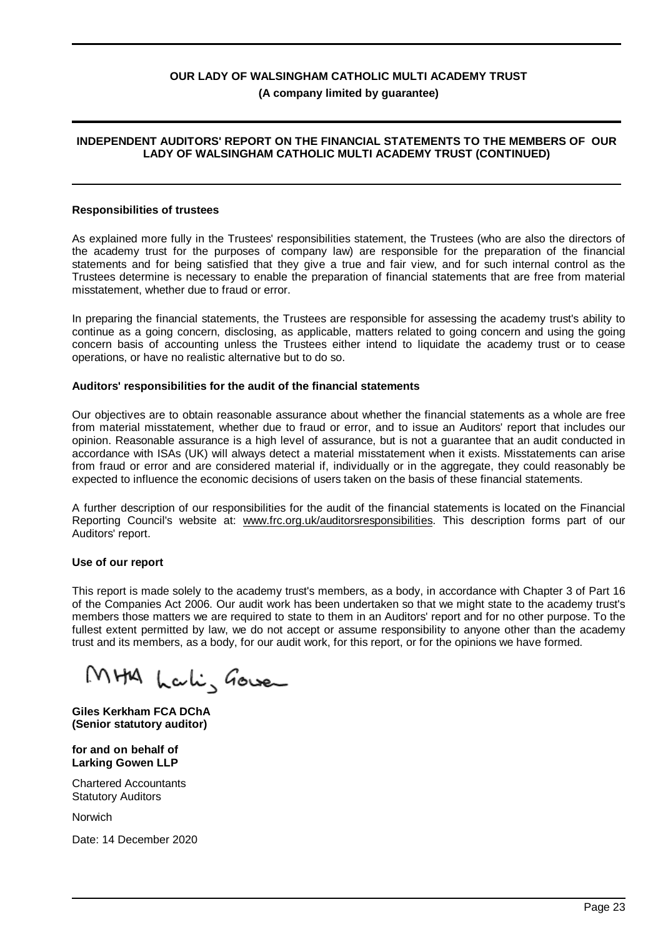### **INDEPENDENT AUDITORS' REPORT ON THE FINANCIAL STATEMENTS TO THE MEMBERS OF OUR LADY OF WALSINGHAM CATHOLIC MULTI ACADEMY TRUST (CONTINUED)**

#### **Responsibilities of trustees**

As explained more fully in the Trustees' responsibilities statement, the Trustees (who are also the directors of the academy trust for the purposes of company law) are responsible for the preparation of the financial statements and for being satisfied that they give a true and fair view, and for such internal control as the Trustees determine is necessary to enable the preparation of financial statements that are free from material misstatement, whether due to fraud or error.

In preparing the financial statements, the Trustees are responsible for assessing the academy trust's ability to continue as a going concern, disclosing, as applicable, matters related to going concern and using the going concern basis of accounting unless the Trustees either intend to liquidate the academy trust or to cease operations, or have no realistic alternative but to do so.

#### **Auditors' responsibilities for the audit of the financial statements**

Our objectives are to obtain reasonable assurance about whether the financial statements as a whole are free from material misstatement, whether due to fraud or error, and to issue an Auditors' report that includes our opinion. Reasonable assurance is a high level of assurance, but is not a guarantee that an audit conducted in accordance with ISAs (UK) will always detect a material misstatement when it exists. Misstatements can arise from fraud or error and are considered material if, individually or in the aggregate, they could reasonably be expected to influence the economic decisions of users taken on the basis of these financial statements.

A further description of our responsibilities for the audit of the financial statements is located on the Financial Reporting Council's website at: www.frc.org.uk/auditorsresponsibilities. This description forms part of our Auditors' report.

#### **Use of our report**

This report is made solely to the academy trust's members, as a body, in accordance with Chapter 3 of Part 16 of the Companies Act 2006. Our audit work has been undertaken so that we might state to the academy trust's members those matters we are required to state to them in an Auditors' report and for no other purpose. To the fullest extent permitted by law, we do not accept or assume responsibility to anyone other than the academy trust and its members, as a body, for our audit work, for this report, or for the opinions we have formed.

MHA Lali, Gower

**Giles Kerkham FCA DChA (Senior statutory auditor)**

**for and on behalf of Larking Gowen LLP**

Chartered Accountants Statutory Auditors

Norwich

Date: 14 December 2020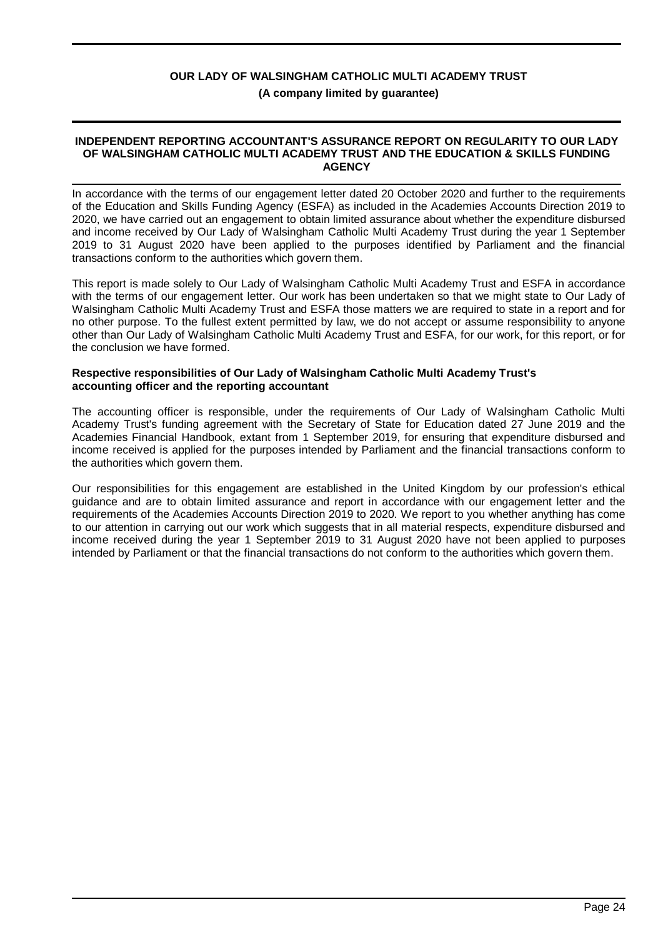#### **INDEPENDENT REPORTING ACCOUNTANT'S ASSURANCE REPORT ON REGULARITY TO OUR LADY OF WALSINGHAM CATHOLIC MULTI ACADEMY TRUST AND THE EDUCATION & SKILLS FUNDING AGENCY**

In accordance with the terms of our engagement letter dated 20 October 2020 and further to the requirements of the Education and Skills Funding Agency (ESFA) as included in the Academies Accounts Direction 2019 to 2020, we have carried out an engagement to obtain limited assurance about whether the expenditure disbursed and income received by Our Lady of Walsingham Catholic Multi Academy Trust during the year 1 September 2019 to 31 August 2020 have been applied to the purposes identified by Parliament and the financial transactions conform to the authorities which govern them.

This report is made solely to Our Lady of Walsingham Catholic Multi Academy Trust and ESFA in accordance with the terms of our engagement letter. Our work has been undertaken so that we might state to Our Lady of Walsingham Catholic Multi Academy Trust and ESFA those matters we are required to state in a report and for no other purpose. To the fullest extent permitted by law, we do not accept or assume responsibility to anyone other than Our Lady of Walsingham Catholic Multi Academy Trust and ESFA, for our work, for this report, or for the conclusion we have formed.

#### **Respective responsibilities of Our Lady of Walsingham Catholic Multi Academy Trust's accounting officer and the reporting accountant**

The accounting officer is responsible, under the requirements of Our Lady of Walsingham Catholic Multi Academy Trust's funding agreement with the Secretary of State for Education dated 27 June 2019 and the Academies Financial Handbook, extant from 1 September 2019, for ensuring that expenditure disbursed and income received is applied for the purposes intended by Parliament and the financial transactions conform to the authorities which govern them.

Our responsibilities for this engagement are established in the United Kingdom by our profession's ethical guidance and are to obtain limited assurance and report in accordance with our engagement letter and the requirements of the Academies Accounts Direction 2019 to 2020. We report to you whether anything has come to our attention in carrying out our work which suggests that in all material respects, expenditure disbursed and income received during the year 1 September 2019 to 31 August 2020 have not been applied to purposes intended by Parliament or that the financial transactions do not conform to the authorities which govern them.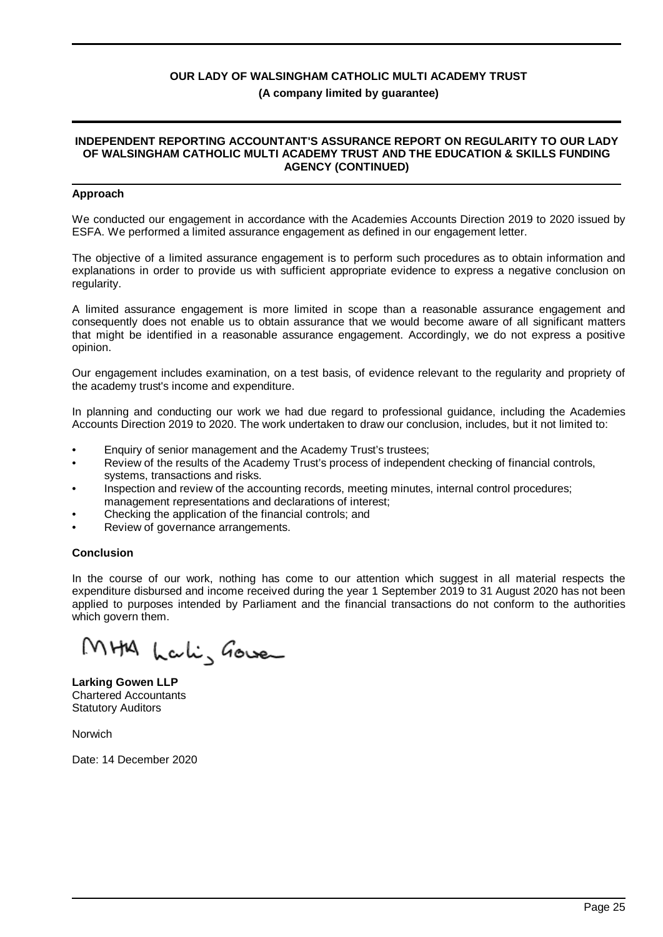#### **INDEPENDENT REPORTING ACCOUNTANT'S ASSURANCE REPORT ON REGULARITY TO OUR LADY OF WALSINGHAM CATHOLIC MULTI ACADEMY TRUST AND THE EDUCATION & SKILLS FUNDING AGENCY (CONTINUED)**

#### **Approach**

We conducted our engagement in accordance with the Academies Accounts Direction 2019 to 2020 issued by ESFA. We performed a limited assurance engagement as defined in our engagement letter.

The objective of a limited assurance engagement is to perform such procedures as to obtain information and explanations in order to provide us with sufficient appropriate evidence to express a negative conclusion on regularity.

A limited assurance engagement is more limited in scope than a reasonable assurance engagement and consequently does not enable us to obtain assurance that we would become aware of all significant matters that might be identified in a reasonable assurance engagement. Accordingly, we do not express a positive opinion.

Our engagement includes examination, on a test basis, of evidence relevant to the regularity and propriety of the academy trust's income and expenditure.

In planning and conducting our work we had due regard to professional guidance, including the Academies Accounts Direction 2019 to 2020. The work undertaken to draw our conclusion, includes, but it not limited to:

- Enquiry of senior management and the Academy Trust's trustees;
- Review of the results of the Academy Trust's process of independent checking of financial controls, systems, transactions and risks.
- Inspection and review of the accounting records, meeting minutes, internal control procedures; management representations and declarations of interest;
- Checking the application of the financial controls; and
- Review of governance arrangements.

#### **Conclusion**

In the course of our work, nothing has come to our attention which suggest in all material respects the expenditure disbursed and income received during the year 1 September 2019 to 31 August 2020 has not been applied to purposes intended by Parliament and the financial transactions do not conform to the authorities which govern them.

MHA Lakis Gower

**Larking Gowen LLP** Chartered Accountants Statutory Auditors

Norwich

Date: 14 December 2020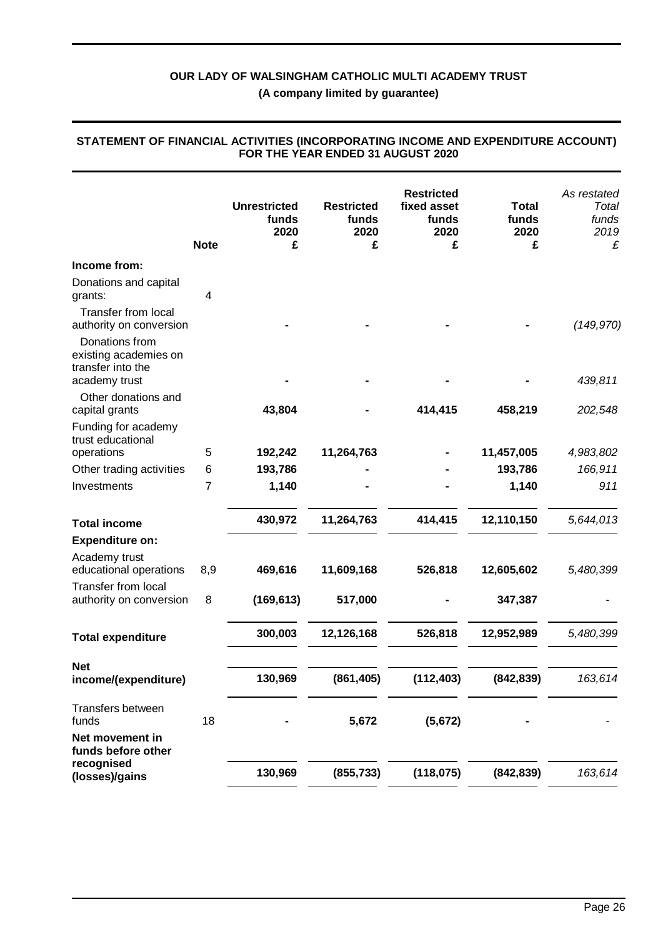**(A company limited by guarantee)**

|                                                                               | <b>Note</b> | <b>Unrestricted</b><br>funds<br>2020<br>£ | <b>Restricted</b><br>funds<br>2020<br>£ | <b>Restricted</b><br>fixed asset<br>funds<br>2020<br>£ | <b>Total</b><br>funds<br>2020<br>£ | As restated<br>Total<br>funds<br>2019<br>£ |
|-------------------------------------------------------------------------------|-------------|-------------------------------------------|-----------------------------------------|--------------------------------------------------------|------------------------------------|--------------------------------------------|
| Income from:                                                                  |             |                                           |                                         |                                                        |                                    |                                            |
| Donations and capital<br>grants:                                              | 4           |                                           |                                         |                                                        |                                    |                                            |
| <b>Transfer from local</b><br>authority on conversion                         |             |                                           |                                         |                                                        |                                    | (149, 970)                                 |
| Donations from<br>existing academies on<br>transfer into the<br>academy trust |             |                                           |                                         |                                                        |                                    | 439,811                                    |
| Other donations and<br>capital grants                                         |             | 43,804                                    |                                         | 414,415                                                | 458,219                            | 202,548                                    |
| Funding for academy<br>trust educational                                      |             |                                           |                                         |                                                        |                                    |                                            |
| operations                                                                    | 5           | 192,242                                   | 11,264,763                              |                                                        | 11,457,005                         | 4,983,802                                  |
| Other trading activities                                                      | 6           | 193,786                                   |                                         |                                                        | 193,786                            | 166,911                                    |
| Investments                                                                   | 7           | 1,140                                     |                                         |                                                        | 1,140                              | 911                                        |
| <b>Total income</b>                                                           |             | 430,972                                   | 11,264,763                              | 414,415                                                | 12,110,150                         | 5,644,013                                  |
| <b>Expenditure on:</b>                                                        |             |                                           |                                         |                                                        |                                    |                                            |
| Academy trust<br>educational operations                                       | 8,9         | 469,616                                   | 11,609,168                              | 526,818                                                | 12,605,602                         | 5,480,399                                  |
| <b>Transfer from local</b><br>authority on conversion                         | 8           | (169, 613)                                | 517,000                                 |                                                        | 347,387                            |                                            |
| <b>Total expenditure</b>                                                      |             | 300,003                                   | 12,126,168                              | 526,818                                                | 12,952,989                         | 5,480,399                                  |
| <b>Net</b><br>income/(expenditure)                                            |             | 130,969                                   | (861, 405)                              | (112, 403)                                             | (842, 839)                         | 163,614                                    |
| Transfers between<br>funds                                                    | 18          |                                           | 5,672                                   | (5,672)                                                |                                    |                                            |
| Net movement in<br>funds before other                                         |             |                                           |                                         |                                                        |                                    |                                            |
| recognised<br>(losses)/gains                                                  |             | 130,969                                   | (855, 733)                              | (118, 075)                                             | (842, 839)                         | 163,614                                    |

#### **STATEMENT OF FINANCIAL ACTIVITIES (INCORPORATING INCOME AND EXPENDITURE ACCOUNT) FOR THE YEAR ENDED 31 AUGUST 2020**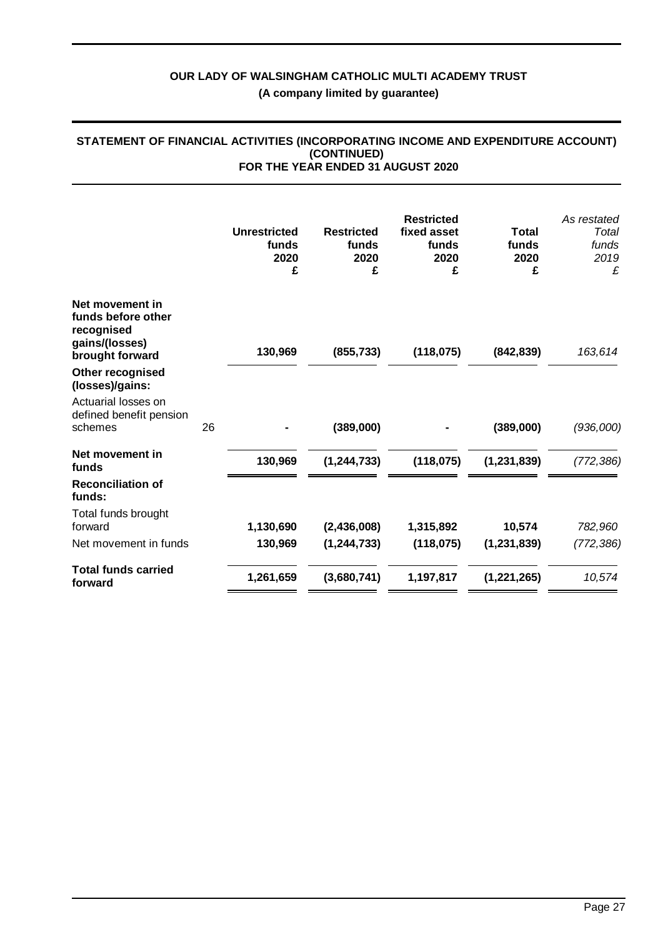|                                                                                          |    | <b>Unrestricted</b><br>funds<br>2020<br>£ | <b>Restricted</b><br>funds<br>2020<br>£ | <b>Restricted</b><br>fixed asset<br>funds<br>2020<br>£ | <b>Total</b><br>funds<br>2020<br>£ | As restated<br>Total<br>funds<br>2019<br>£ |
|------------------------------------------------------------------------------------------|----|-------------------------------------------|-----------------------------------------|--------------------------------------------------------|------------------------------------|--------------------------------------------|
| Net movement in<br>funds before other<br>recognised<br>gains/(losses)<br>brought forward |    | 130,969                                   | (855, 733)                              | (118, 075)                                             | (842, 839)                         | 163,614                                    |
| Other recognised<br>(losses)/gains:                                                      |    |                                           |                                         |                                                        |                                    |                                            |
| Actuarial losses on<br>defined benefit pension<br>schemes                                | 26 |                                           | (389,000)                               |                                                        | (389,000)                          | (936,000)                                  |
| Net movement in<br>funds                                                                 |    | 130,969                                   | (1, 244, 733)                           | (118, 075)                                             | (1, 231, 839)                      | (772, 386)                                 |
| <b>Reconciliation of</b><br>funds:                                                       |    |                                           |                                         |                                                        |                                    |                                            |
| Total funds brought<br>forward                                                           |    | 1,130,690                                 | (2,436,008)                             | 1,315,892                                              | 10,574                             | 782,960                                    |
| Net movement in funds                                                                    |    | 130,969                                   | (1, 244, 733)                           | (118, 075)                                             | (1, 231, 839)                      | (772, 386)                                 |
| <b>Total funds carried</b><br>forward                                                    |    | 1,261,659                                 | (3,680,741)                             | 1,197,817                                              | (1,221,265)                        | 10,574                                     |

#### **STATEMENT OF FINANCIAL ACTIVITIES (INCORPORATING INCOME AND EXPENDITURE ACCOUNT) (CONTINUED) FOR THE YEAR ENDED 31 AUGUST 2020**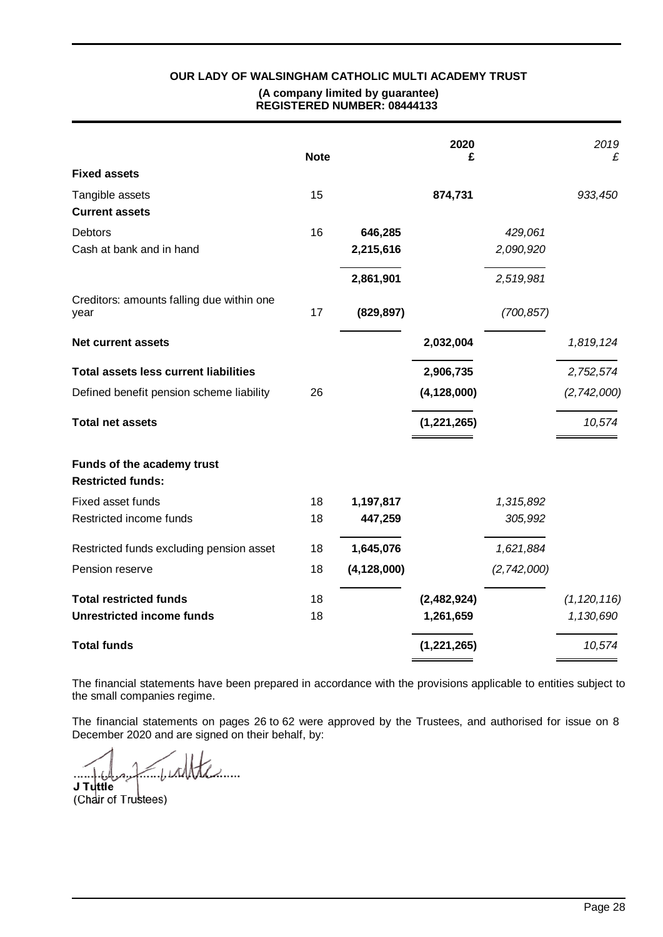|                                                        | <b>Note</b> |               | 2020<br>£     |             | 2019<br>£     |
|--------------------------------------------------------|-------------|---------------|---------------|-------------|---------------|
| <b>Fixed assets</b>                                    |             |               |               |             |               |
| Tangible assets<br><b>Current assets</b>               | 15          |               | 874,731       |             | 933,450       |
| <b>Debtors</b>                                         | 16          | 646,285       |               | 429,061     |               |
| Cash at bank and in hand                               |             | 2,215,616     |               | 2,090,920   |               |
|                                                        |             | 2,861,901     |               | 2,519,981   |               |
| Creditors: amounts falling due within one<br>year      | 17          | (829, 897)    |               | (700, 857)  |               |
| <b>Net current assets</b>                              |             |               | 2,032,004     |             | 1,819,124     |
| <b>Total assets less current liabilities</b>           |             |               | 2,906,735     |             | 2,752,574     |
| Defined benefit pension scheme liability               | 26          |               | (4, 128, 000) |             | (2,742,000)   |
| <b>Total net assets</b>                                |             |               | (1, 221, 265) |             | 10,574        |
| Funds of the academy trust<br><b>Restricted funds:</b> |             |               |               |             |               |
| Fixed asset funds                                      | 18          | 1,197,817     |               | 1,315,892   |               |
| Restricted income funds                                | 18          | 447,259       |               | 305,992     |               |
| Restricted funds excluding pension asset               | 18          | 1,645,076     |               | 1,621,884   |               |
| Pension reserve                                        | 18          | (4, 128, 000) |               | (2,742,000) |               |
| <b>Total restricted funds</b>                          | 18          |               | (2,482,924)   |             | (1, 120, 116) |
| <b>Unrestricted income funds</b>                       | 18          |               | 1,261,659     |             | 1,130,690     |
| <b>Total funds</b>                                     |             |               | (1, 221, 265) |             | 10,574        |

The financial statements have been prepared in accordance with the provisions applicable to entities subject to the small companies regime.

The financial statements on pages 26 to 62 were approved by the Trustees, and authorised for issue on 8 December 2020 and are signed on their behalf, by:

 $1.11111...$ **J Tuttle** (Chair of Trustees)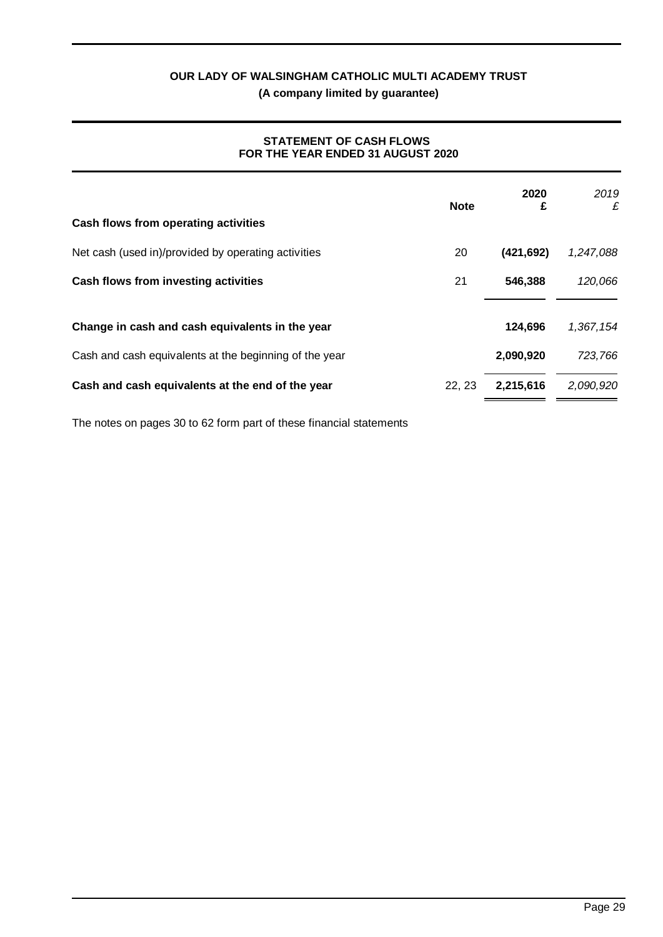# **STATEMENT OF CASH FLOWS FOR THE YEAR ENDED 31 AUGUST 2020**

| Cash flows from operating activities                   | <b>Note</b> | 2020<br>£  | 2019<br>£ |
|--------------------------------------------------------|-------------|------------|-----------|
| Net cash (used in)/provided by operating activities    | 20          | (421, 692) | 1,247,088 |
| Cash flows from investing activities                   | 21          | 546,388    | 120,066   |
| Change in cash and cash equivalents in the year        |             | 124,696    | 1.367.154 |
| Cash and cash equivalents at the beginning of the year |             | 2,090,920  | 723,766   |
| Cash and cash equivalents at the end of the year       | 22, 23      | 2,215,616  | 2,090,920 |

The notes on pages 30 to 62 form part of these financial statements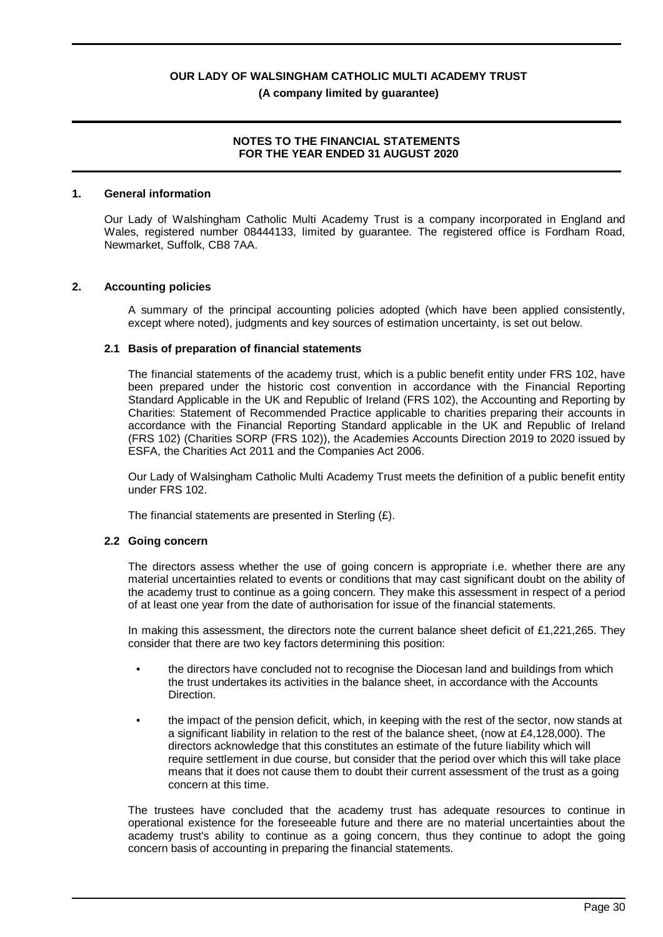### **NOTES TO THE FINANCIAL STATEMENTS FOR THE YEAR ENDED 31 AUGUST 2020**

#### **1. General information**

Our Lady of Walshingham Catholic Multi Academy Trust is a company incorporated in England and Wales, registered number 08444133, limited by guarantee. The registered office is Fordham Road, Newmarket, Suffolk, CB8 7AA.

#### **2. Accounting policies**

A summary of the principal accounting policies adopted (which have been applied consistently, except where noted), judgments and key sources of estimation uncertainty, is set out below.

#### **2.1 Basis of preparation of financial statements**

The financial statements of the academy trust, which is a public benefit entity under FRS 102, have been prepared under the historic cost convention in accordance with the Financial Reporting Standard Applicable in the UK and Republic of Ireland (FRS 102), the Accounting and Reporting by Charities: Statement of Recommended Practice applicable to charities preparing their accounts in accordance with the Financial Reporting Standard applicable in the UK and Republic of Ireland (FRS 102) (Charities SORP (FRS 102)), the Academies Accounts Direction 2019 to 2020 issued by ESFA, the Charities Act 2011 and the Companies Act 2006.

Our Lady of Walsingham Catholic Multi Academy Trust meets the definition of a public benefit entity under FRS 102.

The financial statements are presented in Sterling  $(E)$ .

#### **2.2 Going concern**

The directors assess whether the use of going concern is appropriate i.e. whether there are any material uncertainties related to events or conditions that may cast significant doubt on the ability of the academy trust to continue as a going concern. They make this assessment in respect of a period of at least one year from the date of authorisation for issue of the financial statements.

In making this assessment, the directors note the current balance sheet deficit of £1,221,265. They consider that there are two key factors determining this position:

- the directors have concluded not to recognise the Diocesan land and buildings from which the trust undertakes its activities in the balance sheet, in accordance with the Accounts **Direction**
- the impact of the pension deficit, which, in keeping with the rest of the sector, now stands at a significant liability in relation to the rest of the balance sheet, (now at £4,128,000). The directors acknowledge that this constitutes an estimate of the future liability which will require settlement in due course, but consider that the period over which this will take place means that it does not cause them to doubt their current assessment of the trust as a going concern at this time.

The trustees have concluded that the academy trust has adequate resources to continue in operational existence for the foreseeable future and there are no material uncertainties about the academy trust's ability to continue as a going concern, thus they continue to adopt the going concern basis of accounting in preparing the financial statements.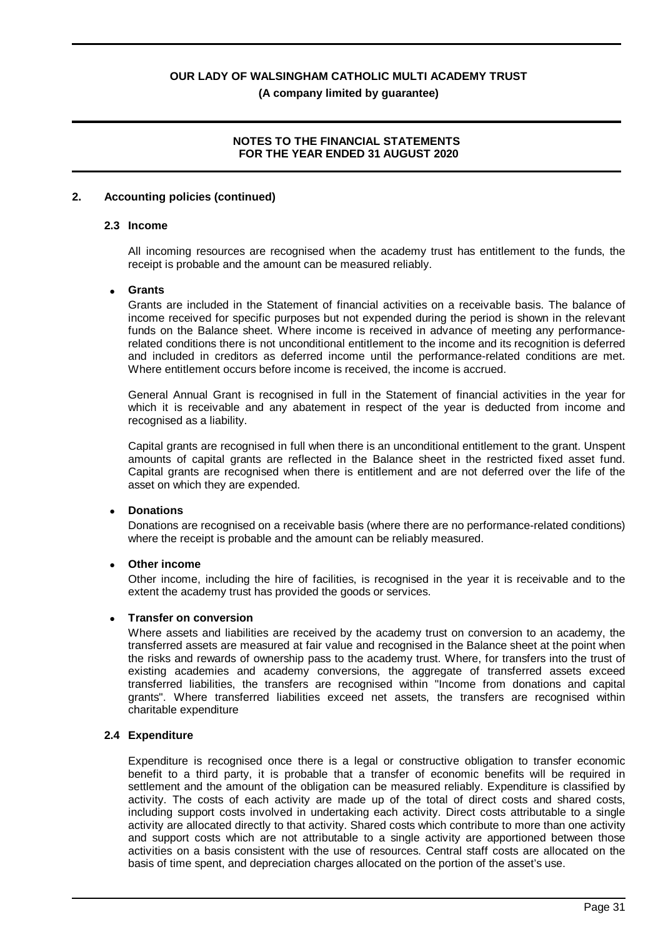# **NOTES TO THE FINANCIAL STATEMENTS FOR THE YEAR ENDED 31 AUGUST 2020**

#### **2. Accounting policies (continued)**

#### **2.3 Income**

All incoming resources are recognised when the academy trust has entitlement to the funds, the receipt is probable and the amount can be measured reliably.

#### · **Grants**

Grants are included in the Statement of financial activities on a receivable basis. The balance of income received for specific purposes but not expended during the period is shown in the relevant funds on the Balance sheet. Where income is received in advance of meeting any performancerelated conditions there is not unconditional entitlement to the income and its recognition is deferred and included in creditors as deferred income until the performance-related conditions are met. Where entitlement occurs before income is received, the income is accrued.

General Annual Grant is recognised in full in the Statement of financial activities in the year for which it is receivable and any abatement in respect of the year is deducted from income and recognised as a liability.

Capital grants are recognised in full when there is an unconditional entitlement to the grant. Unspent amounts of capital grants are reflected in the Balance sheet in the restricted fixed asset fund. Capital grants are recognised when there is entitlement and are not deferred over the life of the asset on which they are expended.

#### · **Donations**

Donations are recognised on a receivable basis (where there are no performance-related conditions) where the receipt is probable and the amount can be reliably measured.

#### **Other income**

Other income, including the hire of facilities, is recognised in the year it is receivable and to the extent the academy trust has provided the goods or services.

#### · **Transfer on conversion**

Where assets and liabilities are received by the academy trust on conversion to an academy, the transferred assets are measured at fair value and recognised in the Balance sheet at the point when the risks and rewards of ownership pass to the academy trust. Where, for transfers into the trust of existing academies and academy conversions, the aggregate of transferred assets exceed transferred liabilities, the transfers are recognised within "Income from donations and capital grants". Where transferred liabilities exceed net assets, the transfers are recognised within charitable expenditure

#### **2.4 Expenditure**

Expenditure is recognised once there is a legal or constructive obligation to transfer economic benefit to a third party, it is probable that a transfer of economic benefits will be required in settlement and the amount of the obligation can be measured reliably. Expenditure is classified by activity. The costs of each activity are made up of the total of direct costs and shared costs, including support costs involved in undertaking each activity. Direct costs attributable to a single activity are allocated directly to that activity. Shared costs which contribute to more than one activity and support costs which are not attributable to a single activity are apportioned between those activities on a basis consistent with the use of resources. Central staff costs are allocated on the basis of time spent, and depreciation charges allocated on the portion of the asset's use.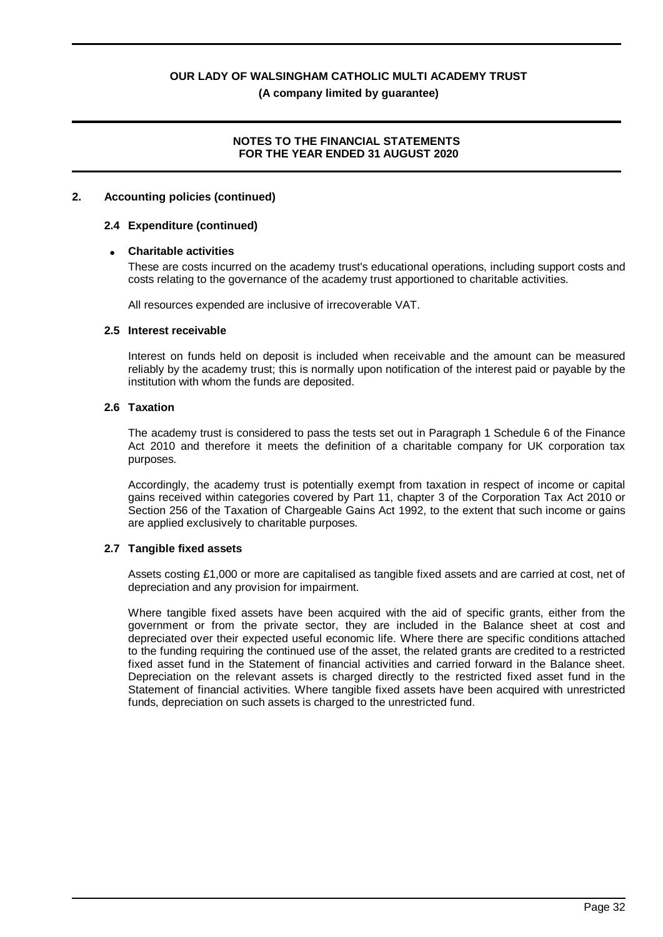# **NOTES TO THE FINANCIAL STATEMENTS FOR THE YEAR ENDED 31 AUGUST 2020**

#### **2. Accounting policies (continued)**

#### **2.4 Expenditure (continued)**

#### · **Charitable activities**

These are costs incurred on the academy trust's educational operations, including support costs and costs relating to the governance of the academy trust apportioned to charitable activities.

All resources expended are inclusive of irrecoverable VAT.

#### **2.5 Interest receivable**

Interest on funds held on deposit is included when receivable and the amount can be measured reliably by the academy trust; this is normally upon notification of the interest paid or payable by the institution with whom the funds are deposited.

#### **2.6 Taxation**

The academy trust is considered to pass the tests set out in Paragraph 1 Schedule 6 of the Finance Act 2010 and therefore it meets the definition of a charitable company for UK corporation tax purposes.

Accordingly, the academy trust is potentially exempt from taxation in respect of income or capital gains received within categories covered by Part 11, chapter 3 of the Corporation Tax Act 2010 or Section 256 of the Taxation of Chargeable Gains Act 1992, to the extent that such income or gains are applied exclusively to charitable purposes.

#### **2.7 Tangible fixed assets**

Assets costing £1,000 or more are capitalised as tangible fixed assets and are carried at cost, net of depreciation and any provision for impairment.

Where tangible fixed assets have been acquired with the aid of specific grants, either from the government or from the private sector, they are included in the Balance sheet at cost and depreciated over their expected useful economic life. Where there are specific conditions attached to the funding requiring the continued use of the asset, the related grants are credited to a restricted fixed asset fund in the Statement of financial activities and carried forward in the Balance sheet. Depreciation on the relevant assets is charged directly to the restricted fixed asset fund in the Statement of financial activities. Where tangible fixed assets have been acquired with unrestricted funds, depreciation on such assets is charged to the unrestricted fund.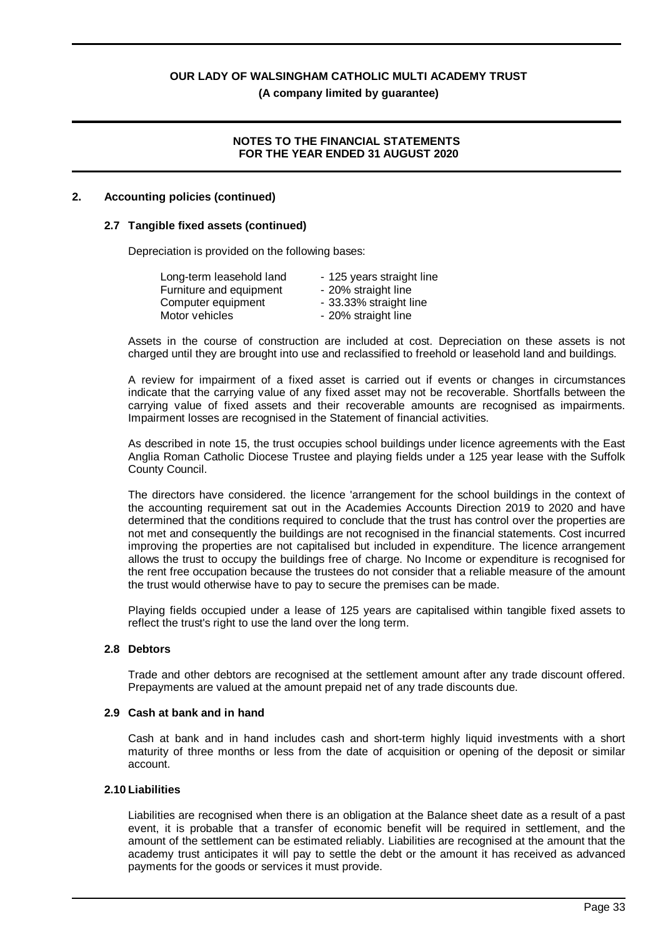**(A company limited by guarantee)**

# **NOTES TO THE FINANCIAL STATEMENTS FOR THE YEAR ENDED 31 AUGUST 2020**

# **2. Accounting policies (continued)**

### **2.7 Tangible fixed assets (continued)**

Depreciation is provided on the following bases:

| Long-term leasehold land | - 125 years straight line |
|--------------------------|---------------------------|
| Furniture and equipment  | - 20% straight line       |
| Computer equipment       | - 33.33% straight line    |
| Motor vehicles           | - 20% straight line       |

Assets in the course of construction are included at cost. Depreciation on these assets is not charged until they are brought into use and reclassified to freehold or leasehold land and buildings.

A review for impairment of a fixed asset is carried out if events or changes in circumstances indicate that the carrying value of any fixed asset may not be recoverable. Shortfalls between the carrying value of fixed assets and their recoverable amounts are recognised as impairments. Impairment losses are recognised in the Statement of financial activities.

As described in note 15, the trust occupies school buildings under licence agreements with the East Anglia Roman Catholic Diocese Trustee and playing fields under a 125 year lease with the Suffolk County Council.

The directors have considered. the licence 'arrangement for the school buildings in the context of the accounting requirement sat out in the Academies Accounts Direction 2019 to 2020 and have determined that the conditions required to conclude that the trust has control over the properties are not met and consequently the buildings are not recognised in the financial statements. Cost incurred improving the properties are not capitalised but included in expenditure. The licence arrangement allows the trust to occupy the buildings free of charge. No Income or expenditure is recognised for the rent free occupation because the trustees do not consider that a reliable measure of the amount the trust would otherwise have to pay to secure the premises can be made.

Playing fields occupied under a lease of 125 years are capitalised within tangible fixed assets to reflect the trust's right to use the land over the long term.

#### **2.8 Debtors**

Trade and other debtors are recognised at the settlement amount after any trade discount offered. Prepayments are valued at the amount prepaid net of any trade discounts due.

#### **2.9 Cash at bank and in hand**

Cash at bank and in hand includes cash and short-term highly liquid investments with a short maturity of three months or less from the date of acquisition or opening of the deposit or similar account.

#### **2.10 Liabilities**

Liabilities are recognised when there is an obligation at the Balance sheet date as a result of a past event, it is probable that a transfer of economic benefit will be required in settlement, and the amount of the settlement can be estimated reliably. Liabilities are recognised at the amount that the academy trust anticipates it will pay to settle the debt or the amount it has received as advanced payments for the goods or services it must provide.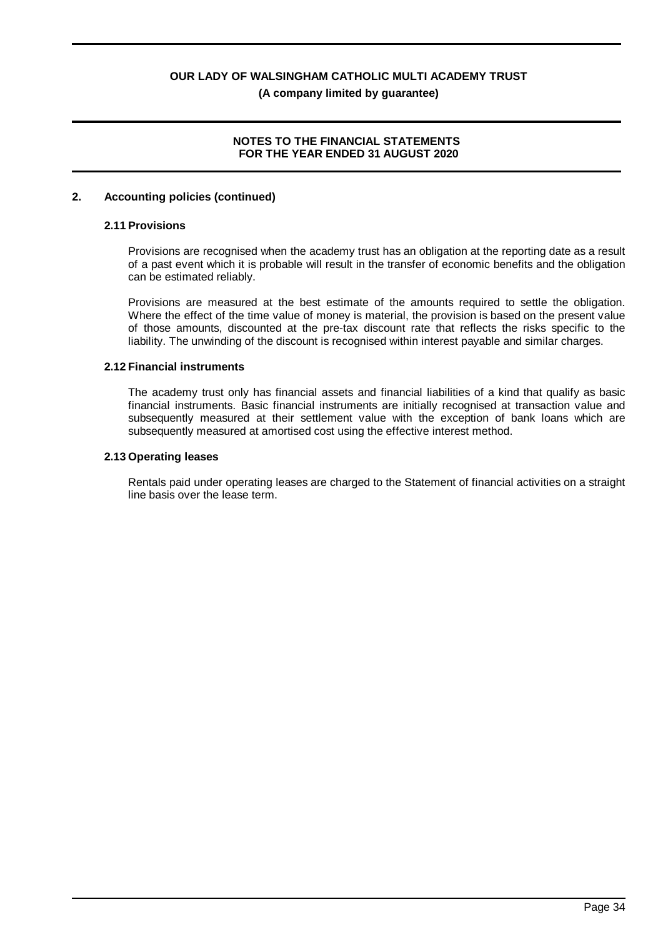# **NOTES TO THE FINANCIAL STATEMENTS FOR THE YEAR ENDED 31 AUGUST 2020**

#### **2. Accounting policies (continued)**

#### **2.11 Provisions**

Provisions are recognised when the academy trust has an obligation at the reporting date as a result of a past event which it is probable will result in the transfer of economic benefits and the obligation can be estimated reliably.

Provisions are measured at the best estimate of the amounts required to settle the obligation. Where the effect of the time value of money is material, the provision is based on the present value of those amounts, discounted at the pre-tax discount rate that reflects the risks specific to the liability. The unwinding of the discount is recognised within interest payable and similar charges.

#### **2.12 Financial instruments**

The academy trust only has financial assets and financial liabilities of a kind that qualify as basic financial instruments. Basic financial instruments are initially recognised at transaction value and subsequently measured at their settlement value with the exception of bank loans which are subsequently measured at amortised cost using the effective interest method.

#### **2.13 Operating leases**

Rentals paid under operating leases are charged to the Statement of financial activities on a straight line basis over the lease term.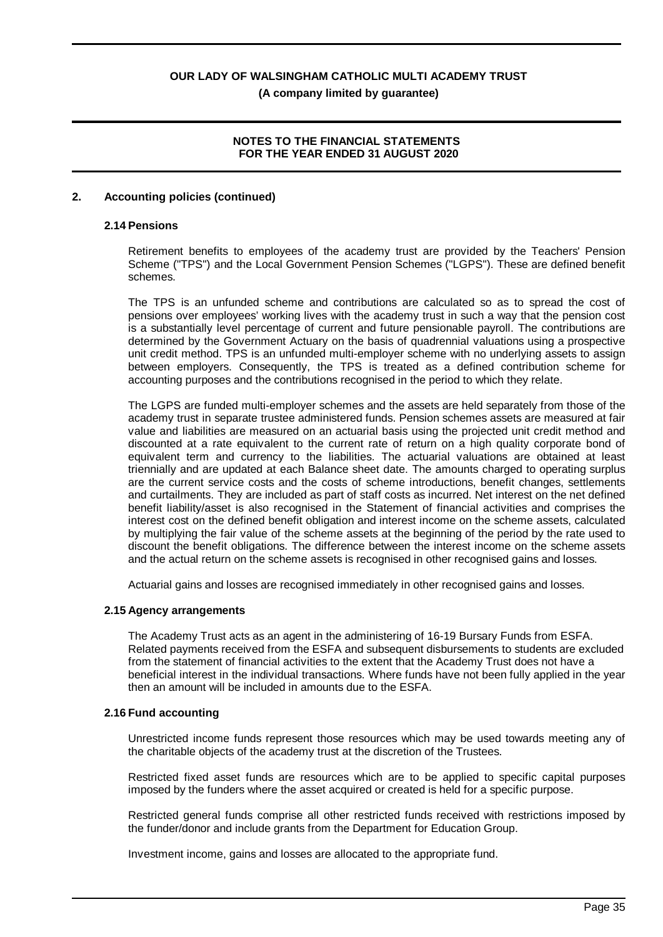# **NOTES TO THE FINANCIAL STATEMENTS FOR THE YEAR ENDED 31 AUGUST 2020**

#### **2. Accounting policies (continued)**

#### **2.14 Pensions**

Retirement benefits to employees of the academy trust are provided by the Teachers' Pension Scheme ("TPS") and the Local Government Pension Schemes ("LGPS"). These are defined benefit schemes.

The TPS is an unfunded scheme and contributions are calculated so as to spread the cost of pensions over employees' working lives with the academy trust in such a way that the pension cost is a substantially level percentage of current and future pensionable payroll. The contributions are determined by the Government Actuary on the basis of quadrennial valuations using a prospective unit credit method. TPS is an unfunded multi-employer scheme with no underlying assets to assign between employers. Consequently, the TPS is treated as a defined contribution scheme for accounting purposes and the contributions recognised in the period to which they relate.

The LGPS are funded multi-employer schemes and the assets are held separately from those of the academy trust in separate trustee administered funds. Pension schemes assets are measured at fair value and liabilities are measured on an actuarial basis using the projected unit credit method and discounted at a rate equivalent to the current rate of return on a high quality corporate bond of equivalent term and currency to the liabilities. The actuarial valuations are obtained at least triennially and are updated at each Balance sheet date. The amounts charged to operating surplus are the current service costs and the costs of scheme introductions, benefit changes, settlements and curtailments. They are included as part of staff costs as incurred. Net interest on the net defined benefit liability/asset is also recognised in the Statement of financial activities and comprises the interest cost on the defined benefit obligation and interest income on the scheme assets, calculated by multiplying the fair value of the scheme assets at the beginning of the period by the rate used to discount the benefit obligations. The difference between the interest income on the scheme assets and the actual return on the scheme assets is recognised in other recognised gains and losses.

Actuarial gains and losses are recognised immediately in other recognised gains and losses.

#### **2.15 Agency arrangements**

The Academy Trust acts as an agent in the administering of 16-19 Bursary Funds from ESFA. Related payments received from the ESFA and subsequent disbursements to students are excluded from the statement of financial activities to the extent that the Academy Trust does not have a beneficial interest in the individual transactions. Where funds have not been fully applied in the year then an amount will be included in amounts due to the ESFA.

#### **2.16 Fund accounting**

Unrestricted income funds represent those resources which may be used towards meeting any of the charitable objects of the academy trust at the discretion of the Trustees.

Restricted fixed asset funds are resources which are to be applied to specific capital purposes imposed by the funders where the asset acquired or created is held for a specific purpose.

Restricted general funds comprise all other restricted funds received with restrictions imposed by the funder/donor and include grants from the Department for Education Group.

Investment income, gains and losses are allocated to the appropriate fund.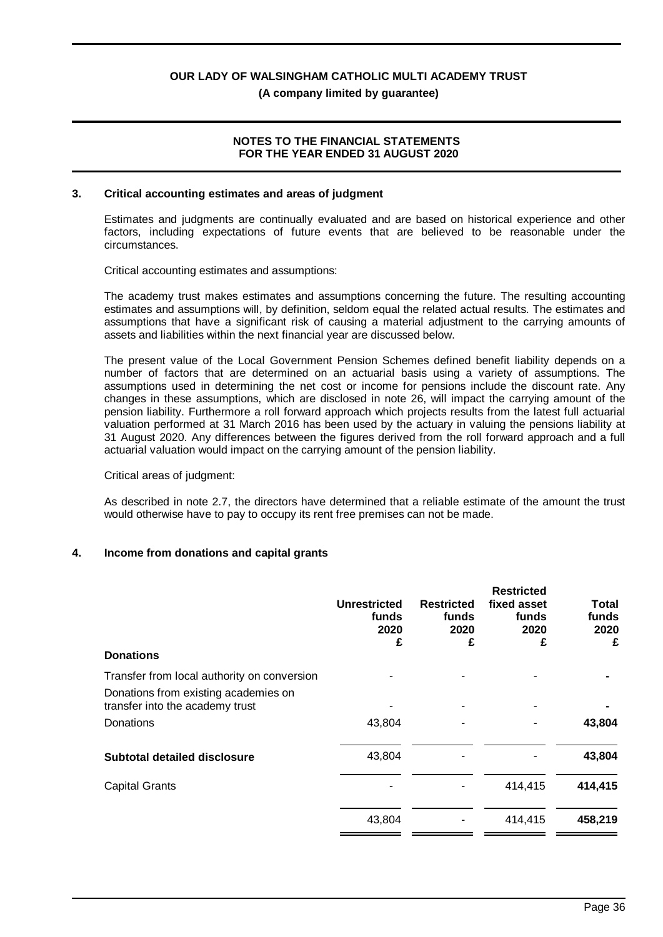**(A company limited by guarantee)**

### **NOTES TO THE FINANCIAL STATEMENTS FOR THE YEAR ENDED 31 AUGUST 2020**

#### **3. Critical accounting estimates and areas of judgment**

Estimates and judgments are continually evaluated and are based on historical experience and other factors, including expectations of future events that are believed to be reasonable under the circumstances.

Critical accounting estimates and assumptions:

The academy trust makes estimates and assumptions concerning the future. The resulting accounting estimates and assumptions will, by definition, seldom equal the related actual results. The estimates and assumptions that have a significant risk of causing a material adjustment to the carrying amounts of assets and liabilities within the next financial year are discussed below.

The present value of the Local Government Pension Schemes defined benefit liability depends on a number of factors that are determined on an actuarial basis using a variety of assumptions. The assumptions used in determining the net cost or income for pensions include the discount rate. Any changes in these assumptions, which are disclosed in note 26, will impact the carrying amount of the pension liability. Furthermore a roll forward approach which projects results from the latest full actuarial valuation performed at 31 March 2016 has been used by the actuary in valuing the pensions liability at 31 August 2020. Any differences between the figures derived from the roll forward approach and a full actuarial valuation would impact on the carrying amount of the pension liability.

#### Critical areas of judgment:

As described in note 2.7, the directors have determined that a reliable estimate of the amount the trust would otherwise have to pay to occupy its rent free premises can not be made.

#### **4. Income from donations and capital grants**

| <b>Donations</b>                                                                     | <b>Unrestricted</b><br>funds<br>2020<br>£ | <b>Restricted</b><br>funds<br>2020<br>£ | <b>Restricted</b><br>fixed asset<br>funds<br>2020<br>£ | Total<br>funds<br>2020<br>£ |
|--------------------------------------------------------------------------------------|-------------------------------------------|-----------------------------------------|--------------------------------------------------------|-----------------------------|
| Transfer from local authority on conversion                                          |                                           |                                         |                                                        |                             |
| Donations from existing academies on<br>transfer into the academy trust<br>Donations | 43,804                                    |                                         |                                                        | 43,804                      |
|                                                                                      |                                           |                                         |                                                        |                             |
| <b>Subtotal detailed disclosure</b>                                                  | 43,804                                    |                                         |                                                        | 43,804                      |
| <b>Capital Grants</b>                                                                |                                           |                                         | 414,415                                                | 414,415                     |
|                                                                                      | 43,804                                    |                                         | 414,415                                                | 458,219                     |
|                                                                                      |                                           |                                         |                                                        |                             |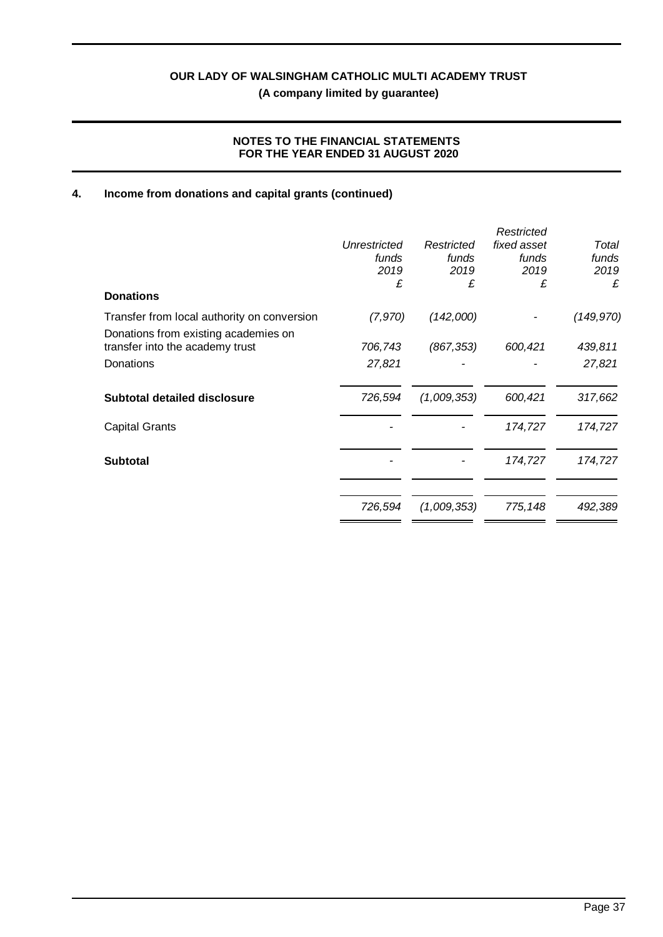# **NOTES TO THE FINANCIAL STATEMENTS FOR THE YEAR ENDED 31 AUGUST 2020**

# **4. Income from donations and capital grants (continued)**

|                                             |              |             | Restricted  |            |
|---------------------------------------------|--------------|-------------|-------------|------------|
|                                             | Unrestricted | Restricted  | fixed asset | Total      |
|                                             | funds        | funds       | funds       | funds      |
|                                             | 2019         | 2019        | 2019        | 2019       |
|                                             | £            | £           | £           | £          |
| <b>Donations</b>                            |              |             |             |            |
| Transfer from local authority on conversion | (7,970)      | (142,000)   |             | (149, 970) |
| Donations from existing academies on        |              |             |             |            |
| transfer into the academy trust             | 706,743      | (867, 353)  | 600,421     | 439,811    |
| Donations                                   | 27,821       |             |             | 27,821     |
| <b>Subtotal detailed disclosure</b>         | 726,594      | (1,009,353) | 600,421     | 317,662    |
|                                             |              |             |             |            |
| <b>Capital Grants</b>                       |              |             | 174,727     | 174,727    |
| <b>Subtotal</b>                             |              |             | 174,727     | 174,727    |
|                                             |              |             |             |            |
|                                             | 726,594      | (1,009,353) | 775, 148    | 492,389    |
|                                             |              |             |             |            |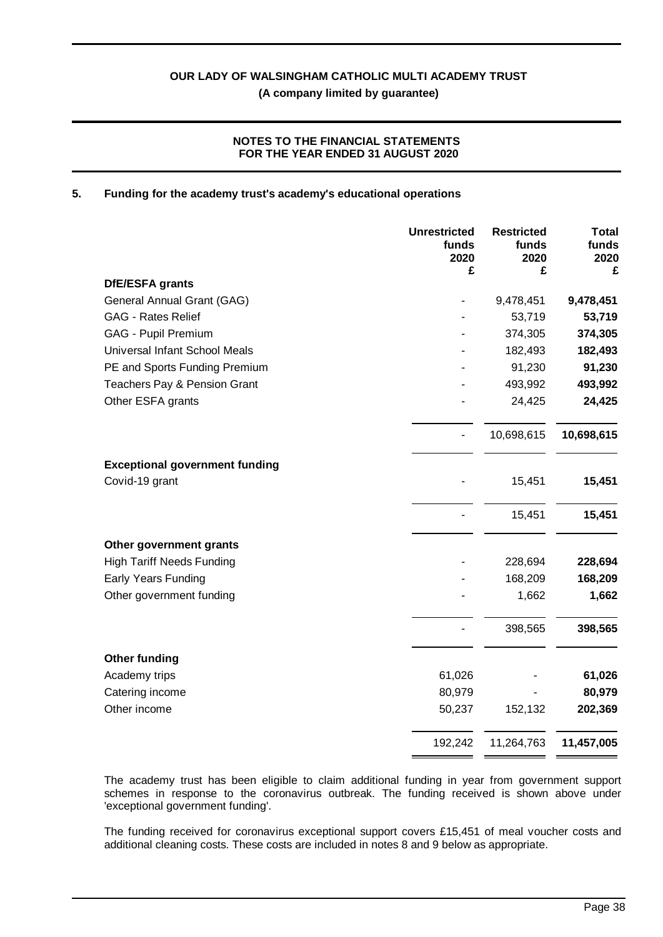# **NOTES TO THE FINANCIAL STATEMENTS FOR THE YEAR ENDED 31 AUGUST 2020**

#### **5. Funding for the academy trust's academy's educational operations**

|                                       | <b>Unrestricted</b><br>funds<br>2020<br>£ | <b>Restricted</b><br>funds<br>2020<br>£ | <b>Total</b><br>funds<br>2020<br>£ |
|---------------------------------------|-------------------------------------------|-----------------------------------------|------------------------------------|
| DfE/ESFA grants                       |                                           |                                         |                                    |
| General Annual Grant (GAG)            |                                           | 9,478,451                               | 9,478,451                          |
| <b>GAG - Rates Relief</b>             |                                           | 53,719                                  | 53,719                             |
| GAG - Pupil Premium                   |                                           | 374,305                                 | 374,305                            |
| Universal Infant School Meals         |                                           | 182,493                                 | 182,493                            |
| PE and Sports Funding Premium         |                                           | 91,230                                  | 91,230                             |
| Teachers Pay & Pension Grant          |                                           | 493,992                                 | 493,992                            |
| Other ESFA grants                     |                                           | 24,425                                  | 24,425                             |
|                                       |                                           | 10,698,615                              | 10,698,615                         |
| <b>Exceptional government funding</b> |                                           |                                         |                                    |
| Covid-19 grant                        |                                           | 15,451                                  | 15,451                             |
|                                       |                                           | 15,451                                  | 15,451                             |
| Other government grants               |                                           |                                         |                                    |
| <b>High Tariff Needs Funding</b>      |                                           | 228,694                                 | 228,694                            |
| Early Years Funding                   |                                           | 168,209                                 | 168,209                            |
| Other government funding              |                                           | 1,662                                   | 1,662                              |
|                                       |                                           | 398,565                                 | 398,565                            |
| <b>Other funding</b>                  |                                           |                                         |                                    |
| Academy trips                         | 61,026                                    |                                         | 61,026                             |
| Catering income                       | 80,979                                    |                                         | 80,979                             |
| Other income                          | 50,237                                    | 152,132                                 | 202,369                            |
|                                       | 192,242                                   | 11,264,763                              | 11,457,005                         |

The academy trust has been eligible to claim additional funding in year from government support schemes in response to the coronavirus outbreak. The funding received is shown above under 'exceptional government funding'.

The funding received for coronavirus exceptional support covers £15,451 of meal voucher costs and additional cleaning costs. These costs are included in notes 8 and 9 below as appropriate.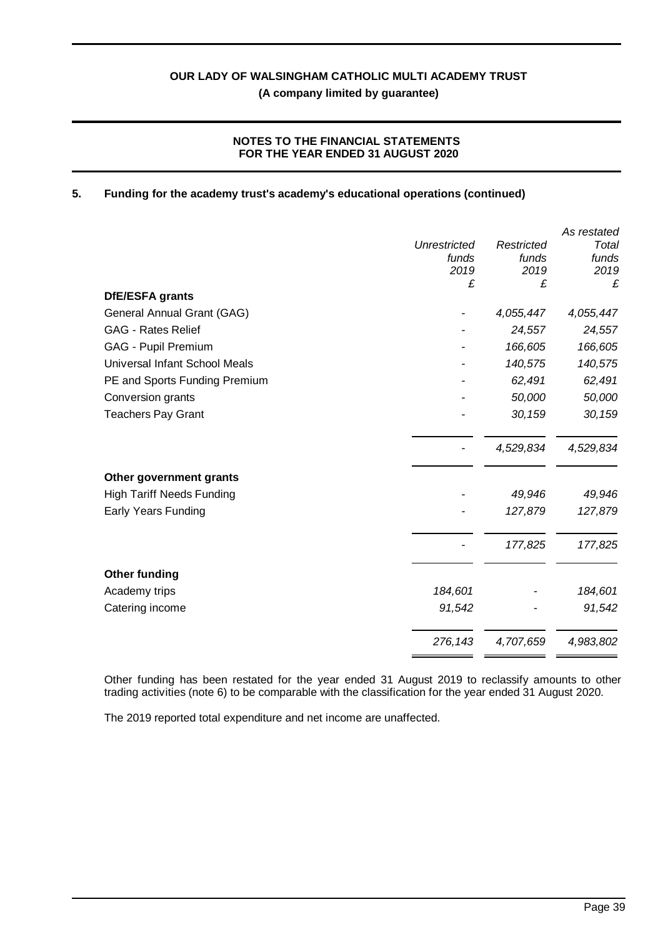# **NOTES TO THE FINANCIAL STATEMENTS FOR THE YEAR ENDED 31 AUGUST 2020**

### **5. Funding for the academy trust's academy's educational operations (continued)**

|                                  |              |            | As restated |
|----------------------------------|--------------|------------|-------------|
|                                  | Unrestricted | Restricted | Total       |
|                                  | funds        | funds      | funds       |
|                                  | 2019<br>£    | 2019<br>£  | 2019<br>£   |
| DfE/ESFA grants                  |              |            |             |
| General Annual Grant (GAG)       |              | 4,055,447  | 4,055,447   |
| <b>GAG - Rates Relief</b>        |              | 24,557     | 24,557      |
| GAG - Pupil Premium              |              | 166,605    | 166,605     |
| Universal Infant School Meals    |              | 140,575    | 140,575     |
| PE and Sports Funding Premium    |              | 62,491     | 62,491      |
| Conversion grants                |              | 50,000     | 50,000      |
| <b>Teachers Pay Grant</b>        |              | 30,159     | 30,159      |
|                                  |              | 4,529,834  | 4,529,834   |
| Other government grants          |              |            |             |
| <b>High Tariff Needs Funding</b> |              | 49,946     | 49,946      |
| Early Years Funding              |              | 127,879    | 127,879     |
|                                  |              | 177,825    | 177,825     |
| <b>Other funding</b>             |              |            |             |
| Academy trips                    | 184,601      |            | 184,601     |
| Catering income                  | 91,542       |            | 91,542      |
|                                  | 276,143      | 4,707,659  | 4,983,802   |
|                                  |              |            |             |

Other funding has been restated for the year ended 31 August 2019 to reclassify amounts to other trading activities (note 6) to be comparable with the classification for the year ended 31 August 2020.

The 2019 reported total expenditure and net income are unaffected.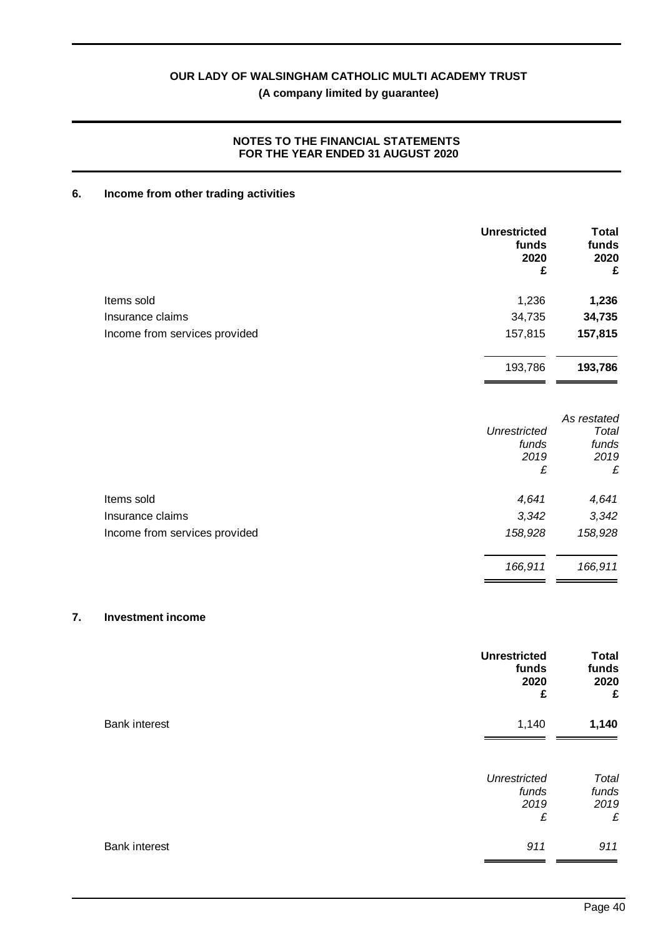# **NOTES TO THE FINANCIAL STATEMENTS FOR THE YEAR ENDED 31 AUGUST 2020**

# **6. Income from other trading activities**

|                               | <b>Unrestricted</b><br>funds<br>2020<br>£ | <b>Total</b><br>funds<br>2020<br>£ |
|-------------------------------|-------------------------------------------|------------------------------------|
| Items sold                    | 1,236                                     | 1,236                              |
| Insurance claims              | 34,735                                    | 34,735                             |
| Income from services provided | 157,815                                   | 157,815                            |
|                               | 193,786                                   | 193,786                            |
|                               | <b>Unrestricted</b><br>funds              | As restated<br>Total<br>funds      |
|                               | 2019<br>£                                 | 2019<br>£                          |
| Items sold                    | 4,641                                     | 4,641                              |
| Insurance claims              | 3,342                                     | 3,342                              |
| Income from services provided | 158,928                                   | 158,928                            |
|                               | 166,911                                   | 166,911                            |
|                               |                                           |                                    |

# **7. Investment income**

|                      | <b>Unrestricted</b><br>funds<br>2020<br>£ | <b>Total</b><br>funds<br>2020<br>£ |
|----------------------|-------------------------------------------|------------------------------------|
| <b>Bank interest</b> | 1,140                                     | 1,140                              |
|                      | <b>Unrestricted</b><br>funds<br>2019<br>£ | Total<br>funds<br>2019<br>£        |
| <b>Bank interest</b> | 911                                       | 911                                |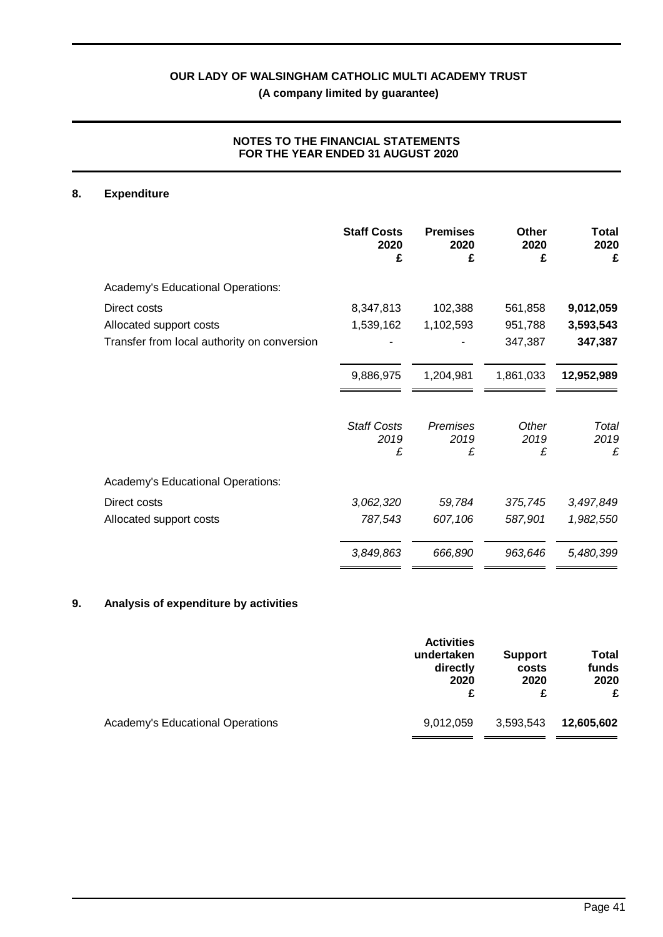# **NOTES TO THE FINANCIAL STATEMENTS FOR THE YEAR ENDED 31 AUGUST 2020**

# **8. Expenditure**

|                                             | <b>Staff Costs</b><br>2020<br>£ | <b>Premises</b><br>2020<br>£ | <b>Other</b><br>2020<br>£ | Total<br>2020<br>£ |
|---------------------------------------------|---------------------------------|------------------------------|---------------------------|--------------------|
| Academy's Educational Operations:           |                                 |                              |                           |                    |
| Direct costs                                | 8,347,813                       | 102,388                      | 561,858                   | 9,012,059          |
| Allocated support costs                     | 1,539,162                       | 1,102,593                    | 951,788                   | 3,593,543          |
| Transfer from local authority on conversion |                                 |                              | 347,387                   | 347,387            |
|                                             | 9,886,975                       | 1,204,981                    | 1,861,033                 | 12,952,989         |
|                                             | <b>Staff Costs</b><br>2019<br>£ | Premises<br>2019<br>£        | Other<br>2019<br>£        | Total<br>2019<br>£ |
| Academy's Educational Operations:           |                                 |                              |                           |                    |
| Direct costs                                | 3,062,320                       | 59,784                       | 375,745                   | 3,497,849          |
| Allocated support costs                     | 787,543                         | 607,106                      | 587,901                   | 1,982,550          |
|                                             | 3,849,863                       | 666,890                      | 963,646                   | 5,480,399          |

# **9. Analysis of expenditure by activities**

|                                  | <b>Activities</b> | <b>Support</b> | Total      |
|----------------------------------|-------------------|----------------|------------|
|                                  | undertaken        | costs          | funds      |
|                                  | directly          | 2020           | 2020       |
|                                  | 2020              | £              | £          |
| Academy's Educational Operations | 9,012,059         | 3,593,543      | 12,605,602 |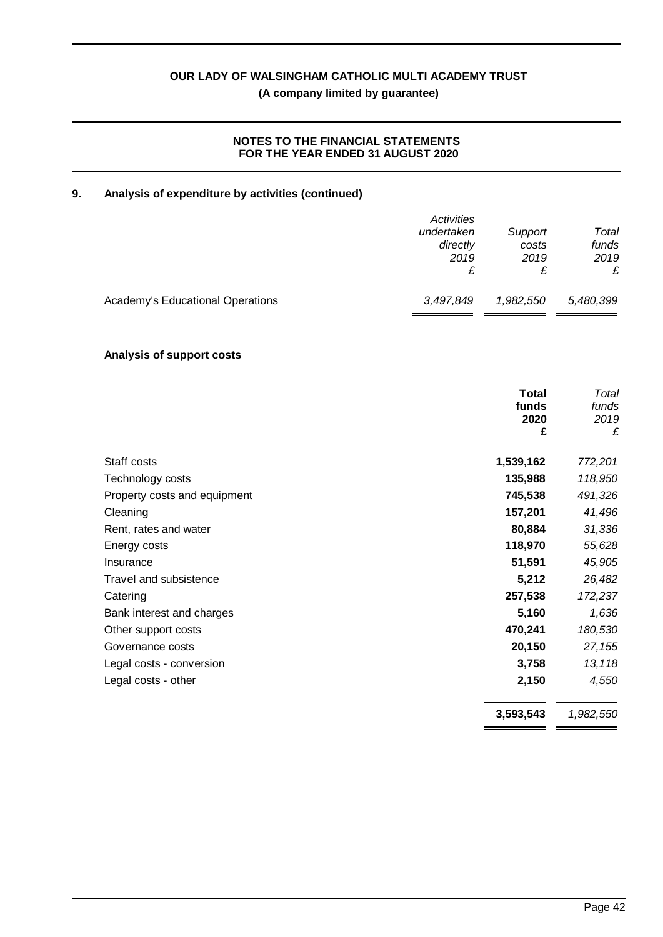# **NOTES TO THE FINANCIAL STATEMENTS FOR THE YEAR ENDED 31 AUGUST 2020**

# **9. Analysis of expenditure by activities (continued)**

|                                  | Activities | Support   | Total     |
|----------------------------------|------------|-----------|-----------|
|                                  | undertaken | costs     | funds     |
|                                  | directly   | 2019      | 2019      |
|                                  | 2019       | £         | £         |
| Academy's Educational Operations | 3,497,849  | 1,982,550 | 5,480,399 |

# **Analysis of support costs**

|                              | <b>Total</b><br>funds<br>2020<br>£ | Total<br>funds<br>2019<br>£ |
|------------------------------|------------------------------------|-----------------------------|
| Staff costs                  | 1,539,162                          | 772,201                     |
| Technology costs             | 135,988                            | 118,950                     |
| Property costs and equipment | 745,538                            | 491,326                     |
| Cleaning                     | 157,201                            | 41,496                      |
| Rent, rates and water        | 80,884                             | 31,336                      |
| Energy costs                 | 118,970                            | 55,628                      |
| Insurance                    | 51,591                             | 45,905                      |
| Travel and subsistence       | 5,212                              | 26,482                      |
| Catering                     | 257,538                            | 172,237                     |
| Bank interest and charges    | 5,160                              | 1,636                       |
| Other support costs          | 470,241                            | 180,530                     |
| Governance costs             | 20,150                             | 27,155                      |
| Legal costs - conversion     | 3,758                              | 13,118                      |
| Legal costs - other          | 2,150                              | 4,550                       |
|                              | 3,593,543                          | 1,982,550                   |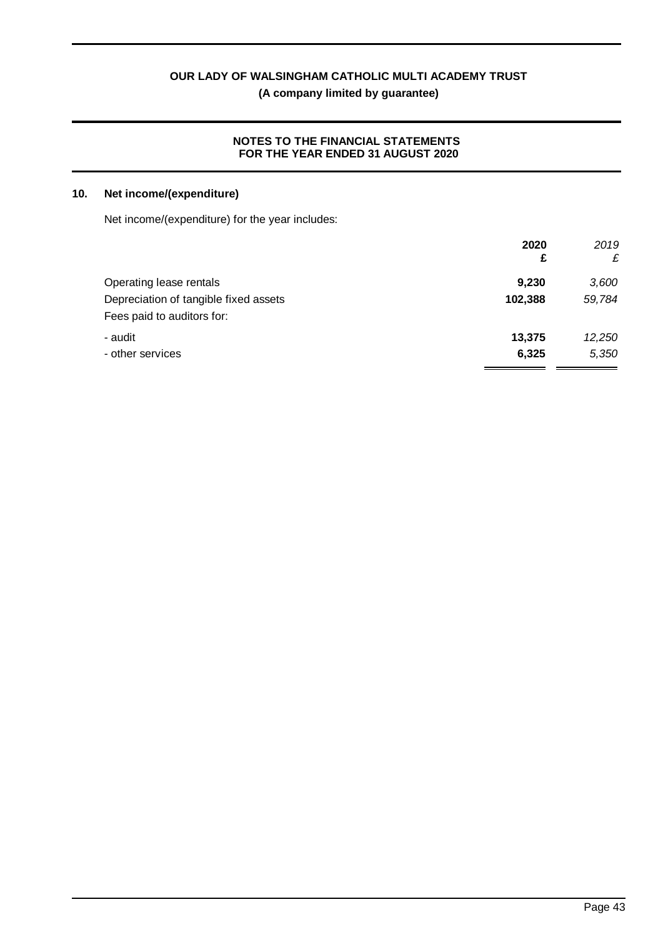**(A company limited by guarantee)**

# **NOTES TO THE FINANCIAL STATEMENTS FOR THE YEAR ENDED 31 AUGUST 2020**

# **10. Net income/(expenditure)**

Net income/(expenditure) for the year includes:

|                                       | 2020    | 2019   |
|---------------------------------------|---------|--------|
|                                       | £       | £      |
| Operating lease rentals               | 9,230   | 3,600  |
| Depreciation of tangible fixed assets | 102,388 | 59,784 |
| Fees paid to auditors for:            |         |        |
| - audit                               | 13,375  | 12,250 |
| - other services                      | 6,325   | 5,350  |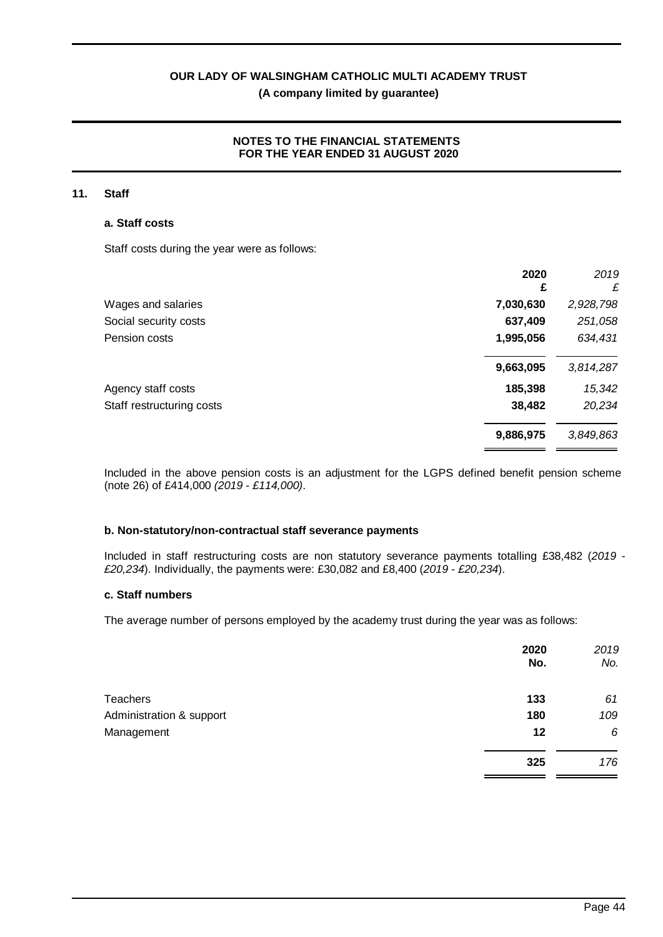# **NOTES TO THE FINANCIAL STATEMENTS FOR THE YEAR ENDED 31 AUGUST 2020**

#### **11. Staff**

#### **a. Staff costs**

Staff costs during the year were as follows:

|                           | 2020<br>£ | 2019<br>£ |
|---------------------------|-----------|-----------|
| Wages and salaries        | 7,030,630 | 2,928,798 |
| Social security costs     | 637,409   | 251,058   |
| Pension costs             | 1,995,056 | 634,431   |
|                           | 9,663,095 | 3,814,287 |
| Agency staff costs        | 185,398   | 15,342    |
| Staff restructuring costs | 38,482    | 20,234    |
|                           | 9,886,975 | 3,849,863 |

Included in the above pension costs is an adjustment for the LGPS defined benefit pension scheme (note 26) of £414,000 *(2019 - £114,000)*.

#### **b. Non-statutory/non-contractual staff severance payments**

Included in staff restructuring costs are non statutory severance payments totalling £38,482 (*2019 - £20,234*). Individually, the payments were: £30,082 and £8,400 (*2019 - £20,234*).

#### **c. Staff numbers**

The average number of persons employed by the academy trust during the year was as follows:

|                          | 2020<br>No. | 2019<br>No. |
|--------------------------|-------------|-------------|
| <b>Teachers</b>          | 133         | 61          |
| Administration & support | 180         | 109         |
| Management               | 12          | 6           |
|                          | 325         | 176         |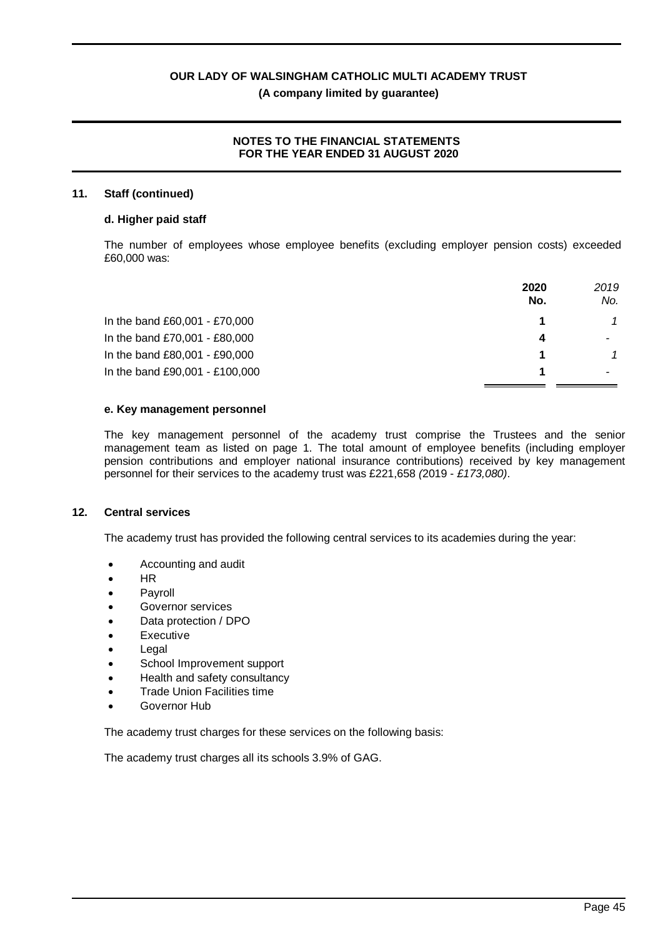### **NOTES TO THE FINANCIAL STATEMENTS FOR THE YEAR ENDED 31 AUGUST 2020**

#### **11. Staff (continued)**

#### **d. Higher paid staff**

The number of employees whose employee benefits (excluding employer pension costs) exceeded £60,000 was:

|                                | 2020<br>No. | 2019<br>No. |
|--------------------------------|-------------|-------------|
| In the band £60,001 - £70,000  |             |             |
| In the band £70,001 - £80,000  | Δ           |             |
| In the band £80,001 - £90,000  |             |             |
| In the band £90,001 - £100,000 |             |             |

#### **e. Key management personnel**

The key management personnel of the academy trust comprise the Trustees and the senior management team as listed on page 1. The total amount of employee benefits (including employer pension contributions and employer national insurance contributions) received by key management personnel for their services to the academy trust was £221,658 *(*2019 - *£173,080)*.

#### **12. Central services**

The academy trust has provided the following central services to its academies during the year:

- · Accounting and audit
- · HR
- **Payroll**
- Governor services
- Data protection / DPO
- **Executive**
- **Legal**
- School Improvement support
- Health and safety consultancy
- **Trade Union Facilities time**
- Governor Hub

The academy trust charges for these services on the following basis:

The academy trust charges all its schools 3.9% of GAG.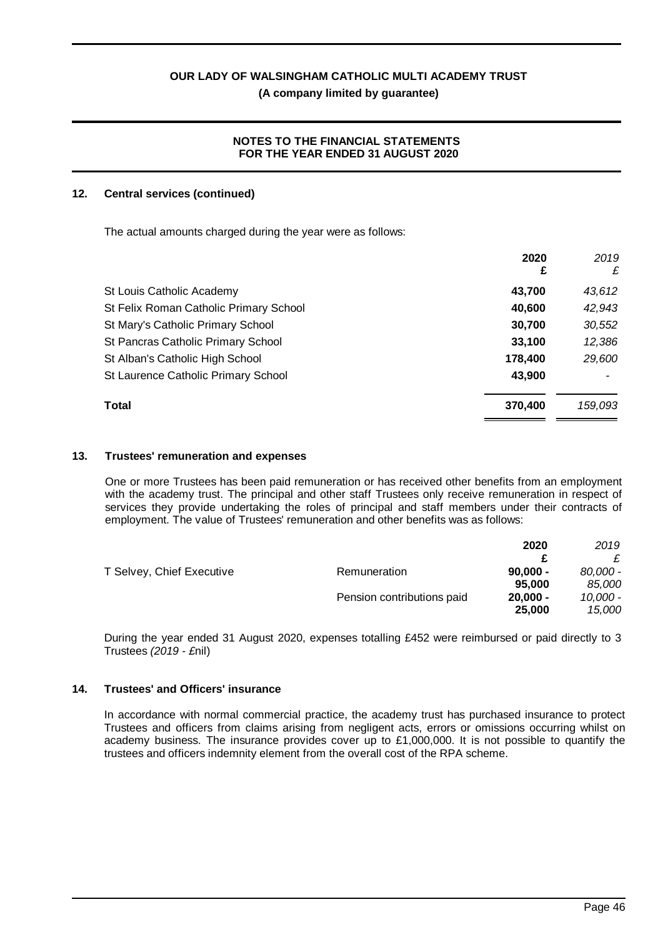#### **NOTES TO THE FINANCIAL STATEMENTS FOR THE YEAR ENDED 31 AUGUST 2020**

### **12. Central services (continued)**

The actual amounts charged during the year were as follows:

|                                        | 2020<br>£ | 2019<br>£ |
|----------------------------------------|-----------|-----------|
| St Louis Catholic Academy              | 43,700    | 43,612    |
| St Felix Roman Catholic Primary School | 40,600    | 42,943    |
| St Mary's Catholic Primary School      | 30,700    | 30,552    |
| St Pancras Catholic Primary School     | 33,100    | 12,386    |
| St Alban's Catholic High School        | 178,400   | 29,600    |
| St Laurence Catholic Primary School    | 43,900    |           |
| <b>Total</b>                           | 370,400   | 159,093   |

#### **13. Trustees' remuneration and expenses**

One or more Trustees has been paid remuneration or has received other benefits from an employment with the academy trust. The principal and other staff Trustees only receive remuneration in respect of services they provide undertaking the roles of principal and staff members under their contracts of employment. The value of Trustees' remuneration and other benefits was as follows:

|                           |                            | 2020       | 2019     |
|---------------------------|----------------------------|------------|----------|
|                           |                            |            |          |
| T Selvey, Chief Executive | Remuneration               | $90,000 -$ | 80.000 - |
|                           |                            | 95,000     | 85.000   |
|                           | Pension contributions paid | $20.000 -$ | 10.000 - |
|                           |                            | 25,000     | 15,000   |

During the year ended 31 August 2020, expenses totalling £452 were reimbursed or paid directly to 3 Trustees *(2019 - £*nil)

# **14. Trustees' and Officers' insurance**

In accordance with normal commercial practice, the academy trust has purchased insurance to protect Trustees and officers from claims arising from negligent acts, errors or omissions occurring whilst on academy business. The insurance provides cover up to £1,000,000. It is not possible to quantify the trustees and officers indemnity element from the overall cost of the RPA scheme.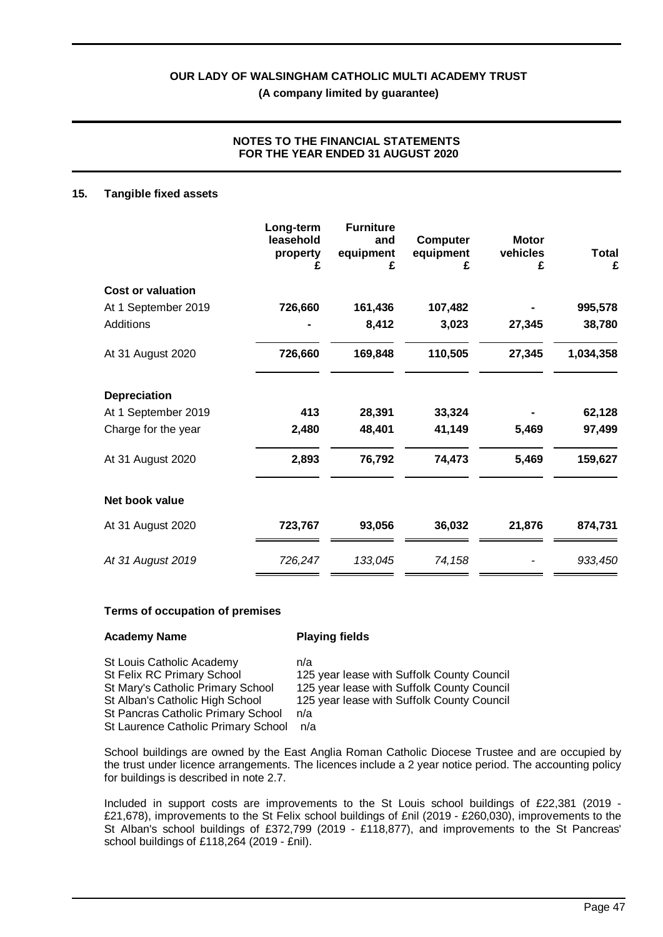# **NOTES TO THE FINANCIAL STATEMENTS FOR THE YEAR ENDED 31 AUGUST 2020**

#### **15. Tangible fixed assets**

|                          | Long-term<br>leasehold<br>property<br>£ | <b>Furniture</b><br>and<br>equipment<br>£ | <b>Computer</b><br>equipment<br>£ | <b>Motor</b><br>vehicles<br>£ | <b>Total</b><br>£ |
|--------------------------|-----------------------------------------|-------------------------------------------|-----------------------------------|-------------------------------|-------------------|
| <b>Cost or valuation</b> |                                         |                                           |                                   |                               |                   |
| At 1 September 2019      | 726,660                                 | 161,436                                   | 107,482                           |                               | 995,578           |
| <b>Additions</b>         |                                         | 8,412                                     | 3,023                             | 27,345                        | 38,780            |
| At 31 August 2020        | 726,660                                 | 169,848                                   | 110,505                           | 27,345                        | 1,034,358         |
| <b>Depreciation</b>      |                                         |                                           |                                   |                               |                   |
| At 1 September 2019      | 413                                     | 28,391                                    | 33,324                            |                               | 62,128            |
| Charge for the year      | 2,480                                   | 48,401                                    | 41,149                            | 5,469                         | 97,499            |
| At 31 August 2020        | 2,893                                   | 76,792                                    | 74,473                            | 5,469                         | 159,627           |
| Net book value           |                                         |                                           |                                   |                               |                   |
| At 31 August 2020        | 723,767                                 | 93,056                                    | 36,032                            | 21,876                        | 874,731           |
| At 31 August 2019        | 726,247                                 | 133,045                                   | 74,158                            |                               | 933,450           |

#### **Terms of occupation of premises**

| <b>Academy Name</b>                 | <b>Playing fields</b>                      |
|-------------------------------------|--------------------------------------------|
| St Louis Catholic Academy           | n/a                                        |
| St Felix RC Primary School          | 125 year lease with Suffolk County Council |
| St Mary's Catholic Primary School   | 125 year lease with Suffolk County Council |
| St Alban's Catholic High School     | 125 year lease with Suffolk County Council |
| St Pancras Catholic Primary School  | n/a                                        |
| St Laurence Catholic Primary School | n/a                                        |

School buildings are owned by the East Anglia Roman Catholic Diocese Trustee and are occupied by the trust under licence arrangements. The licences include a 2 year notice period. The accounting policy for buildings is described in note 2.7.

Included in support costs are improvements to the St Louis school buildings of £22,381 (2019 - £21,678), improvements to the St Felix school buildings of £nil (2019 - £260,030), improvements to the St Alban's school buildings of £372,799 (2019 - £118,877), and improvements to the St Pancreas' school buildings of £118,264 (2019 - £nil).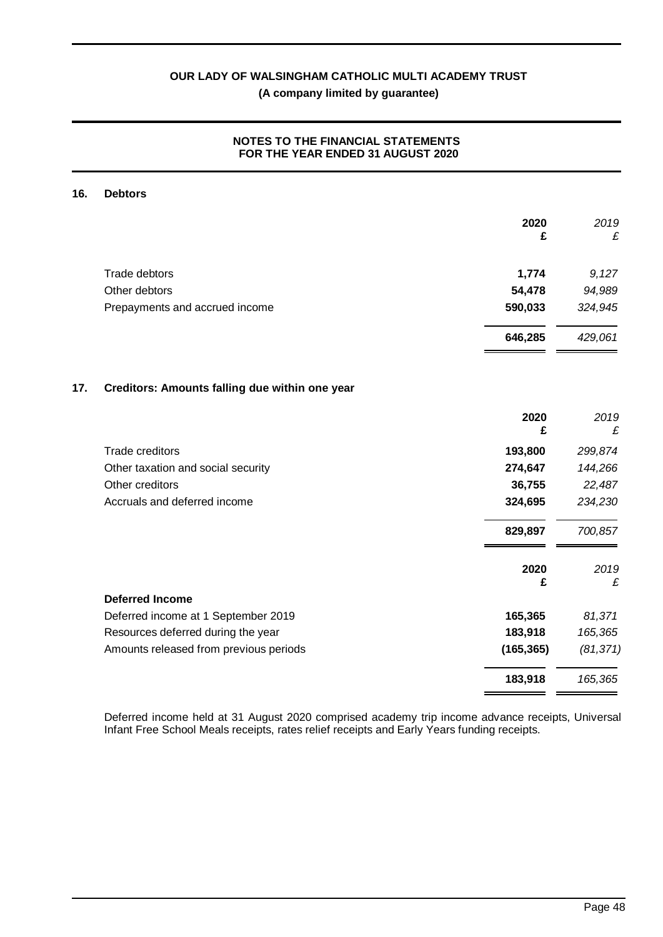# **NOTES TO THE FINANCIAL STATEMENTS FOR THE YEAR ENDED 31 AUGUST 2020**

#### **16. Debtors**

|     |                                                | 2020<br>£  | 2019<br>£ |
|-----|------------------------------------------------|------------|-----------|
|     |                                                |            |           |
|     | Trade debtors                                  | 1,774      | 9,127     |
|     | Other debtors                                  | 54,478     | 94,989    |
|     | Prepayments and accrued income                 | 590,033    | 324,945   |
|     |                                                | 646,285    | 429,061   |
| 17. | Creditors: Amounts falling due within one year |            |           |
|     |                                                | 2020<br>£  | 2019<br>£ |
|     | <b>Trade creditors</b>                         | 193,800    | 299,874   |
|     | Other taxation and social security             | 274,647    | 144,266   |
|     | Other creditors                                | 36,755     | 22,487    |
|     | Accruals and deferred income                   | 324,695    | 234,230   |
|     |                                                | 829,897    | 700,857   |
|     |                                                | 2020<br>£  | 2019<br>£ |
|     | <b>Deferred Income</b>                         |            |           |
|     | Deferred income at 1 September 2019            | 165,365    | 81,371    |
|     | Resources deferred during the year             | 183,918    | 165,365   |
|     | Amounts released from previous periods         | (165, 365) | (81, 371) |
|     |                                                | 183,918    | 165,365   |

Deferred income held at 31 August 2020 comprised academy trip income advance receipts, Universal Infant Free School Meals receipts, rates relief receipts and Early Years funding receipts.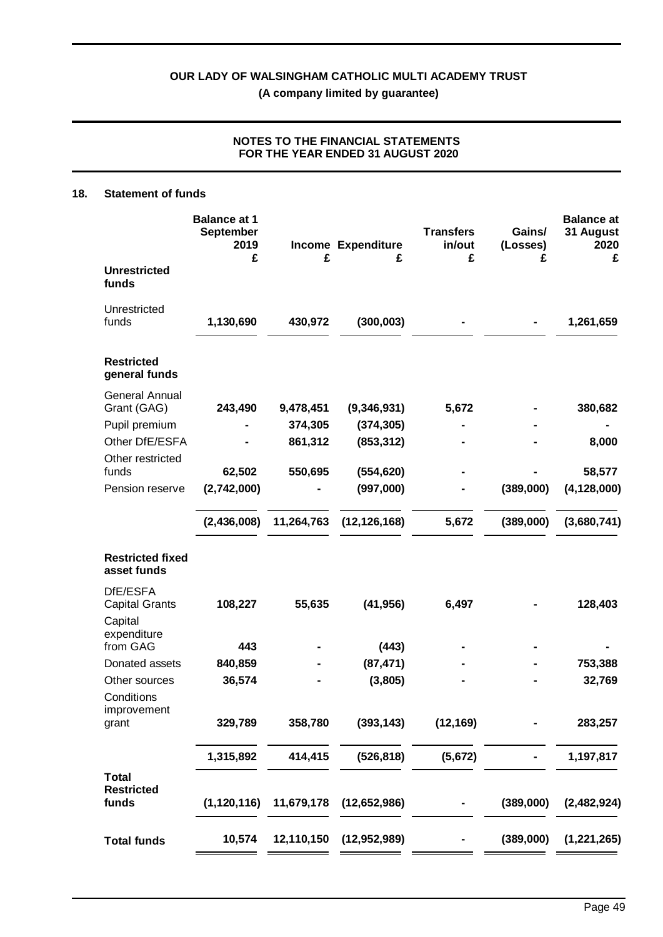# **NOTES TO THE FINANCIAL STATEMENTS FOR THE YEAR ENDED 31 AUGUST 2020**

#### **18. Statement of funds**

|                                            | <b>Balance at 1</b><br><b>September</b><br>2019<br>£ | £          | <b>Income Expenditure</b><br>£ | <b>Transfers</b><br>in/out<br>£ | Gains/<br>(Losses)<br>£ | <b>Balance at</b><br>31 August<br>2020<br>£ |
|--------------------------------------------|------------------------------------------------------|------------|--------------------------------|---------------------------------|-------------------------|---------------------------------------------|
| <b>Unrestricted</b><br>funds               |                                                      |            |                                |                                 |                         |                                             |
| Unrestricted<br>funds                      | 1,130,690                                            | 430,972    | (300, 003)                     |                                 |                         | 1,261,659                                   |
| <b>Restricted</b><br>general funds         |                                                      |            |                                |                                 |                         |                                             |
| <b>General Annual</b><br>Grant (GAG)       | 243,490                                              | 9,478,451  | (9,346,931)                    | 5,672                           |                         | 380,682                                     |
| Pupil premium                              |                                                      | 374,305    | (374, 305)                     |                                 |                         |                                             |
| Other DfE/ESFA                             |                                                      | 861,312    | (853, 312)                     |                                 |                         | 8,000                                       |
| Other restricted                           |                                                      |            |                                |                                 |                         |                                             |
| funds                                      | 62,502                                               | 550,695    | (554, 620)                     |                                 |                         | 58,577                                      |
| Pension reserve                            | (2,742,000)                                          |            | (997,000)                      |                                 | (389,000)               | (4, 128, 000)                               |
|                                            | (2,436,008)                                          | 11,264,763 | (12, 126, 168)                 | 5,672                           | (389,000)               | (3,680,741)                                 |
| <b>Restricted fixed</b><br>asset funds     |                                                      |            |                                |                                 |                         |                                             |
| DfE/ESFA                                   |                                                      |            |                                |                                 |                         |                                             |
| <b>Capital Grants</b><br>Capital           | 108,227                                              | 55,635     | (41, 956)                      | 6,497                           |                         | 128,403                                     |
| expenditure                                |                                                      |            |                                |                                 |                         |                                             |
| from GAG                                   | 443                                                  |            | (443)                          |                                 |                         |                                             |
| Donated assets                             | 840,859                                              |            | (87, 471)                      |                                 |                         | 753,388                                     |
| Other sources                              | 36,574                                               |            | (3,805)                        |                                 |                         | 32,769                                      |
| Conditions<br>improvement                  |                                                      |            |                                |                                 |                         |                                             |
| grant                                      | 329,789                                              | 358,780    | (393, 143)                     | (12, 169)                       |                         | 283,257                                     |
|                                            | 1,315,892                                            | 414,415    | (526, 818)                     | (5,672)                         |                         | 1,197,817                                   |
| <b>Total</b><br><b>Restricted</b><br>funds | (1, 120, 116)                                        | 11,679,178 | (12,652,986)                   |                                 | (389,000)               | (2,482,924)                                 |
| <b>Total funds</b>                         | 10,574                                               | 12,110,150 | (12, 952, 989)                 |                                 | (389,000)               | (1, 221, 265)                               |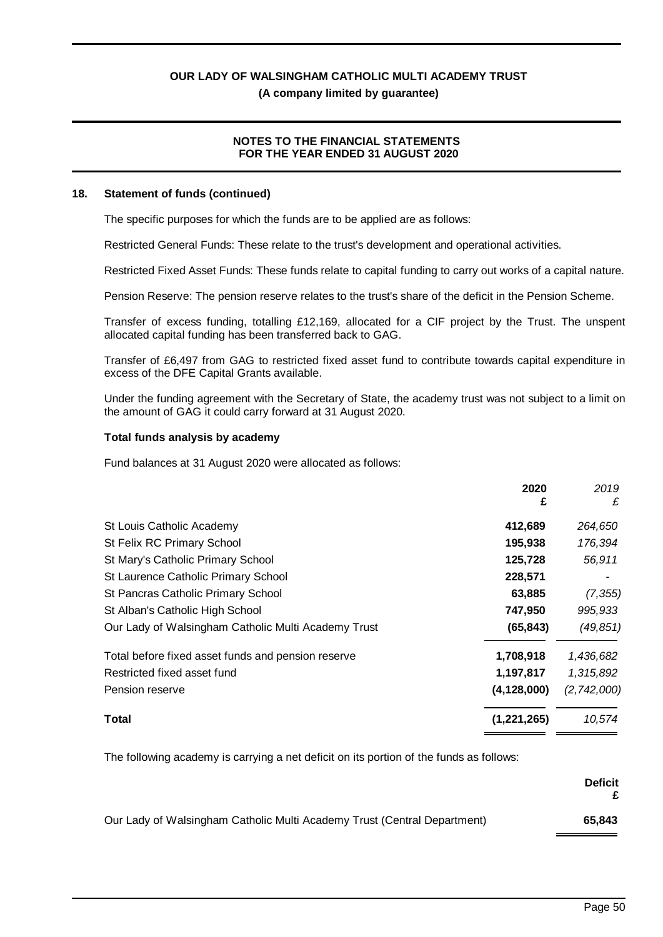# **NOTES TO THE FINANCIAL STATEMENTS FOR THE YEAR ENDED 31 AUGUST 2020**

#### **18. Statement of funds (continued)**

The specific purposes for which the funds are to be applied are as follows:

Restricted General Funds: These relate to the trust's development and operational activities.

Restricted Fixed Asset Funds: These funds relate to capital funding to carry out works of a capital nature.

Pension Reserve: The pension reserve relates to the trust's share of the deficit in the Pension Scheme.

Transfer of excess funding, totalling £12,169, allocated for a CIF project by the Trust. The unspent allocated capital funding has been transferred back to GAG.

Transfer of £6,497 from GAG to restricted fixed asset fund to contribute towards capital expenditure in excess of the DFE Capital Grants available.

Under the funding agreement with the Secretary of State, the academy trust was not subject to a limit on the amount of GAG it could carry forward at 31 August 2020.

#### **Total funds analysis by academy**

Fund balances at 31 August 2020 were allocated as follows:

|                                                     | 2020<br>£     | 2019<br>£   |
|-----------------------------------------------------|---------------|-------------|
| St Louis Catholic Academy                           | 412,689       | 264,650     |
| St Felix RC Primary School                          | 195,938       | 176,394     |
| St Mary's Catholic Primary School                   | 125,728       | 56,911      |
| St Laurence Catholic Primary School                 | 228,571       |             |
| St Pancras Catholic Primary School                  | 63,885        | (7, 355)    |
| St Alban's Catholic High School                     | 747,950       | 995,933     |
| Our Lady of Walsingham Catholic Multi Academy Trust | (65, 843)     | (49, 851)   |
| Total before fixed asset funds and pension reserve  | 1,708,918     | 1,436,682   |
| Restricted fixed asset fund                         | 1,197,817     | 1,315,892   |
| Pension reserve                                     | (4, 128, 000) | (2,742,000) |
| Total                                               | (1,221,265)   | 10,574      |

The following academy is carrying a net deficit on its portion of the funds as follows:

|                                                                          | <b>Deficit</b> |
|--------------------------------------------------------------------------|----------------|
| Our Lady of Walsingham Catholic Multi Academy Trust (Central Department) | 65.843         |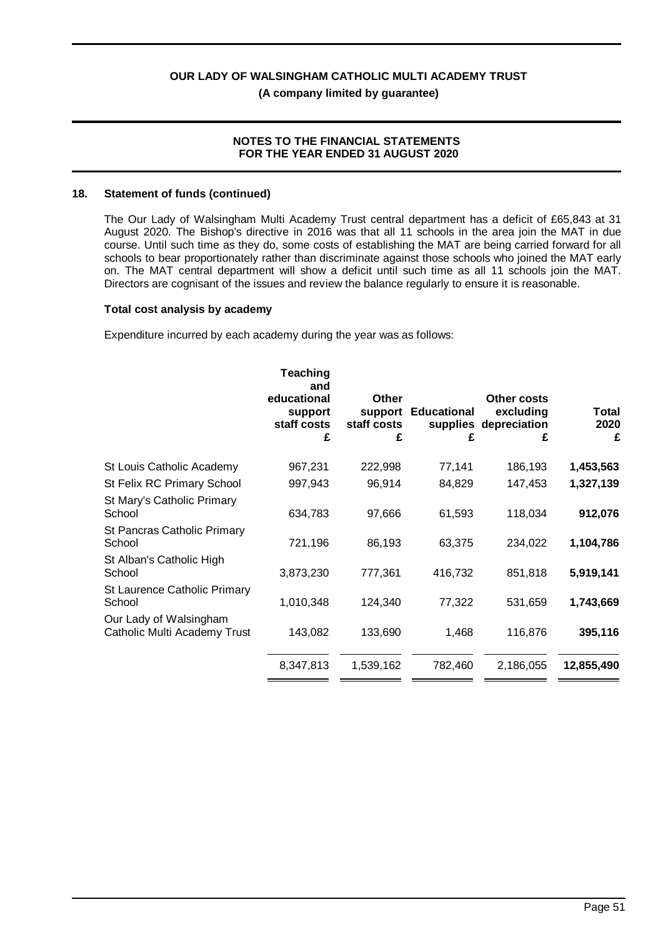#### **NOTES TO THE FINANCIAL STATEMENTS FOR THE YEAR ENDED 31 AUGUST 2020**

#### **18. Statement of funds (continued)**

The Our Lady of Walsingham Multi Academy Trust central department has a deficit of £65,843 at 31 August 2020. The Bishop's directive in 2016 was that all 11 schools in the area join the MAT in due course. Until such time as they do, some costs of establishing the MAT are being carried forward for all schools to bear proportionately rather than discriminate against those schools who joined the MAT early on. The MAT central department will show a deficit until such time as all 11 schools join the MAT. Directors are cognisant of the issues and review the balance regularly to ensure it is reasonable.

#### **Total cost analysis by academy**

Expenditure incurred by each academy during the year was as follows:

|                                                        | <b>Teaching</b><br>and<br>educational<br>support<br>staff costs<br>£ | Other<br>support<br>staff costs<br>£ | <b>Educational</b><br>£ | <b>Other costs</b><br>excluding<br>supplies depreciation<br>£ | Total<br>2020<br>£ |
|--------------------------------------------------------|----------------------------------------------------------------------|--------------------------------------|-------------------------|---------------------------------------------------------------|--------------------|
| St Louis Catholic Academy                              | 967,231                                                              | 222,998                              | 77,141                  | 186,193                                                       | 1,453,563          |
| St Felix RC Primary School                             | 997,943                                                              | 96,914                               | 84,829                  | 147,453                                                       | 1,327,139          |
| St Mary's Catholic Primary<br>School                   | 634,783                                                              | 97,666                               | 61,593                  | 118,034                                                       | 912,076            |
| St Pancras Catholic Primary<br>School                  | 721,196                                                              | 86,193                               | 63,375                  | 234,022                                                       | 1,104,786          |
| St Alban's Catholic High<br>School                     | 3,873,230                                                            | 777,361                              | 416,732                 | 851,818                                                       | 5,919,141          |
| St Laurence Catholic Primary<br>School                 | 1,010,348                                                            | 124,340                              | 77,322                  | 531,659                                                       | 1,743,669          |
| Our Lady of Walsingham<br>Catholic Multi Academy Trust | 143,082                                                              | 133,690                              | 1,468                   | 116,876                                                       | 395,116            |
|                                                        | 8,347,813                                                            | 1,539,162                            | 782,460                 | 2,186,055                                                     | 12,855,490         |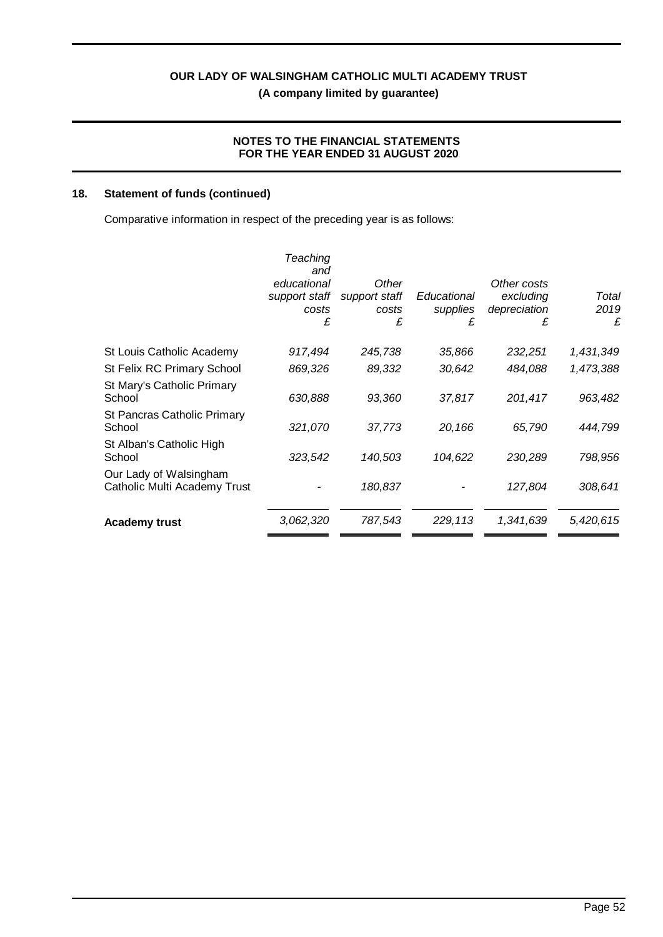# **NOTES TO THE FINANCIAL STATEMENTS FOR THE YEAR ENDED 31 AUGUST 2020**

# **18. Statement of funds (continued)**

Comparative information in respect of the preceding year is as follows:

|                                                        | Teaching<br>and<br>educational<br>support staff<br>costs<br>£ | Other<br>support staff<br>costs<br>£ | Educational<br>supplies<br>£ | Other costs<br>excluding<br>depreciation<br>£ | Total<br>2019<br>£ |
|--------------------------------------------------------|---------------------------------------------------------------|--------------------------------------|------------------------------|-----------------------------------------------|--------------------|
| St Louis Catholic Academy                              | 917,494                                                       | 245,738                              | 35,866                       | 232,251                                       | 1,431,349          |
| St Felix RC Primary School                             | 869,326                                                       | 89,332                               | 30,642                       | 484,088                                       | 1,473,388          |
| St Mary's Catholic Primary<br>School                   | 630,888                                                       | 93,360                               | 37,817                       | 201,417                                       | 963,482            |
| St Pancras Catholic Primary<br>School                  | 321,070                                                       | 37,773                               | 20,166                       | 65,790                                        | 444,799            |
| St Alban's Catholic High<br>School                     | 323,542                                                       | 140,503                              | 104,622                      | 230,289                                       | 798,956            |
| Our Lady of Walsingham<br>Catholic Multi Academy Trust |                                                               | 180,837                              |                              | 127,804                                       | 308,641            |
| <b>Academy trust</b>                                   | 3,062,320                                                     | 787,543                              | 229,113                      | 1,341,639                                     | 5,420,615          |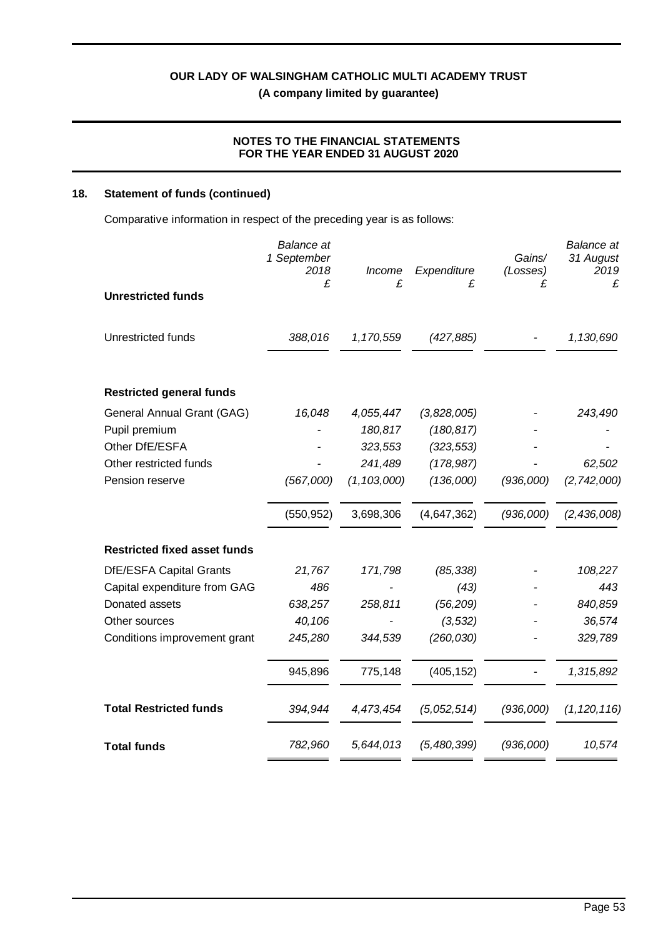# **NOTES TO THE FINANCIAL STATEMENTS FOR THE YEAR ENDED 31 AUGUST 2020**

# **18. Statement of funds (continued)**

Comparative information in respect of the preceding year is as follows:

|                                     | <b>Balance</b> at<br>1 September<br>2018<br>£ | <b>Income</b><br>£ | Expenditure<br>£ | Gains/<br>(Losses)<br>£ | <b>Balance</b> at<br>31 August<br>2019<br>£ |
|-------------------------------------|-----------------------------------------------|--------------------|------------------|-------------------------|---------------------------------------------|
| <b>Unrestricted funds</b>           |                                               |                    |                  |                         |                                             |
| Unrestricted funds                  | 388,016                                       | 1,170,559          | (427, 885)       |                         | 1,130,690                                   |
| <b>Restricted general funds</b>     |                                               |                    |                  |                         |                                             |
| General Annual Grant (GAG)          | 16,048                                        | 4,055,447          | (3,828,005)      |                         | 243,490                                     |
| Pupil premium                       |                                               | 180,817            | (180, 817)       |                         |                                             |
| Other DfE/ESFA                      |                                               | 323,553            | (323, 553)       |                         |                                             |
| Other restricted funds              |                                               | 241,489            | (178, 987)       |                         | 62,502                                      |
| Pension reserve                     | (567,000)                                     | (1, 103, 000)      | (136,000)        | (936,000)               | (2, 742, 000)                               |
|                                     | (550, 952)                                    | 3,698,306          | (4,647,362)      | (936,000)               | (2, 436, 008)                               |
| <b>Restricted fixed asset funds</b> |                                               |                    |                  |                         |                                             |
| DfE/ESFA Capital Grants             | 21,767                                        | 171,798            | (85, 338)        |                         | 108,227                                     |
| Capital expenditure from GAG        | 486                                           |                    | (43)             |                         | 443                                         |
| Donated assets                      | 638,257                                       | 258,811            | (56, 209)        |                         | 840,859                                     |
| Other sources                       | 40,106                                        |                    | (3, 532)         |                         | 36,574                                      |
| Conditions improvement grant        | 245,280                                       | 344,539            | (260, 030)       |                         | 329,789                                     |
|                                     | 945,896                                       | 775,148            | (405, 152)       |                         | 1,315,892                                   |
| <b>Total Restricted funds</b>       | 394,944                                       | 4,473,454          | (5,052,514)      | (936,000)               | (1, 120, 116)                               |
| <b>Total funds</b>                  | 782,960                                       | 5,644,013          | (5,480,399)      | (936,000)               | 10,574                                      |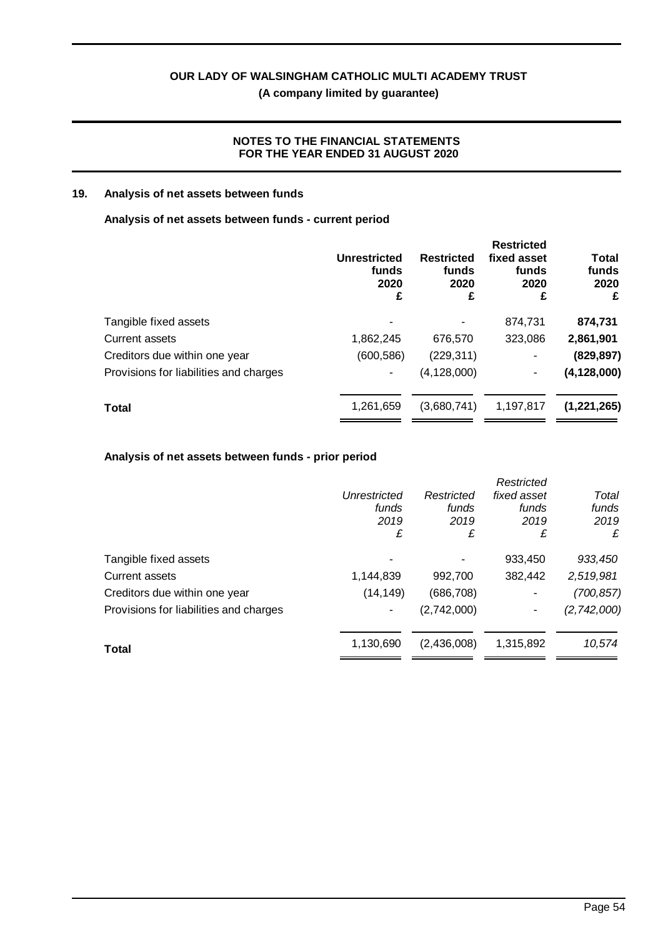**(A company limited by guarantee)**

# **NOTES TO THE FINANCIAL STATEMENTS FOR THE YEAR ENDED 31 AUGUST 2020**

# **19. Analysis of net assets between funds**

# **Analysis of net assets between funds - current period**

|                                        | Unrestricted<br>funds<br>2020<br>£ | <b>Restricted</b><br>funds<br>2020<br>£ | <b>Restricted</b><br>fixed asset<br>funds<br>2020<br>£ | <b>Total</b><br>funds<br>2020<br>£ |
|----------------------------------------|------------------------------------|-----------------------------------------|--------------------------------------------------------|------------------------------------|
| Tangible fixed assets                  |                                    |                                         | 874,731                                                | 874,731                            |
| Current assets                         | 1,862,245                          | 676,570                                 | 323,086                                                | 2,861,901                          |
| Creditors due within one year          | (600, 586)                         | (229, 311)                              | ۰                                                      | (829, 897)                         |
| Provisions for liabilities and charges |                                    | (4, 128, 000)                           | ٠                                                      | (4, 128, 000)                      |
| <b>Total</b>                           | 1,261,659                          | (3,680,741)                             | 1,197,817                                              | (1,221,265)                        |

# **Analysis of net assets between funds - prior period**

|                                        |              |             | Restricted  |               |
|----------------------------------------|--------------|-------------|-------------|---------------|
|                                        | Unrestricted | Restricted  | fixed asset | Total         |
|                                        | funds        | funds       | funds       | funds         |
|                                        | 2019         | 2019        | 2019        | 2019          |
|                                        | £            | £           | £           | £             |
| Tangible fixed assets                  |              |             | 933,450     | 933,450       |
| Current assets                         | 1,144,839    | 992,700     | 382,442     | 2,519,981     |
| Creditors due within one year          | (14, 149)    | (686, 708)  | ۰           | (700, 857)    |
| Provisions for liabilities and charges |              | (2,742,000) |             | (2, 742, 000) |
| Total                                  | 1,130,690    | (2,436,008) | 1,315,892   | 10,574        |
|                                        |              |             |             |               |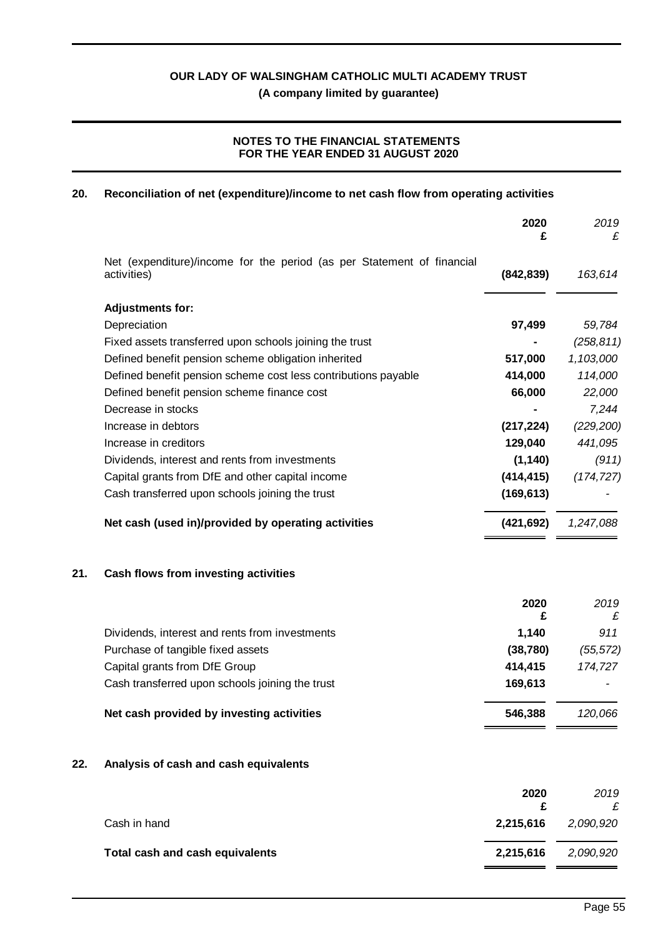# **NOTES TO THE FINANCIAL STATEMENTS FOR THE YEAR ENDED 31 AUGUST 2020**

#### **20. Reconciliation of net (expenditure)/income to net cash flow from operating activities**

|     |                                                                                       | 2020<br>£  | 2019<br>£  |
|-----|---------------------------------------------------------------------------------------|------------|------------|
|     | Net (expenditure)/income for the period (as per Statement of financial<br>activities) | (842, 839) | 163,614    |
|     | <b>Adjustments for:</b>                                                               |            |            |
|     | Depreciation                                                                          | 97,499     | 59,784     |
|     | Fixed assets transferred upon schools joining the trust                               |            | (258, 811) |
|     | Defined benefit pension scheme obligation inherited                                   | 517,000    | 1,103,000  |
|     | Defined benefit pension scheme cost less contributions payable                        | 414,000    | 114,000    |
|     | Defined benefit pension scheme finance cost                                           | 66,000     | 22,000     |
|     | Decrease in stocks                                                                    |            | 7,244      |
|     | Increase in debtors                                                                   | (217, 224) | (229, 200) |
|     | Increase in creditors                                                                 | 129,040    | 441,095    |
|     | Dividends, interest and rents from investments                                        | (1, 140)   | (911)      |
|     | Capital grants from DfE and other capital income                                      | (414, 415) | (174, 727) |
|     | Cash transferred upon schools joining the trust                                       | (169, 613) |            |
|     | Net cash (used in)/provided by operating activities                                   | (421, 692) | 1,247,088  |
| 21. | Cash flows from investing activities                                                  |            |            |
|     |                                                                                       | 2020<br>£  | 2019<br>£  |
|     | Dividends, interest and rents from investments                                        | 1,140      | 911        |
|     | Purchase of tangible fixed assets                                                     | (38, 780)  | (55, 572)  |
|     | Capital grants from DfE Group                                                         | 414,415    | 174,727    |
|     | Cash transferred upon schools joining the trust                                       | 169,613    |            |
|     | Net cash provided by investing activities                                             | 546,388    | 120,066    |
| 22. | Analysis of cash and cash equivalents                                                 |            |            |
|     |                                                                                       | 2020       | 2019       |
|     |                                                                                       |            |            |

**£** *£* Cash in hand **2,215,616** *2,090,920* **Total cash and cash equivalents 2,215,616** *2,090,920*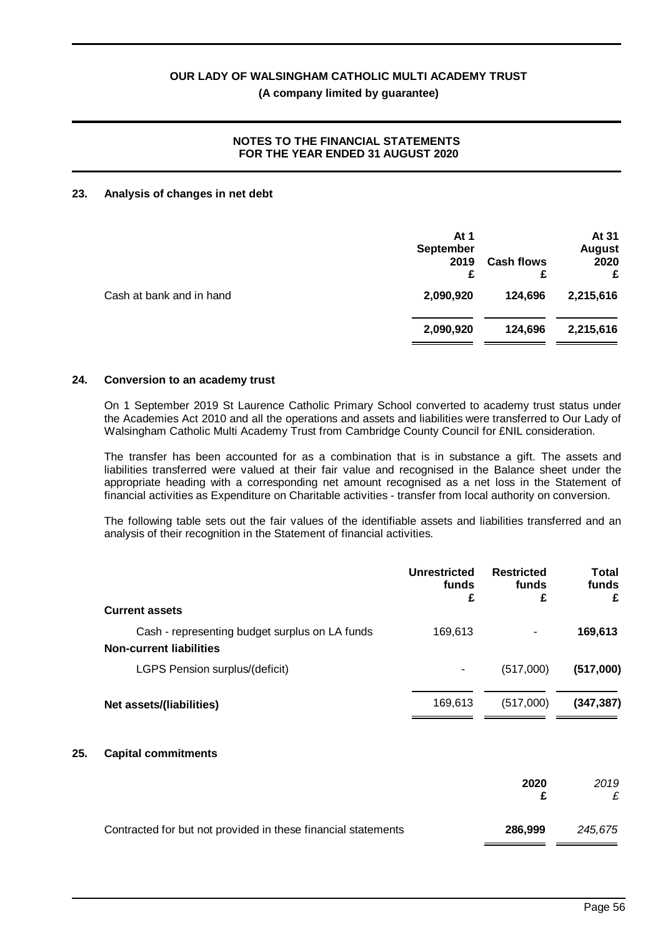# **NOTES TO THE FINANCIAL STATEMENTS FOR THE YEAR ENDED 31 AUGUST 2020**

#### **23. Analysis of changes in net debt**

| At 1<br><b>September</b><br>2019<br>£ | <b>Cash flows</b><br>£ | At 31<br><b>August</b><br>2020<br>£ |
|---------------------------------------|------------------------|-------------------------------------|
| 2,090,920                             | 124,696                | 2,215,616                           |
| 2,090,920                             | 124,696                | 2,215,616                           |
|                                       |                        |                                     |

#### **24. Conversion to an academy trust**

On 1 September 2019 St Laurence Catholic Primary School converted to academy trust status under the Academies Act 2010 and all the operations and assets and liabilities were transferred to Our Lady of Walsingham Catholic Multi Academy Trust from Cambridge County Council for £NIL consideration.

The transfer has been accounted for as a combination that is in substance a gift. The assets and liabilities transferred were valued at their fair value and recognised in the Balance sheet under the appropriate heading with a corresponding net amount recognised as a net loss in the Statement of financial activities as Expenditure on Charitable activities - transfer from local authority on conversion.

The following table sets out the fair values of the identifiable assets and liabilities transferred and an analysis of their recognition in the Statement of financial activities.

|     |                                                                                  | <b>Unrestricted</b><br>funds<br>£ | <b>Restricted</b><br>funds<br>£ | Total<br>funds<br>£ |
|-----|----------------------------------------------------------------------------------|-----------------------------------|---------------------------------|---------------------|
|     | <b>Current assets</b>                                                            |                                   |                                 |                     |
|     | Cash - representing budget surplus on LA funds<br><b>Non-current liabilities</b> | 169,613                           |                                 | 169,613             |
|     | LGPS Pension surplus/(deficit)                                                   |                                   | (517,000)                       | (517,000)           |
|     | Net assets/(liabilities)                                                         | 169,613                           | (517,000)                       | (347, 387)          |
| 25. | <b>Capital commitments</b>                                                       |                                   |                                 |                     |
|     |                                                                                  |                                   | 2020<br>£                       | 2019<br>£           |
|     | Contracted for but not provided in these financial statements                    |                                   | 286,999                         | 245,675             |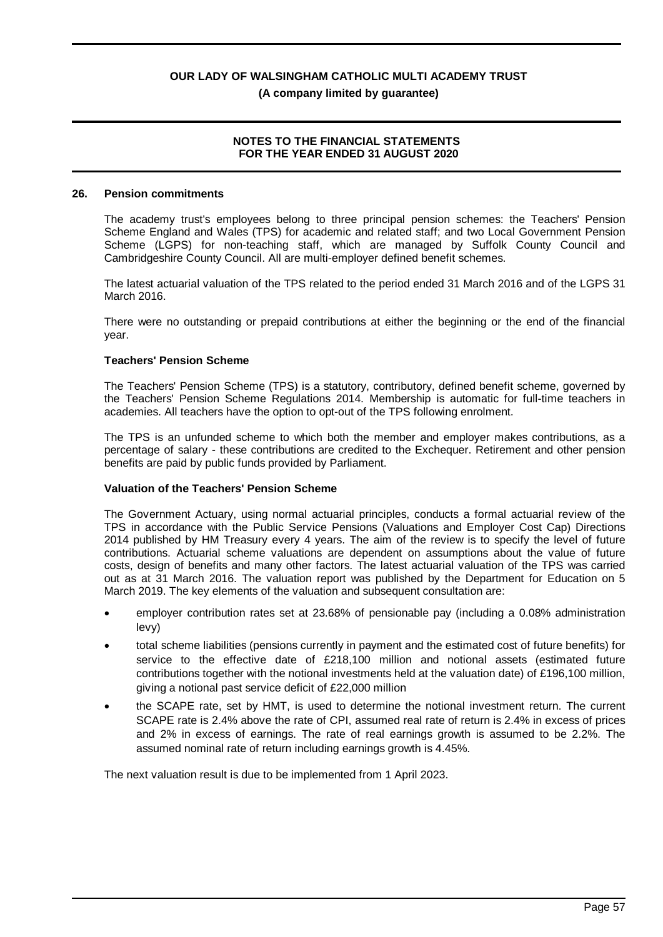### **NOTES TO THE FINANCIAL STATEMENTS FOR THE YEAR ENDED 31 AUGUST 2020**

#### **26. Pension commitments**

The academy trust's employees belong to three principal pension schemes: the Teachers' Pension Scheme England and Wales (TPS) for academic and related staff; and two Local Government Pension Scheme (LGPS) for non-teaching staff, which are managed by Suffolk County Council and Cambridgeshire County Council. All are multi-employer defined benefit schemes.

The latest actuarial valuation of the TPS related to the period ended 31 March 2016 and of the LGPS 31 March 2016.

There were no outstanding or prepaid contributions at either the beginning or the end of the financial year.

#### **Teachers' Pension Scheme**

The Teachers' Pension Scheme (TPS) is a statutory, contributory, defined benefit scheme, governed by the Teachers' Pension Scheme Regulations 2014. Membership is automatic for full-time teachers in academies. All teachers have the option to opt-out of the TPS following enrolment.

The TPS is an unfunded scheme to which both the member and employer makes contributions, as a percentage of salary - these contributions are credited to the Exchequer. Retirement and other pension benefits are paid by public funds provided by Parliament.

#### **Valuation of the Teachers' Pension Scheme**

The Government Actuary, using normal actuarial principles, conducts a formal actuarial review of the TPS in accordance with the Public Service Pensions (Valuations and Employer Cost Cap) Directions 2014 published by HM Treasury every 4 years. The aim of the review is to specify the level of future contributions. Actuarial scheme valuations are dependent on assumptions about the value of future costs, design of benefits and many other factors. The latest actuarial valuation of the TPS was carried out as at 31 March 2016. The valuation report was published by the Department for Education on 5 March 2019. The key elements of the valuation and subsequent consultation are:

- · employer contribution rates set at 23.68% of pensionable pay (including a 0.08% administration levy)
- · total scheme liabilities (pensions currently in payment and the estimated cost of future benefits) for service to the effective date of £218,100 million and notional assets (estimated future contributions together with the notional investments held at the valuation date) of £196,100 million, giving a notional past service deficit of £22,000 million
- the SCAPE rate, set by HMT, is used to determine the notional investment return. The current SCAPE rate is 2.4% above the rate of CPI, assumed real rate of return is 2.4% in excess of prices and 2% in excess of earnings. The rate of real earnings growth is assumed to be 2.2%. The assumed nominal rate of return including earnings growth is 4.45%.

The next valuation result is due to be implemented from 1 April 2023.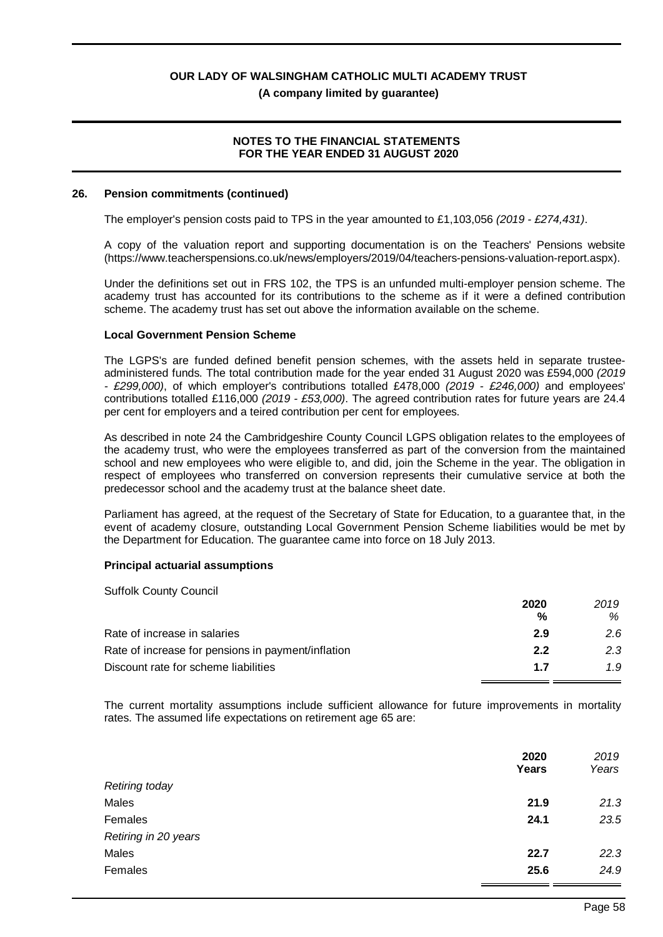### **NOTES TO THE FINANCIAL STATEMENTS FOR THE YEAR ENDED 31 AUGUST 2020**

#### **26. Pension commitments (continued)**

The employer's pension costs paid to TPS in the year amounted to £1,103,056 *(2019 - £274,431)*.

A copy of the valuation report and supporting documentation is on the Teachers' Pensions website (https://www.teacherspensions.co.uk/news/employers/2019/04/teachers-pensions-valuation-report.aspx).

Under the definitions set out in FRS 102, the TPS is an unfunded multi-employer pension scheme. The academy trust has accounted for its contributions to the scheme as if it were a defined contribution scheme. The academy trust has set out above the information available on the scheme.

#### **Local Government Pension Scheme**

The LGPS's are funded defined benefit pension schemes, with the assets held in separate trusteeadministered funds. The total contribution made for the year ended 31 August 2020 was £594,000 *(2019 - £299,000)*, of which employer's contributions totalled £478,000 *(2019 - £246,000)* and employees' contributions totalled £116,000 *(2019 - £53,000)*. The agreed contribution rates for future years are 24.4 per cent for employers and a teired contribution per cent for employees.

As described in note 24 the Cambridgeshire County Council LGPS obligation relates to the employees of the academy trust, who were the employees transferred as part of the conversion from the maintained school and new employees who were eligible to, and did, join the Scheme in the year. The obligation in respect of employees who transferred on conversion represents their cumulative service at both the predecessor school and the academy trust at the balance sheet date.

Parliament has agreed, at the request of the Secretary of State for Education, to a guarantee that, in the event of academy closure, outstanding Local Government Pension Scheme liabilities would be met by the Department for Education. The guarantee came into force on 18 July 2013.

#### **Principal actuarial assumptions**

| <b>Suffolk County Council</b>                      |      |      |
|----------------------------------------------------|------|------|
|                                                    | 2020 | 2019 |
|                                                    | %    | ℅    |
| Rate of increase in salaries                       | 2.9  | 2.6  |
| Rate of increase for pensions in payment/inflation | 2.2  | 2.3  |
| Discount rate for scheme liabilities               | 17   | 1.9  |

The current mortality assumptions include sufficient allowance for future improvements in mortality rates. The assumed life expectations on retirement age 65 are:

|                       | 2020<br><b>Years</b> | 2019<br>Years |
|-----------------------|----------------------|---------------|
| <b>Retiring today</b> |                      |               |
| Males                 | 21.9                 | 21.3          |
| Females               | 24.1                 | 23.5          |
| Retiring in 20 years  |                      |               |
| Males                 | 22.7                 | 22.3          |
| Females               | 25.6                 | 24.9          |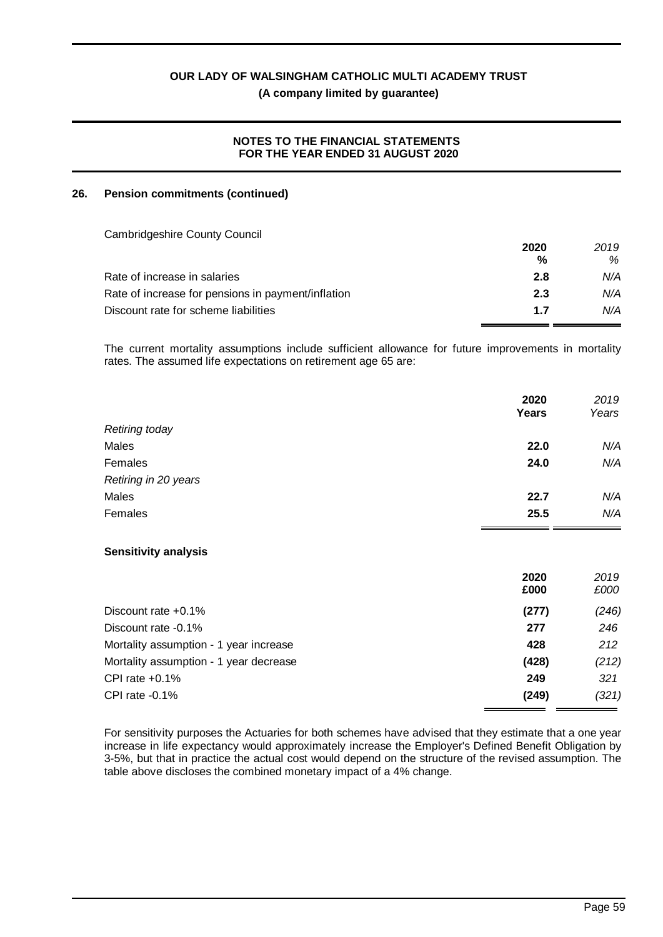#### **NOTES TO THE FINANCIAL STATEMENTS FOR THE YEAR ENDED 31 AUGUST 2020**

#### **26. Pension commitments (continued)**

| <b>Cambridgeshire County Council</b>               |      |      |
|----------------------------------------------------|------|------|
|                                                    | 2020 | 2019 |
|                                                    | %    | %    |
| Rate of increase in salaries                       | 2.8  | N/A  |
| Rate of increase for pensions in payment/inflation | 2.3  | N/A  |
| Discount rate for scheme liabilities               | 1.7  | N/A  |

The current mortality assumptions include sufficient allowance for future improvements in mortality rates. The assumed life expectations on retirement age 65 are:

|                                        | 2020<br>Years | 2019<br>Years |
|----------------------------------------|---------------|---------------|
| Retiring today                         |               |               |
| Males                                  | 22.0          | N/A           |
| Females                                | 24.0          | N/A           |
| Retiring in 20 years                   |               |               |
| Males                                  | 22.7          | N/A           |
| Females                                | 25.5          | N/A           |
| <b>Sensitivity analysis</b>            |               |               |
|                                        | 2020<br>£000  | 2019<br>£000  |
| Discount rate $+0.1\%$                 | (277)         | (246)         |
| Discount rate -0.1%                    | 277           | 246           |
| Mortality assumption - 1 year increase | 428           | 212           |
| Mortality assumption - 1 year decrease | (428)         | (212)         |
| CPI rate $+0.1\%$                      | 249           | 321           |

For sensitivity purposes the Actuaries for both schemes have advised that they estimate that a one year increase in life expectancy would approximately increase the Employer's Defined Benefit Obligation by 3-5%, but that in practice the actual cost would depend on the structure of the revised assumption. The table above discloses the combined monetary impact of a 4% change.

CPI rate -0.1% **(249)** *(321)*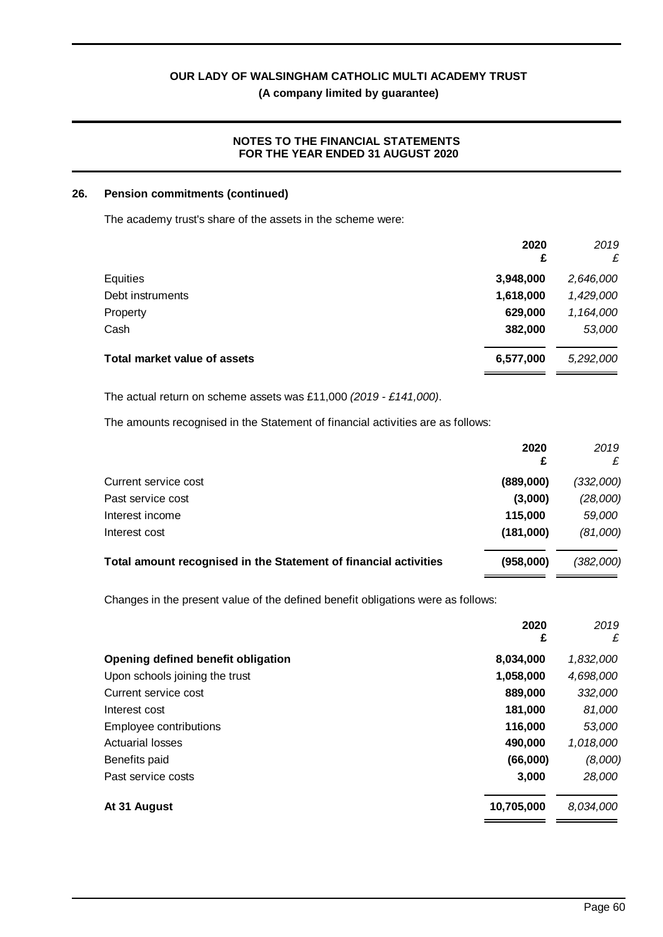# **(A company limited by guarantee)**

# **NOTES TO THE FINANCIAL STATEMENTS FOR THE YEAR ENDED 31 AUGUST 2020**

#### **26. Pension commitments (continued)**

The academy trust's share of the assets in the scheme were:

|                                     | 2020<br>£ | 2019<br>£ |
|-------------------------------------|-----------|-----------|
| Equities                            | 3,948,000 | 2,646,000 |
| Debt instruments                    | 1,618,000 | 1,429,000 |
| Property                            | 629,000   | 1,164,000 |
| Cash                                | 382,000   | 53,000    |
| <b>Total market value of assets</b> | 6,577,000 | 5,292,000 |

The actual return on scheme assets was £11,000 *(2019 - £141,000)*.

The amounts recognised in the Statement of financial activities are as follows:

|                                                                  | 2020      | 2019      |
|------------------------------------------------------------------|-----------|-----------|
| Current service cost                                             | (889,000) | (332,000) |
| Past service cost                                                | (3,000)   | (28,000)  |
| Interest income                                                  | 115,000   | 59,000    |
| Interest cost                                                    | (181,000) | (81,000)  |
| Total amount recognised in the Statement of financial activities | (958,000) | (382,000) |

Changes in the present value of the defined benefit obligations were as follows:

|                                    | 2020<br>£  | 2019<br>£ |
|------------------------------------|------------|-----------|
| Opening defined benefit obligation | 8,034,000  | 1,832,000 |
| Upon schools joining the trust     | 1,058,000  | 4,698,000 |
| Current service cost               | 889,000    | 332,000   |
| Interest cost                      | 181,000    | 81,000    |
| Employee contributions             | 116,000    | 53,000    |
| <b>Actuarial losses</b>            | 490,000    | 1,018,000 |
| Benefits paid                      | (66,000)   | (8,000)   |
| Past service costs                 | 3,000      | 28,000    |
| At 31 August                       | 10,705,000 | 8,034,000 |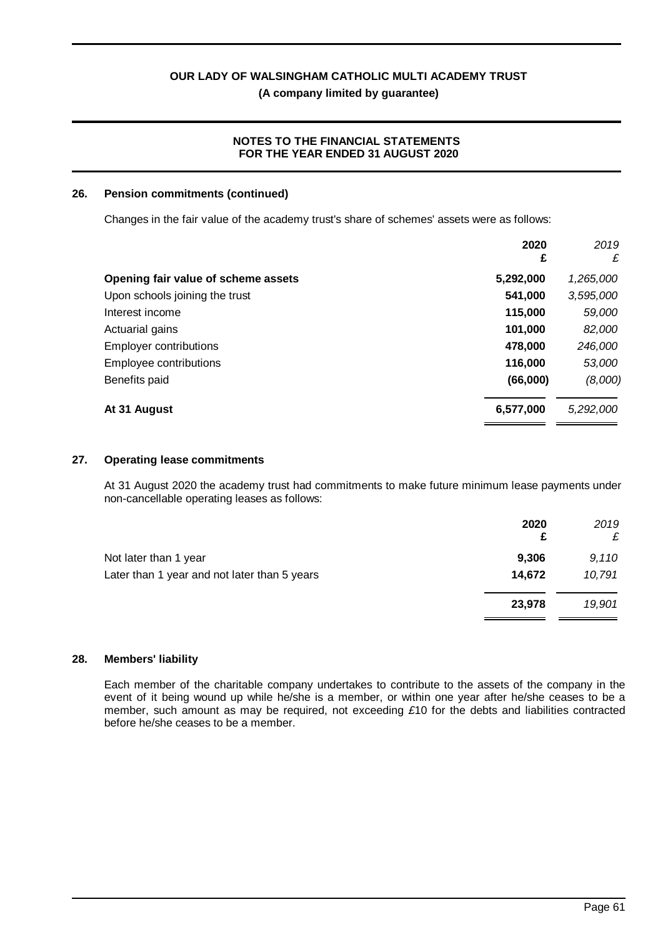**(A company limited by guarantee)**

# **NOTES TO THE FINANCIAL STATEMENTS FOR THE YEAR ENDED 31 AUGUST 2020**

### **26. Pension commitments (continued)**

Changes in the fair value of the academy trust's share of schemes' assets were as follows:

|                                     | 2020<br>£ | 2019<br>£ |
|-------------------------------------|-----------|-----------|
| Opening fair value of scheme assets | 5,292,000 | 1,265,000 |
| Upon schools joining the trust      | 541,000   | 3,595,000 |
| Interest income                     | 115,000   | 59,000    |
| Actuarial gains                     | 101,000   | 82,000    |
| <b>Employer contributions</b>       | 478,000   | 246,000   |
| Employee contributions              | 116,000   | 53,000    |
| Benefits paid                       | (66,000)  | (8,000)   |
| At 31 August                        | 6,577,000 | 5,292,000 |

#### **27. Operating lease commitments**

At 31 August 2020 the academy trust had commitments to make future minimum lease payments under non-cancellable operating leases as follows:

|                                              | 2020<br>£ | 2019<br>£ |
|----------------------------------------------|-----------|-----------|
| Not later than 1 year                        | 9,306     | 9,110     |
| Later than 1 year and not later than 5 years | 14,672    | 10,791    |
|                                              | 23,978    | 19,901    |
|                                              |           |           |

#### **28. Members' liability**

Each member of the charitable company undertakes to contribute to the assets of the company in the event of it being wound up while he/she is a member, or within one year after he/she ceases to be a member, such amount as may be required, not exceeding *£*10 for the debts and liabilities contracted before he/she ceases to be a member.